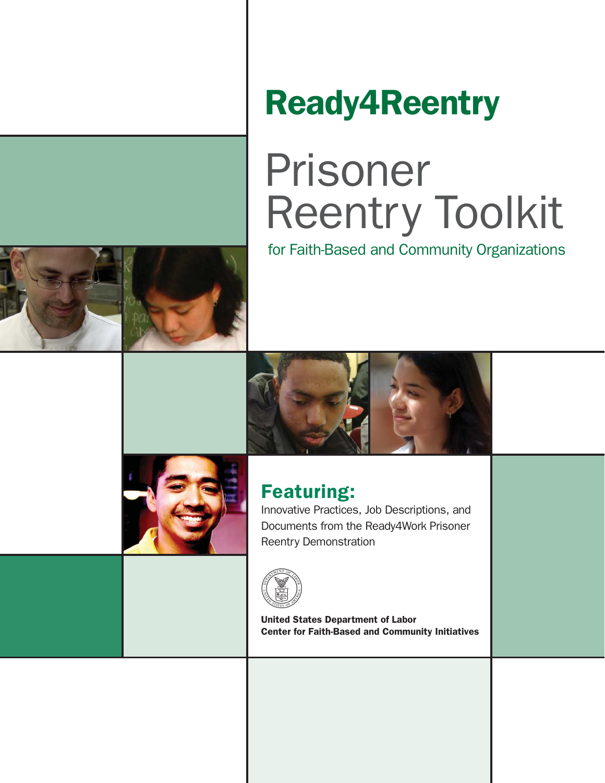# Ready4Reentry

# Prisoner Reentry Toolkit

for Faith-Based and Community Organizations





## Featuring:

Innovative Practices, Job Descriptions, and Documents from the Ready4Work Prisoner Reentry Demonstration



United States Department of Labor Center for Faith-Based and Community Initiatives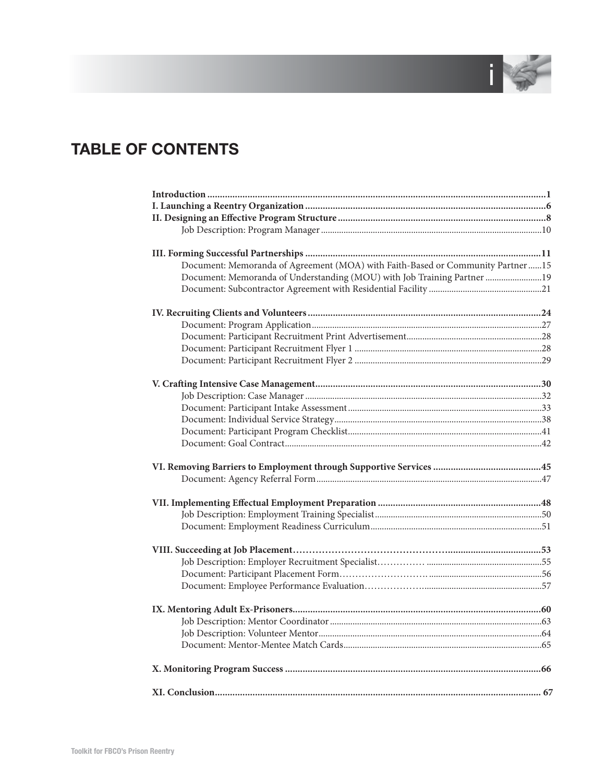

## **TABLE OF CONTENTS**

| Document: Memoranda of Agreement (MOA) with Faith-Based or Community Partner15 |  |
|--------------------------------------------------------------------------------|--|
| Document: Memoranda of Understanding (MOU) with Job Training Partner  19       |  |
|                                                                                |  |
|                                                                                |  |
|                                                                                |  |
|                                                                                |  |
|                                                                                |  |
|                                                                                |  |
|                                                                                |  |
|                                                                                |  |
|                                                                                |  |
|                                                                                |  |
|                                                                                |  |
|                                                                                |  |
|                                                                                |  |
|                                                                                |  |
|                                                                                |  |
|                                                                                |  |
|                                                                                |  |
|                                                                                |  |
|                                                                                |  |
|                                                                                |  |
|                                                                                |  |
|                                                                                |  |
|                                                                                |  |
|                                                                                |  |
|                                                                                |  |
|                                                                                |  |
|                                                                                |  |
|                                                                                |  |
|                                                                                |  |
|                                                                                |  |
|                                                                                |  |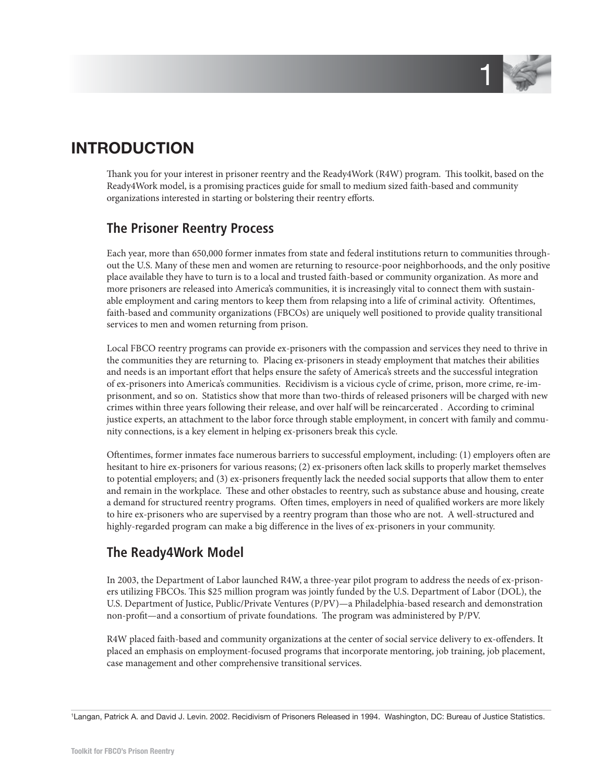

## **INTRODUCTION**

Thank you for your interest in prisoner reentry and the Ready4Work (R4W) program. This toolkit, based on the Ready4Work model, is a promising practices guide for small to medium sized faith-based and community organizations interested in starting or bolstering their reentry efforts.

## **The Prisoner Reentry Process**

Each year, more than 650,000 former inmates from state and federal institutions return to communities throughout the U.S. Many of these men and women are returning to resource-poor neighborhoods, and the only positive place available they have to turn is to a local and trusted faith-based or community organization. As more and more prisoners are released into America's communities, it is increasingly vital to connect them with sustainable employment and caring mentors to keep them from relapsing into a life of criminal activity. Oftentimes, faith-based and community organizations (FBCOs) are uniquely well positioned to provide quality transitional services to men and women returning from prison.

Local FBCO reentry programs can provide ex-prisoners with the compassion and services they need to thrive in the communities they are returning to. Placing ex-prisoners in steady employment that matches their abilities and needs is an important effort that helps ensure the safety of America's streets and the successful integration of ex-prisoners into America's communities. Recidivism is a vicious cycle of crime, prison, more crime, re-imprisonment, and so on. Statistics show that more than two-thirds of released prisoners will be charged with new crimes within three years following their release, and over half will be reincarcerated . According to criminal justice experts, an attachment to the labor force through stable employment, in concert with family and community connections, is a key element in helping ex-prisoners break this cycle.

Oftentimes, former inmates face numerous barriers to successful employment, including: (1) employers often are hesitant to hire ex-prisoners for various reasons; (2) ex-prisoners often lack skills to properly market themselves to potential employers; and (3) ex-prisoners frequently lack the needed social supports that allow them to enter and remain in the workplace. These and other obstacles to reentry, such as substance abuse and housing, create a demand for structured reentry programs. Often times, employers in need of qualified workers are more likely to hire ex-prisoners who are supervised by a reentry program than those who are not. A well-structured and highly-regarded program can make a big difference in the lives of ex-prisoners in your community.

## **The Ready4Work Model**

In 2003, the Department of Labor launched R4W, a three-year pilot program to address the needs of ex-prisoners utilizing FBCOs. This \$25 million program was jointly funded by the U.S. Department of Labor (DOL), the U.S. Department of Justice, Public/Private Ventures (P/PV)—a Philadelphia-based research and demonstration non-profit—and a consortium of private foundations. The program was administered by P/PV.

R4W placed faith-based and community organizations at the center of social service delivery to ex-offenders. It placed an emphasis on employment-focused programs that incorporate mentoring, job training, job placement, case management and other comprehensive transitional services.

1 Langan, Patrick A. and David J. Levin. 2002. Recidivism of Prisoners Released in 1994. Washington, DC: Bureau of Justice Statistics.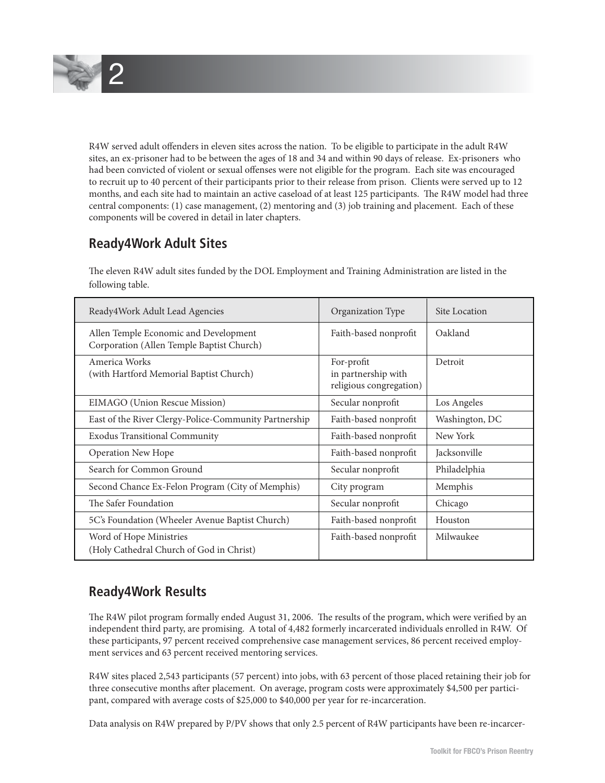

R4W served adult offenders in eleven sites across the nation. To be eligible to participate in the adult R4W sites, an ex-prisoner had to be between the ages of 18 and 34 and within 90 days of release. Ex-prisoners who had been convicted of violent or sexual offenses were not eligible for the program. Each site was encouraged to recruit up to 40 percent of their participants prior to their release from prison. Clients were served up to 12 months, and each site had to maintain an active caseload of at least 125 participants. The R4W model had three central components: (1) case management, (2) mentoring and (3) job training and placement. Each of these components will be covered in detail in later chapters.

## **Ready4Work Adult Sites**

The eleven R4W adult sites funded by the DOL Employment and Training Administration are listed in the following table.

| Ready4Work Adult Lead Agencies                                                     | Organization Type                                            | Site Location  |
|------------------------------------------------------------------------------------|--------------------------------------------------------------|----------------|
| Allen Temple Economic and Development<br>Corporation (Allen Temple Baptist Church) | Faith-based nonprofit                                        | Oakland        |
| America Works<br>(with Hartford Memorial Baptist Church)                           | For-profit<br>in partnership with<br>religious congregation) | Detroit        |
| EIMAGO (Union Rescue Mission)                                                      | Secular nonprofit                                            | Los Angeles    |
| East of the River Clergy-Police-Community Partnership                              | Faith-based nonprofit                                        | Washington, DC |
| <b>Exodus Transitional Community</b>                                               | Faith-based nonprofit                                        | New York       |
| <b>Operation New Hope</b>                                                          | Faith-based nonprofit                                        | Jacksonville   |
| Search for Common Ground                                                           | Secular nonprofit                                            | Philadelphia   |
| Second Chance Ex-Felon Program (City of Memphis)                                   | City program                                                 | Memphis        |
| The Safer Foundation                                                               | Secular nonprofit                                            | Chicago        |
| 5C's Foundation (Wheeler Avenue Baptist Church)                                    | Faith-based nonprofit                                        | Houston        |
| Word of Hope Ministries<br>(Holy Cathedral Church of God in Christ)                | Faith-based nonprofit                                        | Milwaukee      |

## **Ready4Work Results**

The R4W pilot program formally ended August 31, 2006. The results of the program, which were verified by an independent third party, are promising. A total of 4,482 formerly incarcerated individuals enrolled in R4W. Of these participants, 97 percent received comprehensive case management services, 86 percent received employment services and 63 percent received mentoring services.

R4W sites placed 2,543 participants (57 percent) into jobs, with 63 percent of those placed retaining their job for three consecutive months after placement. On average, program costs were approximately \$4,500 per participant, compared with average costs of \$25,000 to \$40,000 per year for re-incarceration.

Data analysis on R4W prepared by P/PV shows that only 2.5 percent of R4W participants have been re-incarcer-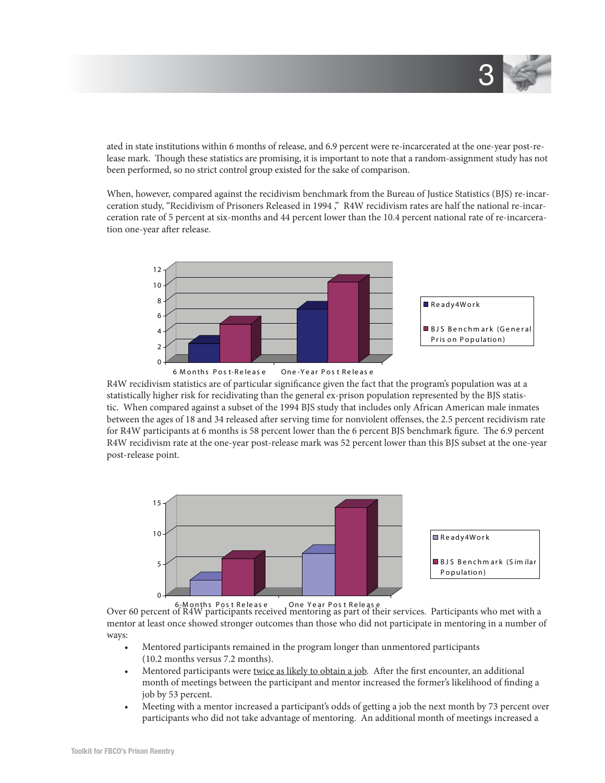

ated in state institutions within 6 months of release, and 6.9 percent were re-incarcerated at the one-year post-release mark. Though these statistics are promising, it is important to note that a random-assignment study has not been performed, so no strict control group existed for the sake of comparison.

When, however, compared against the recidivism benchmark from the Bureau of Justice Statistics (BJS) re-incarceration study, "Recidivism of Prisoners Released in 1994 ," R4W recidivism rates are half the national re-incarceration rate of 5 percent at six-months and 44 percent lower than the 10.4 percent national rate of re-incarceration one-year after release.



R4W recidivism statistics are of particular significance given the fact that the program's population was at a statistically higher risk for recidivating than the general ex-prison population represented by the BJS statistic. When compared against a subset of the 1994 BJS study that includes only African American male inmates between the ages of 18 and 34 released after serving time for nonviolent offenses, the 2.5 percent recidivism rate for R4W participants at 6 months is 58 percent lower than the 6 percent BJS benchmark figure. The 6.9 percent R4W recidivism rate at the one-year post-release mark was 52 percent lower than this BJS subset at the one-year post-release point.



Over 60 percent of R4W participants received mentoring as part of their services. Participants who met with a 6-M onths Pos t Re le as e One Ye ar Pos t Re le as e mentor at least once showed stronger outcomes than those who did not participate in mentoring in a number of ways:

- Mentored participants remained in the program longer than unmentored participants (10.2 months versus 7.2 months).
- Mentored participants were twice as likely to obtain a job. After the first encounter, an additional month of meetings between the participant and mentor increased the former's likelihood of finding a job by 53 percent.
- Meeting with a mentor increased a participant's odds of getting a job the next month by 73 percent over participants who did not take advantage of mentoring. An additional month of meetings increased a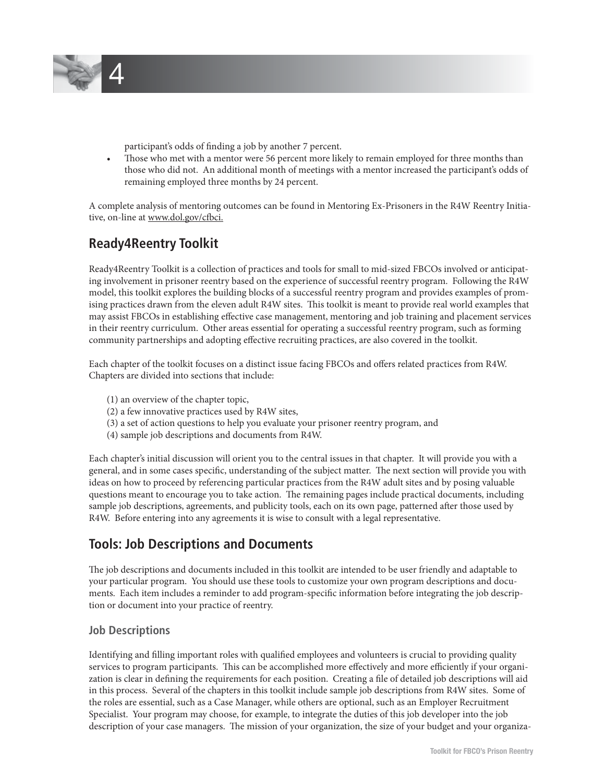

- participant's odds of finding a job by another 7 percent.
- Those who met with a mentor were 56 percent more likely to remain employed for three months than those who did not. An additional month of meetings with a mentor increased the participant's odds of remaining employed three months by 24 percent.

A complete analysis of mentoring outcomes can be found in Mentoring Ex-Prisoners in the R4W Reentry Initiative, on-line at www.dol.gov/cfbci.

## **Ready4Reentry Toolkit**

Ready4Reentry Toolkit is a collection of practices and tools for small to mid-sized FBCOs involved or anticipating involvement in prisoner reentry based on the experience of successful reentry program. Following the R4W model, this toolkit explores the building blocks of a successful reentry program and provides examples of promising practices drawn from the eleven adult R4W sites. This toolkit is meant to provide real world examples that may assist FBCOs in establishing effective case management, mentoring and job training and placement services in their reentry curriculum. Other areas essential for operating a successful reentry program, such as forming community partnerships and adopting effective recruiting practices, are also covered in the toolkit.

Each chapter of the toolkit focuses on a distinct issue facing FBCOs and offers related practices from R4W. Chapters are divided into sections that include:

- (1) an overview of the chapter topic,
- (2) a few innovative practices used by R4W sites,
- (3) a set of action questions to help you evaluate your prisoner reentry program, and
- (4) sample job descriptions and documents from R4W.

Each chapter's initial discussion will orient you to the central issues in that chapter. It will provide you with a general, and in some cases specific, understanding of the subject matter. The next section will provide you with ideas on how to proceed by referencing particular practices from the R4W adult sites and by posing valuable questions meant to encourage you to take action. The remaining pages include practical documents, including sample job descriptions, agreements, and publicity tools, each on its own page, patterned after those used by R4W. Before entering into any agreements it is wise to consult with a legal representative.

## **Tools: Job Descriptions and Documents**

The job descriptions and documents included in this toolkit are intended to be user friendly and adaptable to your particular program. You should use these tools to customize your own program descriptions and documents. Each item includes a reminder to add program-specific information before integrating the job description or document into your practice of reentry.

#### **Job Descriptions**

Identifying and filling important roles with qualified employees and volunteers is crucial to providing quality services to program participants. This can be accomplished more effectively and more efficiently if your organization is clear in defining the requirements for each position. Creating a file of detailed job descriptions will aid in this process. Several of the chapters in this toolkit include sample job descriptions from R4W sites. Some of the roles are essential, such as a Case Manager, while others are optional, such as an Employer Recruitment Specialist. Your program may choose, for example, to integrate the duties of this job developer into the job description of your case managers. The mission of your organization, the size of your budget and your organiza-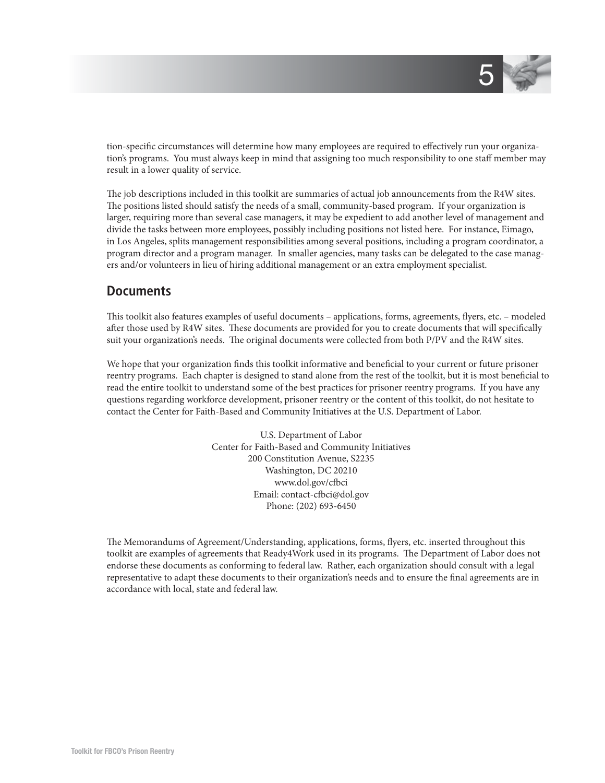

tion-specific circumstances will determine how many employees are required to effectively run your organization's programs. You must always keep in mind that assigning too much responsibility to one staff member may result in a lower quality of service.

The job descriptions included in this toolkit are summaries of actual job announcements from the R4W sites. The positions listed should satisfy the needs of a small, community-based program. If your organization is larger, requiring more than several case managers, it may be expedient to add another level of management and divide the tasks between more employees, possibly including positions not listed here. For instance, Eimago, in Los Angeles, splits management responsibilities among several positions, including a program coordinator, a program director and a program manager. In smaller agencies, many tasks can be delegated to the case managers and/or volunteers in lieu of hiring additional management or an extra employment specialist.

#### **Documents**

This toolkit also features examples of useful documents – applications, forms, agreements, flyers, etc. – modeled after those used by R4W sites. These documents are provided for you to create documents that will specifically suit your organization's needs. The original documents were collected from both P/PV and the R4W sites.

We hope that your organization finds this toolkit informative and beneficial to your current or future prisoner reentry programs. Each chapter is designed to stand alone from the rest of the toolkit, but it is most beneficial to read the entire toolkit to understand some of the best practices for prisoner reentry programs. If you have any questions regarding workforce development, prisoner reentry or the content of this toolkit, do not hesitate to contact the Center for Faith-Based and Community Initiatives at the U.S. Department of Labor.

> U.S. Department of Labor Center for Faith-Based and Community Initiatives 200 Constitution Avenue, S2235 Washington, DC 20210 www.dol.gov/cfbci Email: contact-cfbci@dol.gov Phone: (202) 693-6450

The Memorandums of Agreement/Understanding, applications, forms, flyers, etc. inserted throughout this toolkit are examples of agreements that Ready4Work used in its programs. The Department of Labor does not endorse these documents as conforming to federal law. Rather, each organization should consult with a legal representative to adapt these documents to their organization's needs and to ensure the final agreements are in accordance with local, state and federal law.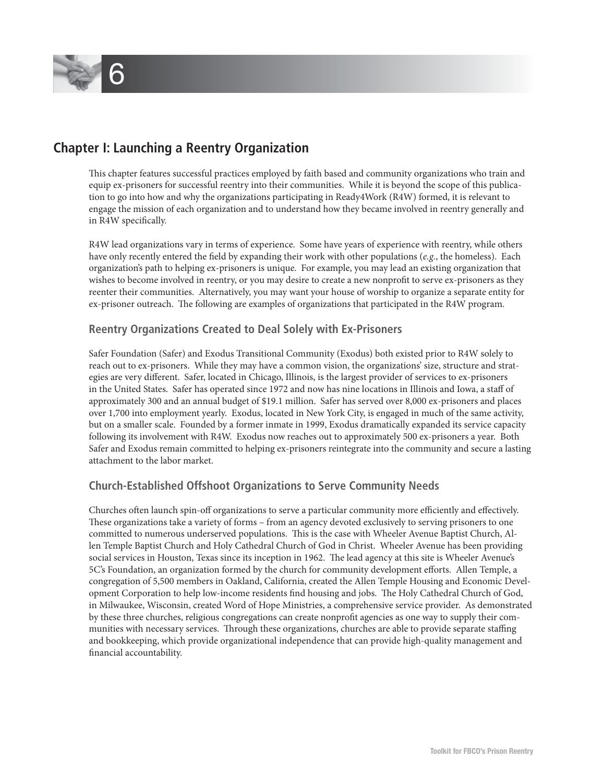

## **Chapter I: Launching a Reentry Organization**

This chapter features successful practices employed by faith based and community organizations who train and equip ex-prisoners for successful reentry into their communities. While it is beyond the scope of this publication to go into how and why the organizations participating in Ready4Work (R4W) formed, it is relevant to engage the mission of each organization and to understand how they became involved in reentry generally and in R4W specifically.

R4W lead organizations vary in terms of experience. Some have years of experience with reentry, while others have only recently entered the field by expanding their work with other populations (e.g., the homeless). Each organization's path to helping ex-prisoners is unique. For example, you may lead an existing organization that wishes to become involved in reentry, or you may desire to create a new nonprofit to serve ex-prisoners as they reenter their communities. Alternatively, you may want your house of worship to organize a separate entity for ex-prisoner outreach. The following are examples of organizations that participated in the R4W program.

#### **Reentry Organizations Created to Deal Solely with Ex-Prisoners**

Safer Foundation (Safer) and Exodus Transitional Community (Exodus) both existed prior to R4W solely to reach out to ex-prisoners. While they may have a common vision, the organizations' size, structure and strategies are very different. Safer, located in Chicago, Illinois, is the largest provider of services to ex-prisoners in the United States. Safer has operated since 1972 and now has nine locations in Illinois and Iowa, a staff of approximately 300 and an annual budget of \$19.1 million. Safer has served over 8,000 ex-prisoners and places over 1,700 into employment yearly. Exodus, located in New York City, is engaged in much of the same activity, but on a smaller scale. Founded by a former inmate in 1999, Exodus dramatically expanded its service capacity following its involvement with R4W. Exodus now reaches out to approximately 500 ex-prisoners a year. Both Safer and Exodus remain committed to helping ex-prisoners reintegrate into the community and secure a lasting attachment to the labor market.

#### **Church-Established Offshoot Organizations to Serve Community Needs**

Churches often launch spin-off organizations to serve a particular community more efficiently and effectively. These organizations take a variety of forms – from an agency devoted exclusively to serving prisoners to one committed to numerous underserved populations. This is the case with Wheeler Avenue Baptist Church, Allen Temple Baptist Church and Holy Cathedral Church of God in Christ. Wheeler Avenue has been providing social services in Houston, Texas since its inception in 1962. The lead agency at this site is Wheeler Avenue's 5C's Foundation, an organization formed by the church for community development efforts. Allen Temple, a congregation of 5,500 members in Oakland, California, created the Allen Temple Housing and Economic Development Corporation to help low-income residents find housing and jobs. The Holy Cathedral Church of God, in Milwaukee, Wisconsin, created Word of Hope Ministries, a comprehensive service provider. As demonstrated by these three churches, religious congregations can create nonprofi t agencies as one way to supply their communities with necessary services. Through these organizations, churches are able to provide separate staffing and bookkeeping, which provide organizational independence that can provide high-quality management and financial accountability.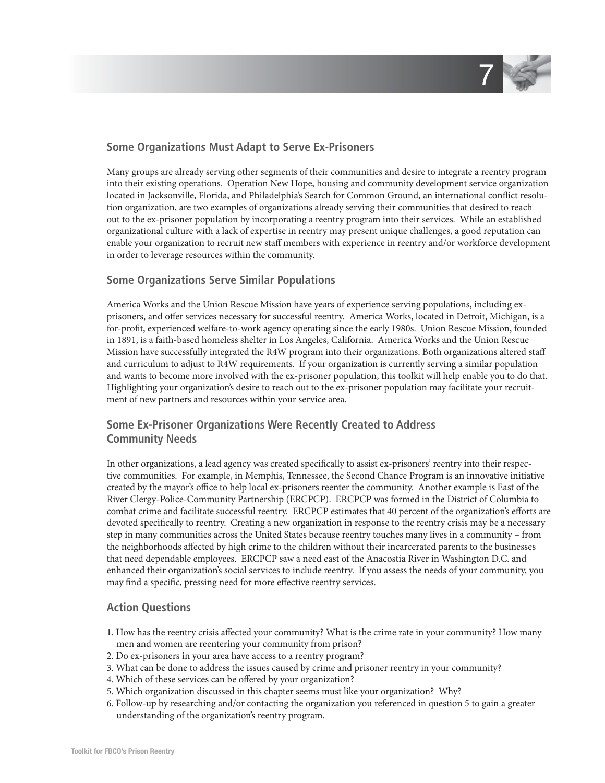

#### **Some Organizations Must Adapt to Serve Ex-Prisoners**

Many groups are already serving other segments of their communities and desire to integrate a reentry program into their existing operations. Operation New Hope, housing and community development service organization located in Jacksonville, Florida, and Philadelphia's Search for Common Ground, an international conflict resolution organization, are two examples of organizations already serving their communities that desired to reach out to the ex-prisoner population by incorporating a reentry program into their services. While an established organizational culture with a lack of expertise in reentry may present unique challenges, a good reputation can enable your organization to recruit new staff members with experience in reentry and/or workforce development in order to leverage resources within the community.

#### **Some Organizations Serve Similar Populations**

America Works and the Union Rescue Mission have years of experience serving populations, including exprisoners, and offer services necessary for successful reentry. America Works, located in Detroit, Michigan, is a for-profit, experienced welfare-to-work agency operating since the early 1980s. Union Rescue Mission, founded in 1891, is a faith-based homeless shelter in Los Angeles, California. America Works and the Union Rescue Mission have successfully integrated the R4W program into their organizations. Both organizations altered staff and curriculum to adjust to R4W requirements. If your organization is currently serving a similar population and wants to become more involved with the ex-prisoner population, this toolkit will help enable you to do that. Highlighting your organization's desire to reach out to the ex-prisoner population may facilitate your recruitment of new partners and resources within your service area.

## **Some Ex-Prisoner Organizations Were Recently Created to Address Community Needs**

In other organizations, a lead agency was created specifically to assist ex-prisoners' reentry into their respective communities. For example, in Memphis, Tennessee, the Second Chance Program is an innovative initiative created by the mayor's office to help local ex-prisoners reenter the community. Another example is East of the River Clergy-Police-Community Partnership (ERCPCP). ERCPCP was formed in the District of Columbia to combat crime and facilitate successful reentry. ERCPCP estimates that 40 percent of the organization's efforts are devoted specifically to reentry. Creating a new organization in response to the reentry crisis may be a necessary step in many communities across the United States because reentry touches many lives in a community – from the neighborhoods affected by high crime to the children without their incarcerated parents to the businesses that need dependable employees. ERCPCP saw a need east of the Anacostia River in Washington D.C. and enhanced their organization's social services to include reentry. If you assess the needs of your community, you may find a specific, pressing need for more effective reentry services.

#### **Action Questions**

- 1. How has the reentry crisis affected your community? What is the crime rate in your community? How many men and women are reentering your community from prison?
- 2. Do ex-prisoners in your area have access to a reentry program?
- 3. What can be done to address the issues caused by crime and prisoner reentry in your community?
- 4. Which of these services can be offered by your organization?
- 5. Which organization discussed in this chapter seems must like your organization? Why?
- 6. Follow-up by researching and/or contacting the organization you referenced in question 5 to gain a greater understanding of the organization's reentry program.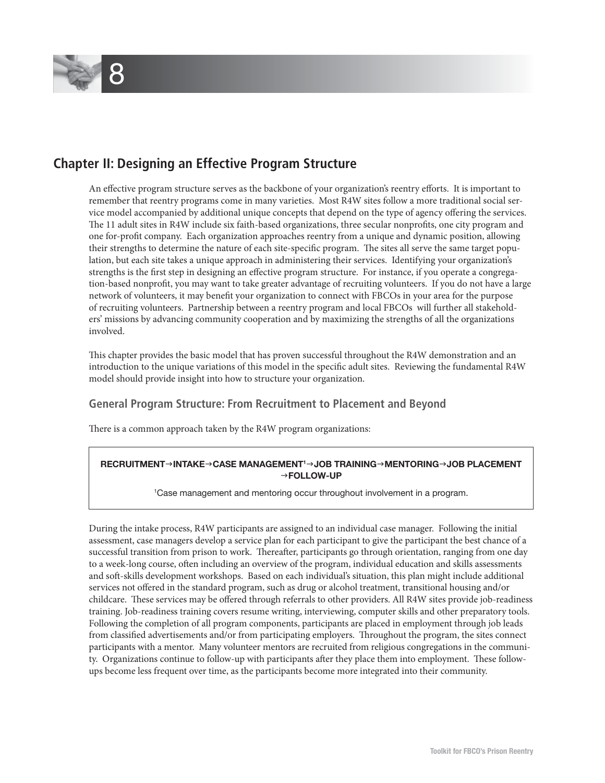

## **Chapter II: Designing an Effective Program Structure**

An effective program structure serves as the backbone of your organization's reentry efforts. It is important to remember that reentry programs come in many varieties. Most R4W sites follow a more traditional social service model accompanied by additional unique concepts that depend on the type of agency offering the services. The 11 adult sites in R4W include six faith-based organizations, three secular nonprofits, one city program and one for-profi t company. Each organization approaches reentry from a unique and dynamic position, allowing their strengths to determine the nature of each site-specific program. The sites all serve the same target population, but each site takes a unique approach in administering their services. Identifying your organization's strengths is the first step in designing an effective program structure. For instance, if you operate a congregation-based nonprofit, you may want to take greater advantage of recruiting volunteers. If you do not have a large network of volunteers, it may benefit your organization to connect with FBCOs in your area for the purpose of recruiting volunteers. Partnership between a reentry program and local FBCOs will further all stakeholders' missions by advancing community cooperation and by maximizing the strengths of all the organizations involved.

This chapter provides the basic model that has proven successful throughout the R4W demonstration and an introduction to the unique variations of this model in the specific adult sites. Reviewing the fundamental R4W model should provide insight into how to structure your organization.

#### **General Program Structure: From Recruitment to Placement and Beyond**

There is a common approach taken by the R4W program organizations:

#### **RECRUITMENT**g**INTAKE**g**CASE MANAGEMENT1** g**JOB TRAINING**g**MENTORING**g**JOB PLACEMENT** g**FOLLOW-UP**

1 Case management and mentoring occur throughout involvement in a program.

During the intake process, R4W participants are assigned to an individual case manager. Following the initial assessment, case managers develop a service plan for each participant to give the participant the best chance of a successful transition from prison to work. Thereafter, participants go through orientation, ranging from one day to a week-long course, often including an overview of the program, individual education and skills assessments and soft -skills development workshops. Based on each individual's situation, this plan might include additional services not offered in the standard program, such as drug or alcohol treatment, transitional housing and/or childcare. These services may be offered through referrals to other providers. All R4W sites provide job-readiness training. Job-readiness training covers resume writing, interviewing, computer skills and other preparatory tools. Following the completion of all program components, participants are placed in employment through job leads from classified advertisements and/or from participating employers. Throughout the program, the sites connect participants with a mentor. Many volunteer mentors are recruited from religious congregations in the community. Organizations continue to follow-up with participants after they place them into employment. These followups become less frequent over time, as the participants become more integrated into their community.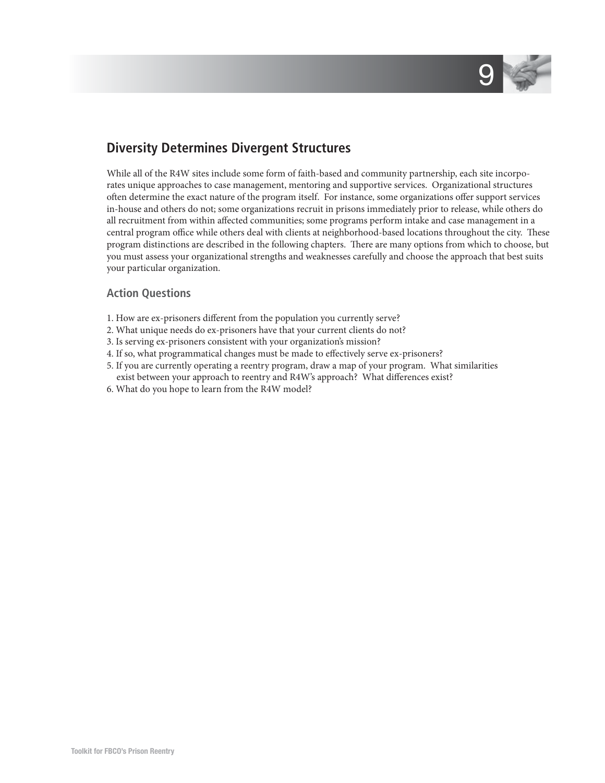

## **Diversity Determines Divergent Structures**

While all of the R4W sites include some form of faith-based and community partnership, each site incorporates unique approaches to case management, mentoring and supportive services. Organizational structures often determine the exact nature of the program itself. For instance, some organizations offer support services in-house and others do not; some organizations recruit in prisons immediately prior to release, while others do all recruitment from within affected communities; some programs perform intake and case management in a central program office while others deal with clients at neighborhood-based locations throughout the city. These program distinctions are described in the following chapters. There are many options from which to choose, but you must assess your organizational strengths and weaknesses carefully and choose the approach that best suits your particular organization.

#### **Action Questions**

- 1. How are ex-prisoners different from the population you currently serve?
- 2. What unique needs do ex-prisoners have that your current clients do not?
- 3. Is serving ex-prisoners consistent with your organization's mission?
- 4. If so, what programmatical changes must be made to effectively serve ex-prisoners?
- 5. If you are currently operating a reentry program, draw a map of your program. What similarities exist between your approach to reentry and R4W's approach? What differences exist?
- 6. What do you hope to learn from the R4W model?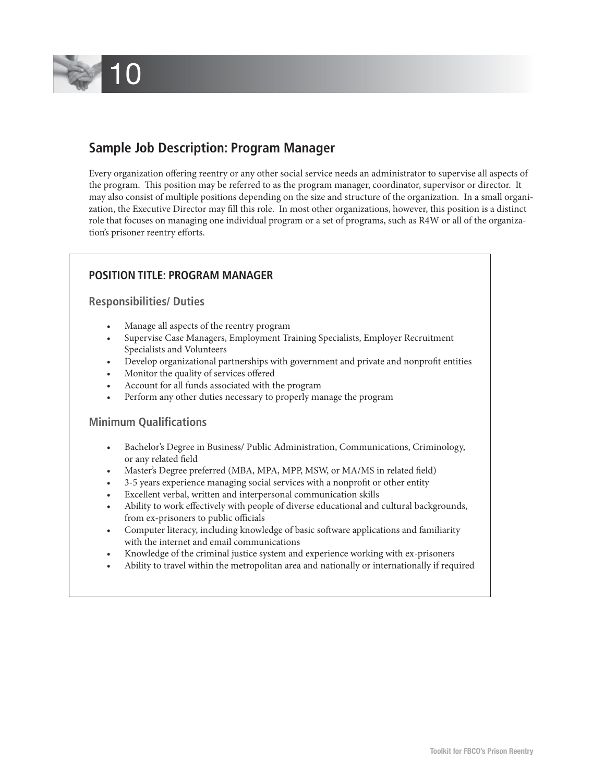

## **Sample Job Description: Program Manager**

Every organization offering reentry or any other social service needs an administrator to supervise all aspects of the program. This position may be referred to as the program manager, coordinator, supervisor or director. It may also consist of multiple positions depending on the size and structure of the organization. In a small organization, the Executive Director may fill this role. In most other organizations, however, this position is a distinct role that focuses on managing one individual program or a set of programs, such as R4W or all of the organization's prisoner reentry efforts.

#### **POSITION TITLE: PROGRAM MANAGER**

#### **Responsibilities/ Duties**

- Manage all aspects of the reentry program
- Supervise Case Managers, Employment Training Specialists, Employer Recruitment Specialists and Volunteers
- Develop organizational partnerships with government and private and nonprofit entities
- Monitor the quality of services offered
- Account for all funds associated with the program
- Perform any other duties necessary to properly manage the program

#### **Minimum Qualifications**

- Bachelor's Degree in Business/ Public Administration, Communications, Criminology, or any related field
- Master's Degree preferred (MBA, MPA, MPP, MSW, or MA/MS in related field)
- 3-5 years experience managing social services with a nonprofit or other entity
- Excellent verbal, written and interpersonal communication skills
- Ability to work effectively with people of diverse educational and cultural backgrounds, from ex-prisoners to public officials
- Computer literacy, including knowledge of basic software applications and familiarity with the internet and email communications
- Knowledge of the criminal justice system and experience working with ex-prisoners
- Ability to travel within the metropolitan area and nationally or internationally if required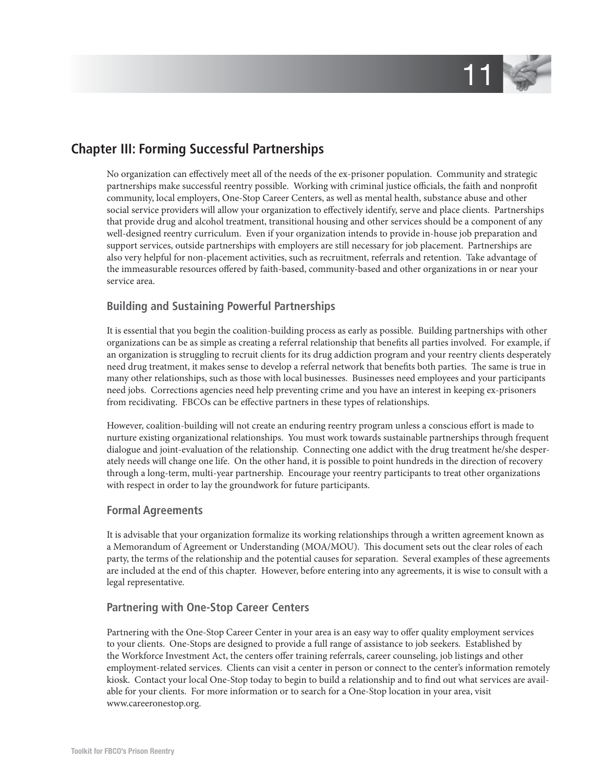

## **Chapter III: Forming Successful Partnerships**

No organization can effectively meet all of the needs of the ex-prisoner population. Community and strategic partnerships make successful reentry possible. Working with criminal justice officials, the faith and nonprofit community, local employers, One-Stop Career Centers, as well as mental health, substance abuse and other social service providers will allow your organization to effectively identify, serve and place clients. Partnerships that provide drug and alcohol treatment, transitional housing and other services should be a component of any well-designed reentry curriculum. Even if your organization intends to provide in-house job preparation and support services, outside partnerships with employers are still necessary for job placement. Partnerships are also very helpful for non-placement activities, such as recruitment, referrals and retention. Take advantage of the immeasurable resources offered by faith-based, community-based and other organizations in or near your service area.

#### **Building and Sustaining Powerful Partnerships**

It is essential that you begin the coalition-building process as early as possible. Building partnerships with other organizations can be as simple as creating a referral relationship that benefits all parties involved. For example, if an organization is struggling to recruit clients for its drug addiction program and your reentry clients desperately need drug treatment, it makes sense to develop a referral network that benefits both parties. The same is true in many other relationships, such as those with local businesses. Businesses need employees and your participants need jobs. Corrections agencies need help preventing crime and you have an interest in keeping ex-prisoners from recidivating. FBCOs can be effective partners in these types of relationships.

However, coalition-building will not create an enduring reentry program unless a conscious effort is made to nurture existing organizational relationships. You must work towards sustainable partnerships through frequent dialogue and joint-evaluation of the relationship. Connecting one addict with the drug treatment he/she desperately needs will change one life. On the other hand, it is possible to point hundreds in the direction of recovery through a long-term, multi-year partnership. Encourage your reentry participants to treat other organizations with respect in order to lay the groundwork for future participants.

#### **Formal Agreements**

It is advisable that your organization formalize its working relationships through a written agreement known as a Memorandum of Agreement or Understanding (MOA/MOU). This document sets out the clear roles of each party, the terms of the relationship and the potential causes for separation. Several examples of these agreements are included at the end of this chapter. However, before entering into any agreements, it is wise to consult with a legal representative.

#### **Partnering with One-Stop Career Centers**

Partnering with the One-Stop Career Center in your area is an easy way to offer quality employment services to your clients. One-Stops are designed to provide a full range of assistance to job seekers. Established by the Workforce Investment Act, the centers offer training referrals, career counseling, job listings and other employment-related services. Clients can visit a center in person or connect to the center's information remotely kiosk. Contact your local One-Stop today to begin to build a relationship and to find out what services are available for your clients. For more information or to search for a One-Stop location in your area, visit www.careeronestop.org.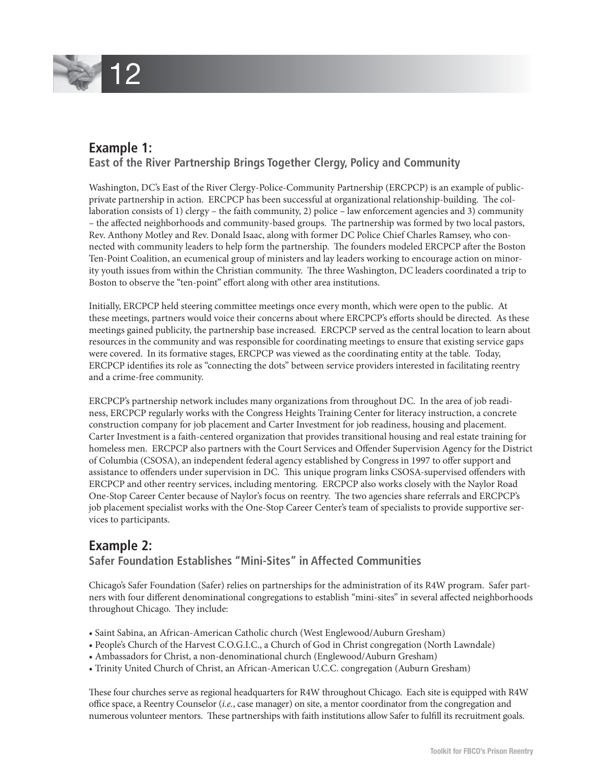

## **Example 1:**

#### **East of the River Partnership Brings Together Clergy, Policy and Community**

Washington, DC's East of the River Clergy-Police-Community Partnership (ERCPCP) is an example of publicprivate partnership in action. ERCPCP has been successful at organizational relationship-building. The collaboration consists of 1) clergy – the faith community, 2) police – law enforcement agencies and 3) community – the affected neighborhoods and community-based groups. The partnership was formed by two local pastors, Rev. Anthony Motley and Rev. Donald Isaac, along with former DC Police Chief Charles Ramsey, who connected with community leaders to help form the partnership. The founders modeled ERCPCP after the Boston Ten-Point Coalition, an ecumenical group of ministers and lay leaders working to encourage action on minority youth issues from within the Christian community. The three Washington, DC leaders coordinated a trip to Boston to observe the "ten-point" effort along with other area institutions.

Initially, ERCPCP held steering committee meetings once every month, which were open to the public. At these meetings, partners would voice their concerns about where ERCPCP's efforts should be directed. As these meetings gained publicity, the partnership base increased. ERCPCP served as the central location to learn about resources in the community and was responsible for coordinating meetings to ensure that existing service gaps were covered. In its formative stages, ERCPCP was viewed as the coordinating entity at the table. Today, ERCPCP identifies its role as "connecting the dots" between service providers interested in facilitating reentry and a crime-free community.

ERCPCP's partnership network includes many organizations from throughout DC. In the area of job readiness, ERCPCP regularly works with the Congress Heights Training Center for literacy instruction, a concrete construction company for job placement and Carter Investment for job readiness, housing and placement. Carter Investment is a faith-centered organization that provides transitional housing and real estate training for homeless men. ERCPCP also partners with the Court Services and Offender Supervision Agency for the District of Columbia (CSOSA), an independent federal agency established by Congress in 1997 to offer support and assistance to offenders under supervision in DC. This unique program links CSOSA-supervised offenders with ERCPCP and other reentry services, including mentoring. ERCPCP also works closely with the Naylor Road One-Stop Career Center because of Naylor's focus on reentry. The two agencies share referrals and ERCPCP's job placement specialist works with the One-Stop Career Center's team of specialists to provide supportive services to participants.

## **Example 2:**

#### **Safer Foundation Establishes "Mini-Sites" in Affected Communities**

Chicago's Safer Foundation (Safer) relies on partnerships for the administration of its R4W program. Safer partners with four different denominational congregations to establish "mini-sites" in several affected neighborhoods throughout Chicago. They include:

- Saint Sabina, an African-American Catholic church (West Englewood/Auburn Gresham)
- People's Church of the Harvest C.O.G.I.C., a Church of God in Christ congregation (North Lawndale)
- Ambassadors for Christ, a non-denominational church (Englewood/Auburn Gresham)
- Trinity United Church of Christ, an African-American U.C.C. congregation (Auburn Gresham)

These four churches serve as regional headquarters for R4W throughout Chicago. Each site is equipped with R4W office space, a Reentry Counselor (*i.e.*, case manager) on site, a mentor coordinator from the congregation and numerous volunteer mentors. These partnerships with faith institutions allow Safer to fulfill its recruitment goals.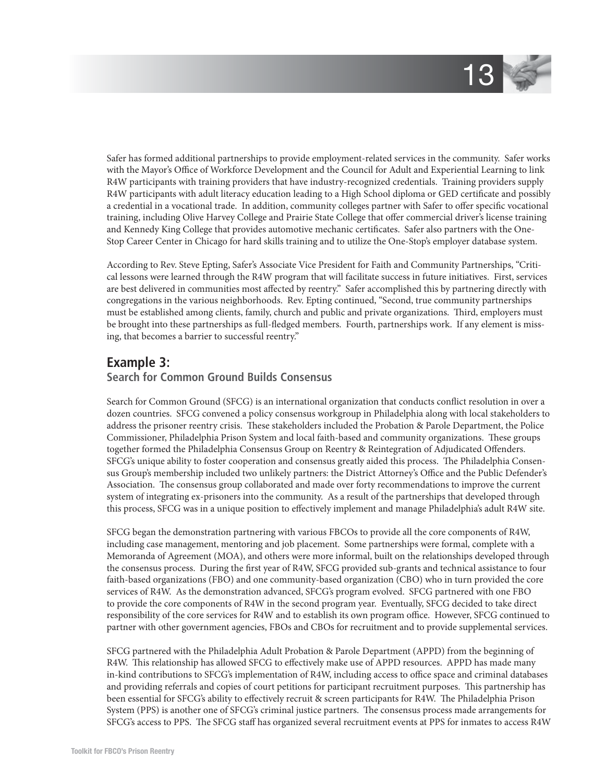

Safer has formed additional partnerships to provide employment-related services in the community. Safer works with the Mayor's Office of Workforce Development and the Council for Adult and Experiential Learning to link R4W participants with training providers that have industry-recognized credentials. Training providers supply R4W participants with adult literacy education leading to a High School diploma or GED certificate and possibly a credential in a vocational trade. In addition, community colleges partner with Safer to offer specific vocational training, including Olive Harvey College and Prairie State College that offer commercial driver's license training and Kennedy King College that provides automotive mechanic certificates. Safer also partners with the One-Stop Career Center in Chicago for hard skills training and to utilize the One-Stop's employer database system.

According to Rev. Steve Epting, Safer's Associate Vice President for Faith and Community Partnerships, "Critical lessons were learned through the R4W program that will facilitate success in future initiatives. First, services are best delivered in communities most affected by reentry." Safer accomplished this by partnering directly with congregations in the various neighborhoods. Rev. Epting continued, "Second, true community partnerships must be established among clients, family, church and public and private organizations. Third, employers must be brought into these partnerships as full-fledged members. Fourth, partnerships work. If any element is missing, that becomes a barrier to successful reentry."

## **Example 3:**

#### **Search for Common Ground Builds Consensus**

Search for Common Ground (SFCG) is an international organization that conducts conflict resolution in over a dozen countries. SFCG convened a policy consensus workgroup in Philadelphia along with local stakeholders to address the prisoner reentry crisis. These stakeholders included the Probation & Parole Department, the Police Commissioner, Philadelphia Prison System and local faith-based and community organizations. These groups together formed the Philadelphia Consensus Group on Reentry & Reintegration of Adjudicated Offenders. SFCG's unique ability to foster cooperation and consensus greatly aided this process. The Philadelphia Consensus Group's membership included two unlikely partners: the District Attorney's Office and the Public Defender's Association. The consensus group collaborated and made over forty recommendations to improve the current system of integrating ex-prisoners into the community. As a result of the partnerships that developed through this process, SFCG was in a unique position to effectively implement and manage Philadelphia's adult R4W site.

SFCG began the demonstration partnering with various FBCOs to provide all the core components of R4W, including case management, mentoring and job placement. Some partnerships were formal, complete with a Memoranda of Agreement (MOA), and others were more informal, built on the relationships developed through the consensus process. During the first year of R4W, SFCG provided sub-grants and technical assistance to four faith-based organizations (FBO) and one community-based organization (CBO) who in turn provided the core services of R4W. As the demonstration advanced, SFCG's program evolved. SFCG partnered with one FBO to provide the core components of R4W in the second program year. Eventually, SFCG decided to take direct responsibility of the core services for R4W and to establish its own program office. However, SFCG continued to partner with other government agencies, FBOs and CBOs for recruitment and to provide supplemental services.

SFCG partnered with the Philadelphia Adult Probation & Parole Department (APPD) from the beginning of R4W. This relationship has allowed SFCG to effectively make use of APPD resources. APPD has made many in-kind contributions to SFCG's implementation of R4W, including access to office space and criminal databases and providing referrals and copies of court petitions for participant recruitment purposes. This partnership has been essential for SFCG's ability to effectively recruit & screen participants for R4W. The Philadelphia Prison System (PPS) is another one of SFCG's criminal justice partners. The consensus process made arrangements for SFCG's access to PPS. The SFCG staff has organized several recruitment events at PPS for inmates to access R4W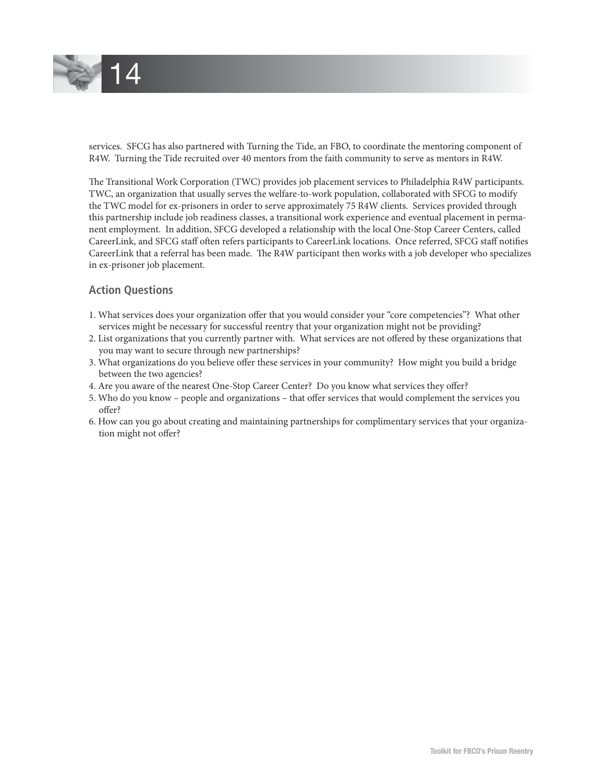

services. SFCG has also partnered with Turning the Tide, an FBO, to coordinate the mentoring component of R4W. Turning the Tide recruited over 40 mentors from the faith community to serve as mentors in R4W.

The Transitional Work Corporation (TWC) provides job placement services to Philadelphia R4W participants. TWC, an organization that usually serves the welfare-to-work population, collaborated with SFCG to modify the TWC model for ex-prisoners in order to serve approximately 75 R4W clients. Services provided through this partnership include job readiness classes, a transitional work experience and eventual placement in permanent employment. In addition, SFCG developed a relationship with the local One-Stop Career Centers, called CareerLink, and SFCG staff often refers participants to CareerLink locations. Once referred, SFCG staff notifies CareerLink that a referral has been made. The R4W participant then works with a job developer who specializes in ex-prisoner job placement.

#### **Action Questions**

- 1. What services does your organization offer that you would consider your "core competencies"? What other services might be necessary for successful reentry that your organization might not be providing?
- 2. List organizations that you currently partner with. What services are not offered by these organizations that you may want to secure through new partnerships?
- 3. What organizations do you believe offer these services in your community? How might you build a bridge between the two agencies?
- 4. Are you aware of the nearest One-Stop Career Center? Do you know what services they offer?
- 5. Who do you know people and organizations that offer services that would complement the services you offer?
- 6. How can you go about creating and maintaining partnerships for complimentary services that your organization might not offer?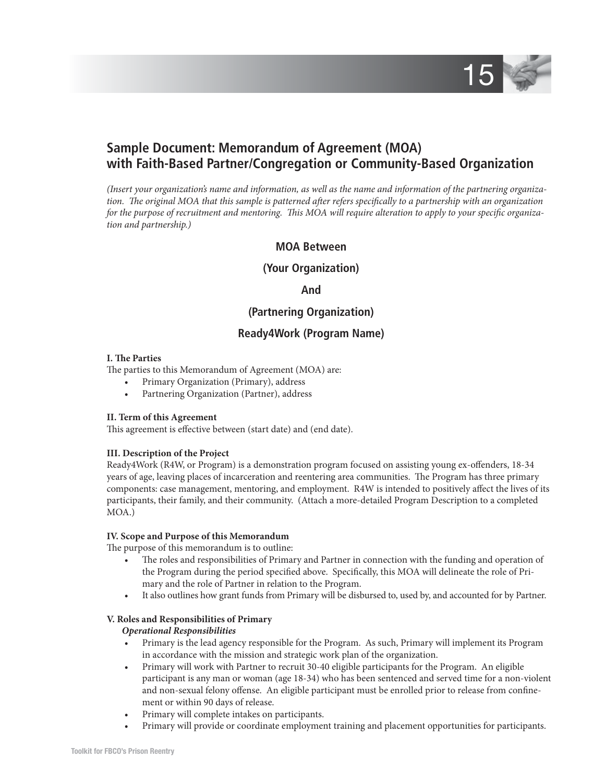

## **Sample Document: Memorandum of Agreement (MOA) with Faith-Based Partner/Congregation or Community-Based Organization**

*(Insert your organization's name and information, as well as the name and information of the partnering organiza*tion. The original MOA that this sample is patterned after refers specifically to a partnership with an organization for the purpose of recruitment and mentoring. This MOA will require alteration to apply to your specific organiza*tion and partnership.)*

#### **MOA Between**

#### **(Your Organization)**

**And**

#### **(Partnering Organization)**

#### **Ready4Work (Program Name)**

#### **I. The Parties**

The parties to this Memorandum of Agreement (MOA) are:

- Primary Organization (Primary), address
- Partnering Organization (Partner), address

#### **II. Term of this Agreement**

This agreement is effective between (start date) and (end date).

#### **III. Description of the Project**

Ready4Work (R4W, or Program) is a demonstration program focused on assisting young ex-offenders, 18-34 years of age, leaving places of incarceration and reentering area communities. The Program has three primary components: case management, mentoring, and employment. R4W is intended to positively affect the lives of its participants, their family, and their community. (Attach a more-detailed Program Description to a completed MOA.)

#### **IV. Scope and Purpose of this Memorandum**

The purpose of this memorandum is to outline:

- The roles and responsibilities of Primary and Partner in connection with the funding and operation of the Program during the period specified above. Specifically, this MOA will delineate the role of Primary and the role of Partner in relation to the Program.
- It also outlines how grant funds from Primary will be disbursed to, used by, and accounted for by Partner.

#### **V. Roles and Responsibilities of Primary**

#### *Operational Responsibilities*

- Primary is the lead agency responsible for the Program. As such, Primary will implement its Program in accordance with the mission and strategic work plan of the organization.
- Primary will work with Partner to recruit 30-40 eligible participants for the Program. An eligible participant is any man or woman (age 18-34) who has been sentenced and served time for a non-violent and non-sexual felony offense. An eligible participant must be enrolled prior to release from confinement or within 90 days of release.
- Primary will complete intakes on participants.
- Primary will provide or coordinate employment training and placement opportunities for participants.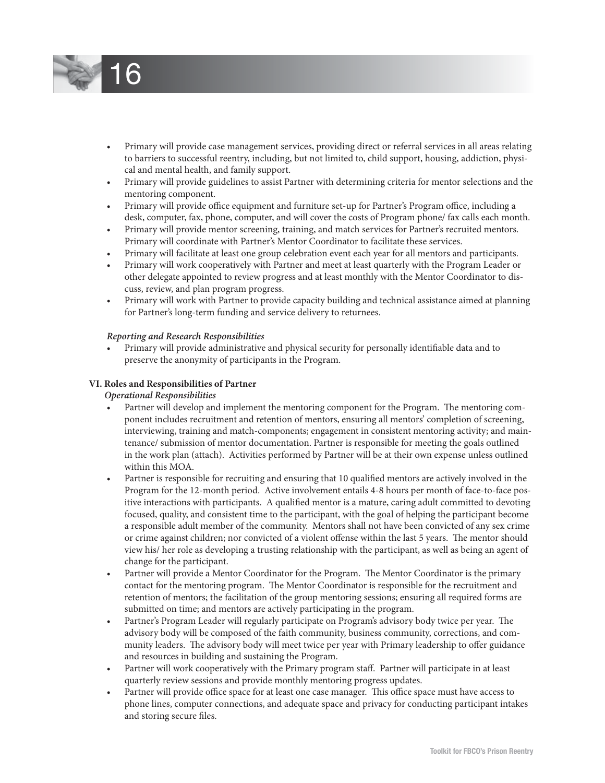

- Primary will provide case management services, providing direct or referral services in all areas relating to barriers to successful reentry, including, but not limited to, child support, housing, addiction, physical and mental health, and family support.
- Primary will provide guidelines to assist Partner with determining criteria for mentor selections and the mentoring component.
- Primary will provide office equipment and furniture set-up for Partner's Program office, including a desk, computer, fax, phone, computer, and will cover the costs of Program phone/ fax calls each month.
- Primary will provide mentor screening, training, and match services for Partner's recruited mentors. Primary will coordinate with Partner's Mentor Coordinator to facilitate these services.
- Primary will facilitate at least one group celebration event each year for all mentors and participants.
- Primary will work cooperatively with Partner and meet at least quarterly with the Program Leader or other delegate appointed to review progress and at least monthly with the Mentor Coordinator to discuss, review, and plan program progress.
- Primary will work with Partner to provide capacity building and technical assistance aimed at planning for Partner's long-term funding and service delivery to returnees.

#### *Reporting and Research Responsibilities*

Primary will provide administrative and physical security for personally identifiable data and to preserve the anonymity of participants in the Program.

#### **VI. Roles and Responsibilities of Partner**

#### *Operational Responsibilities*

- Partner will develop and implement the mentoring component for the Program. The mentoring component includes recruitment and retention of mentors, ensuring all mentors' completion of screening, interviewing, training and match-components; engagement in consistent mentoring activity; and maintenance/ submission of mentor documentation. Partner is responsible for meeting the goals outlined in the work plan (attach). Activities performed by Partner will be at their own expense unless outlined within this MOA.
- Partner is responsible for recruiting and ensuring that 10 qualified mentors are actively involved in the Program for the 12-month period. Active involvement entails 4-8 hours per month of face-to-face positive interactions with participants. A qualified mentor is a mature, caring adult committed to devoting focused, quality, and consistent time to the participant, with the goal of helping the participant become a responsible adult member of the community. Mentors shall not have been convicted of any sex crime or crime against children; nor convicted of a violent offense within the last 5 years. The mentor should view his/ her role as developing a trusting relationship with the participant, as well as being an agent of change for the participant.
- Partner will provide a Mentor Coordinator for the Program. The Mentor Coordinator is the primary contact for the mentoring program. The Mentor Coordinator is responsible for the recruitment and retention of mentors; the facilitation of the group mentoring sessions; ensuring all required forms are submitted on time; and mentors are actively participating in the program.
- Partner's Program Leader will regularly participate on Program's advisory body twice per year. The advisory body will be composed of the faith community, business community, corrections, and community leaders. The advisory body will meet twice per year with Primary leadership to offer guidance and resources in building and sustaining the Program.
- Partner will work cooperatively with the Primary program staff. Partner will participate in at least quarterly review sessions and provide monthly mentoring progress updates.
- Partner will provide office space for at least one case manager. This office space must have access to phone lines, computer connections, and adequate space and privacy for conducting participant intakes and storing secure files.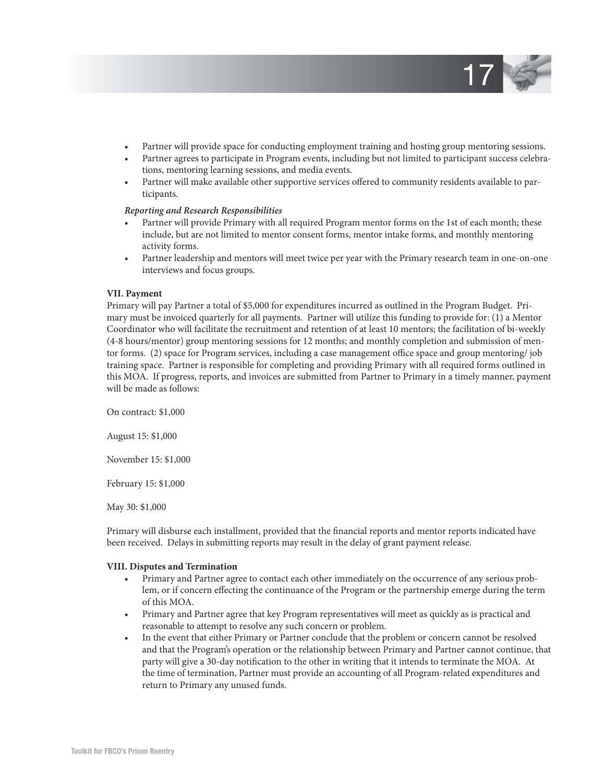

- Partner will provide space for conducting employment training and hosting group mentoring sessions.
- Partner agrees to participate in Program events, including but not limited to participant success celebrations, mentoring learning sessions, and media events.
- Partner will make available other supportive services offered to community residents available to participants.

#### *Reporting and Research Responsibilities*

- Partner will provide Primary with all required Program mentor forms on the 1st of each month; these include, but are not limited to mentor consent forms, mentor intake forms, and monthly mentoring activity forms.
- Partner leadership and mentors will meet twice per year with the Primary research team in one-on-one interviews and focus groups.

#### **VII. Payment**

Primary will pay Partner a total of \$5,000 for expenditures incurred as outlined in the Program Budget. Primary must be invoiced quarterly for all payments. Partner will utilize this funding to provide for: (1) a Mentor Coordinator who will facilitate the recruitment and retention of at least 10 mentors; the facilitation of bi-weekly (4-8 hours/mentor) group mentoring sessions for 12 months; and monthly completion and submission of mentor forms. (2) space for Program services, including a case management office space and group mentoring/ job training space. Partner is responsible for completing and providing Primary with all required forms outlined in this MOA. If progress, reports, and invoices are submitted from Partner to Primary in a timely manner, payment will be made as follows:

On contract: \$1,000

August 15: \$1,000

November 15: \$1,000

February 15: \$1,000

May 30: \$1,000

Primary will disburse each installment, provided that the financial reports and mentor reports indicated have been received. Delays in submitting reports may result in the delay of grant payment release.

#### **VIII. Disputes and Termination**

- Primary and Partner agree to contact each other immediately on the occurrence of any serious problem, or if concern effecting the continuance of the Program or the partnership emerge during the term of this MOA.
- Primary and Partner agree that key Program representatives will meet as quickly as is practical and reasonable to attempt to resolve any such concern or problem.
- In the event that either Primary or Partner conclude that the problem or concern cannot be resolved and that the Program's operation or the relationship between Primary and Partner cannot continue, that party will give a 30-day notification to the other in writing that it intends to terminate the MOA. At the time of termination, Partner must provide an accounting of all Program-related expenditures and return to Primary any unused funds.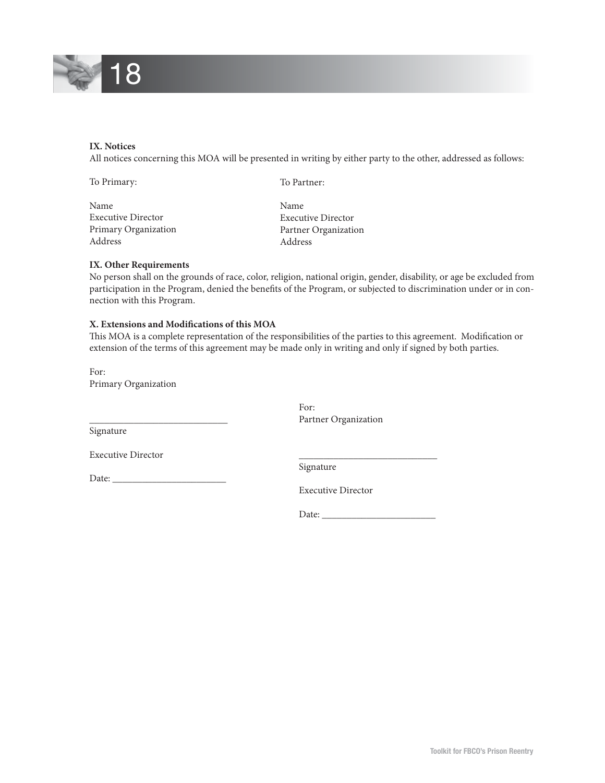

#### **IX. Notices**

All notices concerning this MOA will be presented in writing by either party to the other, addressed as follows:

| To Primary:               | To Partner:               |
|---------------------------|---------------------------|
| Name                      | <b>Name</b>               |
| <b>Executive Director</b> | <b>Executive Director</b> |
| Primary Organization      | Partner Organization      |
| Address                   | Address                   |

#### **IX. Other Requirements**

No person shall on the grounds of race, color, religion, national origin, gender, disability, or age be excluded from participation in the Program, denied the benefits of the Program, or subjected to discrimination under or in connection with this Program.

#### **X. Extensions and Modifications of this MOA**

This MOA is a complete representation of the responsibilities of the parties to this agreement. Modification or extension of the terms of this agreement may be made only in writing and only if signed by both parties.

For: Primary Organization

\_\_\_\_\_\_\_\_\_\_\_\_\_\_\_\_\_\_\_\_\_\_\_\_\_\_\_\_

For: Partner Organization

Signature

Date: \_\_\_\_\_\_\_\_\_\_\_\_\_\_\_\_\_\_\_\_\_\_\_

Executive Director

\_\_\_\_\_\_\_\_\_\_\_\_\_\_\_\_\_\_\_\_\_\_\_\_\_\_\_\_ Signature

Executive Director

Date: \_\_\_\_\_\_\_\_\_\_\_\_\_\_\_\_\_\_\_\_\_\_\_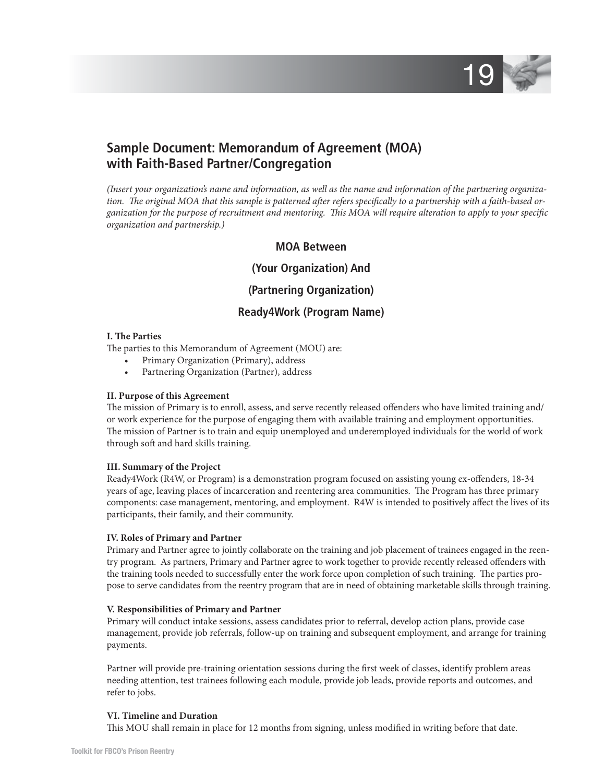

## **Sample Document: Memorandum of Agreement (MOA) with Faith-Based Partner/Congregation**

*(Insert your organization's name and information, as well as the name and information of the partnering organiza*tion. The original MOA that this sample is patterned after refers specifically to a partnership with a faith-based organization for the purpose of recruitment and mentoring. This MOA will require alteration to apply to your specific *organization and partnership.)*

#### **MOA Between**

#### **(Your Organization) And**

#### **(Partnering Organization)**

#### **Ready4Work (Program Name)**

#### **I. The Parties**

The parties to this Memorandum of Agreement (MOU) are:

- Primary Organization (Primary), address
- Partnering Organization (Partner), address

#### **II. Purpose of this Agreement**

The mission of Primary is to enroll, assess, and serve recently released offenders who have limited training and/ or work experience for the purpose of engaging them with available training and employment opportunities. The mission of Partner is to train and equip unemployed and underemployed individuals for the world of work through soft and hard skills training.

#### **III. Summary of the Project**

Ready4Work (R4W, or Program) is a demonstration program focused on assisting young ex-offenders, 18-34 years of age, leaving places of incarceration and reentering area communities. The Program has three primary components: case management, mentoring, and employment. R4W is intended to positively affect the lives of its participants, their family, and their community.

#### **IV. Roles of Primary and Partner**

Primary and Partner agree to jointly collaborate on the training and job placement of trainees engaged in the reentry program. As partners, Primary and Partner agree to work together to provide recently released offenders with the training tools needed to successfully enter the work force upon completion of such training. The parties propose to serve candidates from the reentry program that are in need of obtaining marketable skills through training.

#### **V. Responsibilities of Primary and Partner**

Primary will conduct intake sessions, assess candidates prior to referral, develop action plans, provide case management, provide job referrals, follow-up on training and subsequent employment, and arrange for training payments.

Partner will provide pre-training orientation sessions during the first week of classes, identify problem areas needing attention, test trainees following each module, provide job leads, provide reports and outcomes, and refer to jobs.

#### **VI. Timeline and Duration**

This MOU shall remain in place for 12 months from signing, unless modified in writing before that date.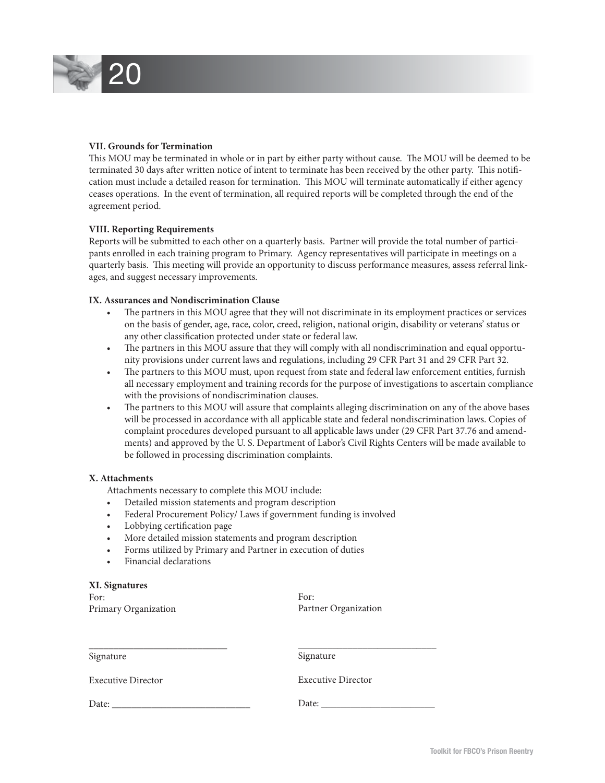

#### **VII. Grounds for Termination**

This MOU may be terminated in whole or in part by either party without cause. The MOU will be deemed to be terminated 30 days after written notice of intent to terminate has been received by the other party. This notification must include a detailed reason for termination. This MOU will terminate automatically if either agency ceases operations. In the event of termination, all required reports will be completed through the end of the agreement period.

#### **VIII. Reporting Requirements**

Reports will be submitted to each other on a quarterly basis. Partner will provide the total number of participants enrolled in each training program to Primary. Agency representatives will participate in meetings on a quarterly basis. This meeting will provide an opportunity to discuss performance measures, assess referral linkages, and suggest necessary improvements.

#### **IX. Assurances and Nondiscrimination Clause**

- The partners in this MOU agree that they will not discriminate in its employment practices or services on the basis of gender, age, race, color, creed, religion, national origin, disability or veterans' status or any other classification protected under state or federal law.
- The partners in this MOU assure that they will comply with all nondiscrimination and equal opportunity provisions under current laws and regulations, including 29 CFR Part 31 and 29 CFR Part 32.
- The partners to this MOU must, upon request from state and federal law enforcement entities, furnish all necessary employment and training records for the purpose of investigations to ascertain compliance with the provisions of nondiscrimination clauses.
- The partners to this MOU will assure that complaints alleging discrimination on any of the above bases will be processed in accordance with all applicable state and federal nondiscrimination laws. Copies of complaint procedures developed pursuant to all applicable laws under (29 CFR Part 37.76 and amendments) and approved by the U. S. Department of Labor's Civil Rights Centers will be made available to be followed in processing discrimination complaints.

#### **X. Attachments**

**XI. Signatures** 

Attachments necessary to complete this MOU include:

- Detailed mission statements and program description
- Federal Procurement Policy/ Laws if government funding is involved
- Lobbying certification page
- More detailed mission statements and program description
- Forms utilized by Primary and Partner in execution of duties
- Financial declarations

| лі. эіднаштез        |                      |
|----------------------|----------------------|
| For:                 | For:                 |
| Primary Organization | Partner Organization |
|                      |                      |
|                      |                      |
|                      |                      |

| Signature                 | Signature                 |
|---------------------------|---------------------------|
| <b>Executive Director</b> | <b>Executive Director</b> |
| Date:                     | Date:                     |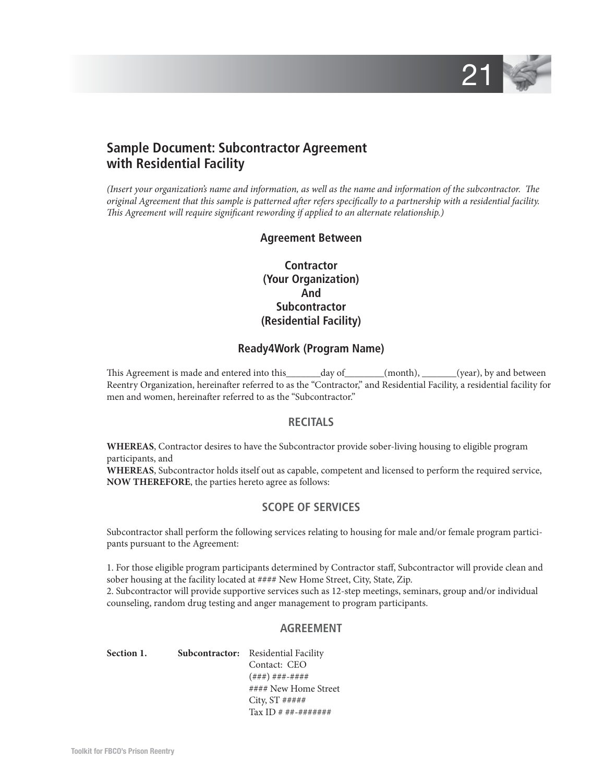

## **Sample Document: Subcontractor Agreement with Residential Facility**

*(Insert your organization's name and information, as well as the name and information of the subcontractor. The original Agreement that this sample is patterned after refers specifically to a partnership with a residential facility. This Agreement will require significant rewording if applied to an alternate relationship.*)

#### **Agreement Between**

**Contractor (Your Organization) And Subcontractor (Residential Facility)**

#### **Ready4Work (Program Name)**

This Agreement is made and entered into this\_\_\_\_\_\_\_day of\_\_\_\_\_\_\_(month), \_\_\_\_\_\_(year), by and between Reentry Organization, hereinafter referred to as the "Contractor," and Residential Facility, a residential facility for men and women, hereinafter referred to as the "Subcontractor."

#### **RECITALS**

**WHEREAS**, Contractor desires to have the Subcontractor provide sober-living housing to eligible program participants, and

**WHEREAS**, Subcontractor holds itself out as capable, competent and licensed to perform the required service, **NOW THEREFORE**, the parties hereto agree as follows:

#### **SCOPE OF SERVICES**

Subcontractor shall perform the following services relating to housing for male and/or female program participants pursuant to the Agreement:

1. For those eligible program participants determined by Contractor staff , Subcontractor will provide clean and sober housing at the facility located at #### New Home Street, City, State, Zip.

2. Subcontractor will provide supportive services such as 12-step meetings, seminars, group and/or individual counseling, random drug testing and anger management to program participants.

#### **AGREEMENT**

Section 1. Subcontractor: Residential Facility Contact: CEO (###) ###-#### #### New Home Street City, ST ##### Tax ID # ##-#######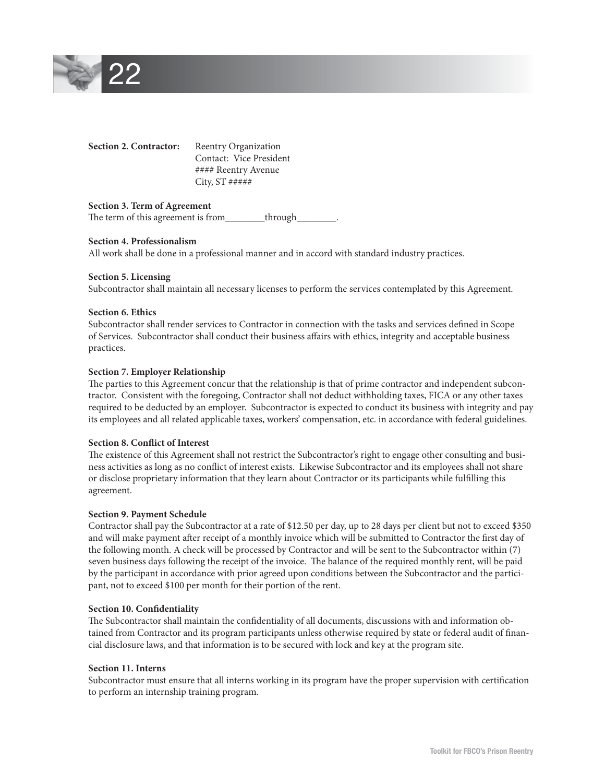

| <b>Section 2. Contractor:</b> | <b>Reentry Organization</b> |
|-------------------------------|-----------------------------|
|                               | Contact: Vice President     |
|                               | #### Reentry Avenue         |
|                               | City, $ST$ #####            |
|                               |                             |

#### **Section 3. Term of Agreement**

The term of this agreement is from\_\_\_\_\_\_\_\_through\_

#### **Section 4. Professionalism**

All work shall be done in a professional manner and in accord with standard industry practices.

#### **Section 5. Licensing**

Subcontractor shall maintain all necessary licenses to perform the services contemplated by this Agreement.

#### **Section 6. Ethics**

Subcontractor shall render services to Contractor in connection with the tasks and services defined in Scope of Services. Subcontractor shall conduct their business affairs with ethics, integrity and acceptable business practices.

#### **Section 7. Employer Relationship**

The parties to this Agreement concur that the relationship is that of prime contractor and independent subcontractor. Consistent with the foregoing, Contractor shall not deduct withholding taxes, FICA or any other taxes required to be deducted by an employer. Subcontractor is expected to conduct its business with integrity and pay its employees and all related applicable taxes, workers' compensation, etc. in accordance with federal guidelines.

#### **Section 8. Conflict of Interest**

The existence of this Agreement shall not restrict the Subcontractor's right to engage other consulting and business activities as long as no conflict of interest exists. Likewise Subcontractor and its employees shall not share or disclose proprietary information that they learn about Contractor or its participants while fulfilling this agreement.

#### **Section 9. Payment Schedule**

Contractor shall pay the Subcontractor at a rate of \$12.50 per day, up to 28 days per client but not to exceed \$350 and will make payment after receipt of a monthly invoice which will be submitted to Contractor the first day of the following month. A check will be processed by Contractor and will be sent to the Subcontractor within (7) seven business days following the receipt of the invoice. The balance of the required monthly rent, will be paid by the participant in accordance with prior agreed upon conditions between the Subcontractor and the participant, not to exceed \$100 per month for their portion of the rent.

#### **Section 10. Confidentiality**

The Subcontractor shall maintain the confidentiality of all documents, discussions with and information obtained from Contractor and its program participants unless otherwise required by state or federal audit of financial disclosure laws, and that information is to be secured with lock and key at the program site.

#### **Section 11. Interns**

Subcontractor must ensure that all interns working in its program have the proper supervision with certification to perform an internship training program.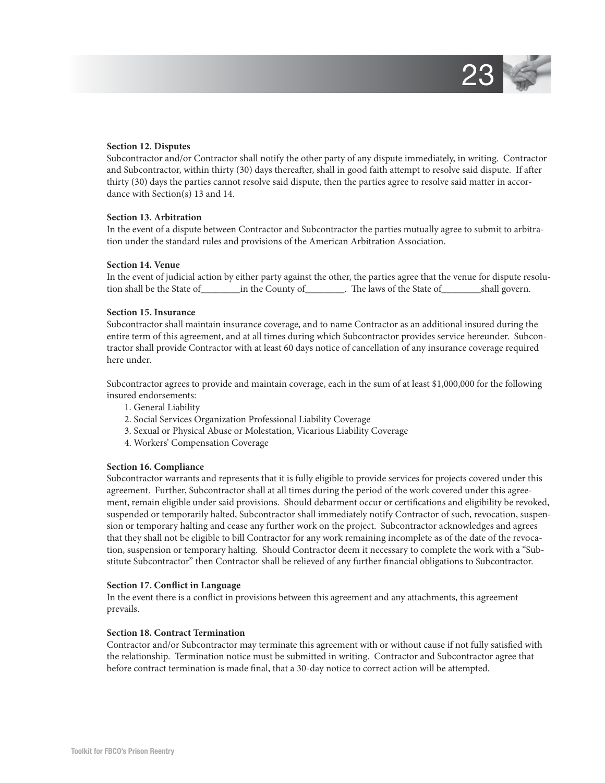

#### **Section 12. Disputes**

Subcontractor and/or Contractor shall notify the other party of any dispute immediately, in writing. Contractor and Subcontractor, within thirty (30) days thereafter, shall in good faith attempt to resolve said dispute. If after thirty (30) days the parties cannot resolve said dispute, then the parties agree to resolve said matter in accordance with Section(s) 13 and 14.

#### **Section 13. Arbitration**

In the event of a dispute between Contractor and Subcontractor the parties mutually agree to submit to arbitration under the standard rules and provisions of the American Arbitration Association.

#### **Section 14. Venue**

In the event of judicial action by either party against the other, the parties agree that the venue for dispute resolution shall be the State of\_\_\_\_\_\_\_\_in the County of\_\_\_\_\_\_\_\_. The laws of the State of\_\_\_\_\_\_\_\_shall govern.

#### **Section 15. Insurance**

Subcontractor shall maintain insurance coverage, and to name Contractor as an additional insured during the entire term of this agreement, and at all times during which Subcontractor provides service hereunder. Subcontractor shall provide Contractor with at least 60 days notice of cancellation of any insurance coverage required here under.

Subcontractor agrees to provide and maintain coverage, each in the sum of at least \$1,000,000 for the following insured endorsements:

- 1. General Liability
- 2. Social Services Organization Professional Liability Coverage
- 3. Sexual or Physical Abuse or Molestation, Vicarious Liability Coverage
- 4. Workers' Compensation Coverage

#### **Section 16. Compliance**

Subcontractor warrants and represents that it is fully eligible to provide services for projects covered under this agreement. Further, Subcontractor shall at all times during the period of the work covered under this agreement, remain eligible under said provisions. Should debarment occur or certifications and eligibility be revoked, suspended or temporarily halted, Subcontractor shall immediately notify Contractor of such, revocation, suspension or temporary halting and cease any further work on the project. Subcontractor acknowledges and agrees that they shall not be eligible to bill Contractor for any work remaining incomplete as of the date of the revocation, suspension or temporary halting. Should Contractor deem it necessary to complete the work with a "Substitute Subcontractor" then Contractor shall be relieved of any further financial obligations to Subcontractor.

#### **Section 17. Conflict in Language**

In the event there is a conflict in provisions between this agreement and any attachments, this agreement prevails.

#### **Section 18. Contract Termination**

Contractor and/or Subcontractor may terminate this agreement with or without cause if not fully satisfied with the relationship. Termination notice must be submitted in writing. Contractor and Subcontractor agree that before contract termination is made final, that a 30-day notice to correct action will be attempted.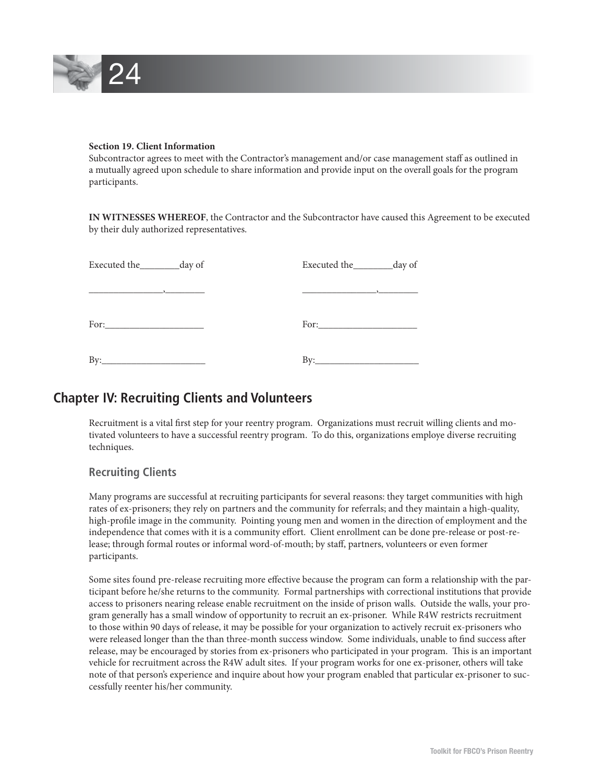

#### **Section 19. Client Information**

Subcontractor agrees to meet with the Contractor's management and/or case management staff as outlined in a mutually agreed upon schedule to share information and provide input on the overall goals for the program participants.

**IN WITNESSES WHEREOF**, the Contractor and the Subcontractor have caused this Agreement to be executed by their duly authorized representatives.

| Executed the __________ day of | Executed the ____________day of |
|--------------------------------|---------------------------------|
|                                |                                 |
|                                | For: $\qquad \qquad$            |
| By:                            | By:                             |

## **Chapter IV: Recruiting Clients and Volunteers**

Recruitment is a vital first step for your reentry program. Organizations must recruit willing clients and motivated volunteers to have a successful reentry program. To do this, organizations employe diverse recruiting techniques.

#### **Recruiting Clients**

Many programs are successful at recruiting participants for several reasons: they target communities with high rates of ex-prisoners; they rely on partners and the community for referrals; and they maintain a high-quality, high-profile image in the community. Pointing young men and women in the direction of employment and the independence that comes with it is a community effort. Client enrollment can be done pre-release or post-release; through formal routes or informal word-of-mouth; by staff, partners, volunteers or even former participants.

Some sites found pre-release recruiting more effective because the program can form a relationship with the participant before he/she returns to the community. Formal partnerships with correctional institutions that provide access to prisoners nearing release enable recruitment on the inside of prison walls. Outside the walls, your program generally has a small window of opportunity to recruit an ex-prisoner. While R4W restricts recruitment to those within 90 days of release, it may be possible for your organization to actively recruit ex-prisoners who were released longer than the than three-month success window. Some individuals, unable to find success after release, may be encouraged by stories from ex-prisoners who participated in your program. This is an important vehicle for recruitment across the R4W adult sites. If your program works for one ex-prisoner, others will take note of that person's experience and inquire about how your program enabled that particular ex-prisoner to successfully reenter his/her community.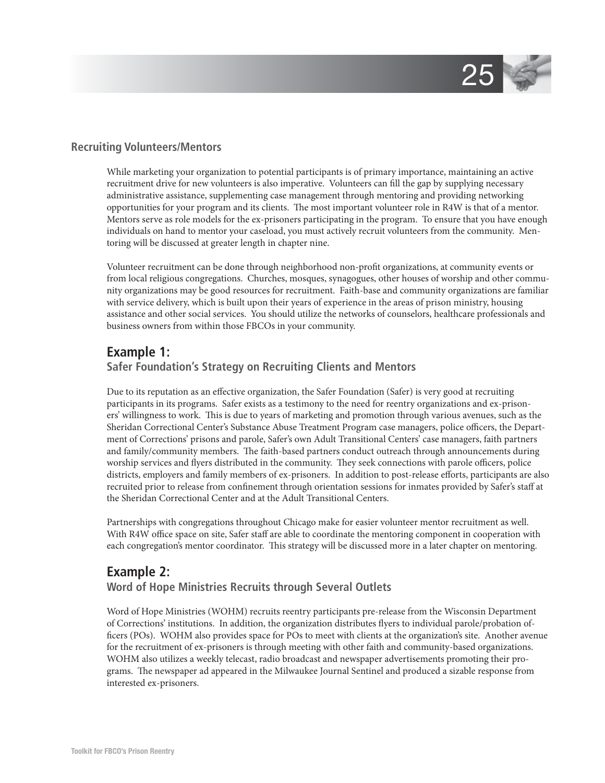

#### **Recruiting Volunteers/Mentors**

While marketing your organization to potential participants is of primary importance, maintaining an active recruitment drive for new volunteers is also imperative. Volunteers can fill the gap by supplying necessary administrative assistance, supplementing case management through mentoring and providing networking opportunities for your program and its clients. The most important volunteer role in R4W is that of a mentor. Mentors serve as role models for the ex-prisoners participating in the program. To ensure that you have enough individuals on hand to mentor your caseload, you must actively recruit volunteers from the community. Mentoring will be discussed at greater length in chapter nine.

Volunteer recruitment can be done through neighborhood non-profi t organizations, at community events or from local religious congregations. Churches, mosques, synagogues, other houses of worship and other community organizations may be good resources for recruitment. Faith-base and community organizations are familiar with service delivery, which is built upon their years of experience in the areas of prison ministry, housing assistance and other social services. You should utilize the networks of counselors, healthcare professionals and business owners from within those FBCOs in your community.

## **Example 1:**

#### **Safer Foundation's Strategy on Recruiting Clients and Mentors**

Due to its reputation as an effective organization, the Safer Foundation (Safer) is very good at recruiting participants in its programs. Safer exists as a testimony to the need for reentry organizations and ex-prisoners' willingness to work. This is due to years of marketing and promotion through various avenues, such as the Sheridan Correctional Center's Substance Abuse Treatment Program case managers, police officers, the Department of Corrections' prisons and parole, Safer's own Adult Transitional Centers' case managers, faith partners and family/community members. The faith-based partners conduct outreach through announcements during worship services and flyers distributed in the community. They seek connections with parole officers, police districts, employers and family members of ex-prisoners. In addition to post-release efforts, participants are also recruited prior to release from confinement through orientation sessions for inmates provided by Safer's staff at the Sheridan Correctional Center and at the Adult Transitional Centers.

Partnerships with congregations throughout Chicago make for easier volunteer mentor recruitment as well. With R4W office space on site, Safer staff are able to coordinate the mentoring component in cooperation with each congregation's mentor coordinator. This strategy will be discussed more in a later chapter on mentoring.

## **Example 2: Word of Hope Ministries Recruits through Several Outlets**

Word of Hope Ministries (WOHM) recruits reentry participants pre-release from the Wisconsin Department of Corrections' institutions. In addition, the organization distributes flyers to individual parole/probation officers (POs). WOHM also provides space for POs to meet with clients at the organization's site. Another avenue for the recruitment of ex-prisoners is through meeting with other faith and community-based organizations. WOHM also utilizes a weekly telecast, radio broadcast and newspaper advertisements promoting their programs. The newspaper ad appeared in the Milwaukee Journal Sentinel and produced a sizable response from interested ex-prisoners.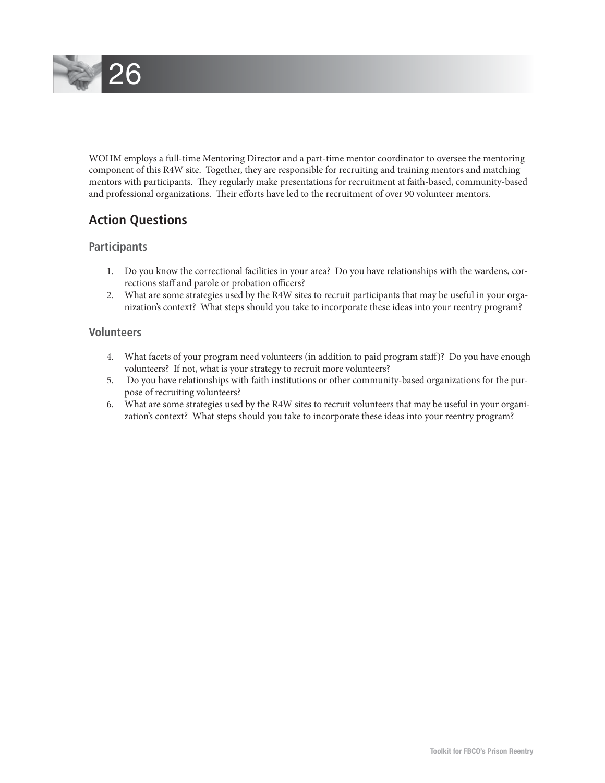

WOHM employs a full-time Mentoring Director and a part-time mentor coordinator to oversee the mentoring component of this R4W site. Together, they are responsible for recruiting and training mentors and matching mentors with participants. They regularly make presentations for recruitment at faith-based, community-based and professional organizations. Their efforts have led to the recruitment of over 90 volunteer mentors.

## **Action Questions**

#### **Participants**

- 1. Do you know the correctional facilities in your area? Do you have relationships with the wardens, corrections staff and parole or probation officers?
- 2. What are some strategies used by the R4W sites to recruit participants that may be useful in your organization's context? What steps should you take to incorporate these ideas into your reentry program?

#### **Volunteers**

- 4. What facets of your program need volunteers (in addition to paid program staff )? Do you have enough volunteers? If not, what is your strategy to recruit more volunteers?
- 5. Do you have relationships with faith institutions or other community-based organizations for the purpose of recruiting volunteers?
- 6. What are some strategies used by the R4W sites to recruit volunteers that may be useful in your organization's context? What steps should you take to incorporate these ideas into your reentry program?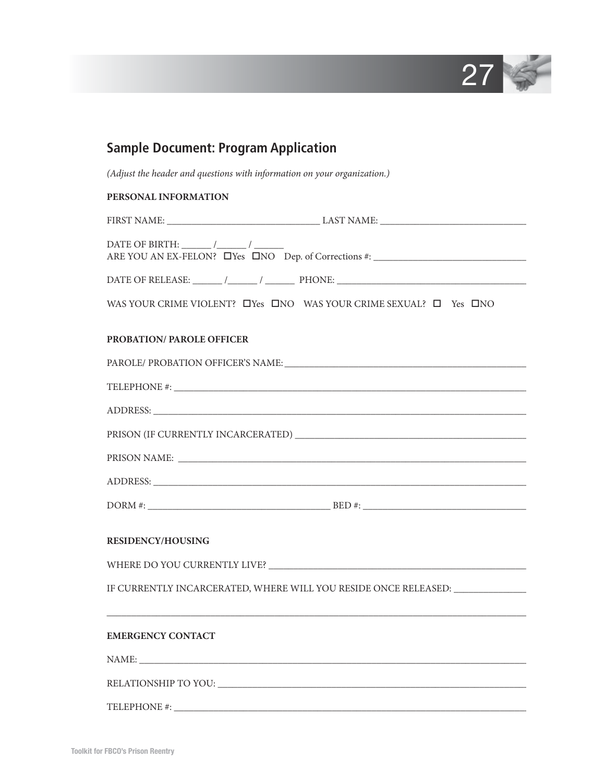

|                           | (Adjust the header and questions with information on your organization.)                   |
|---------------------------|--------------------------------------------------------------------------------------------|
| PERSONAL INFORMATION      |                                                                                            |
|                           |                                                                                            |
|                           | ARE YOU AN EX-FELON? D'es DNO Dep. of Corrections #:                                       |
|                           | DATE OF RELEASE: $\_\_\_\_\_\_\_\_\_\$ PHONE: $\_\_\_\_\_\_\_\_\_\_\_\_\_\_\_\_\_\_\_\_\_$ |
|                           | WAS YOUR CRIME VIOLENT? $\Box$ Yes $\Box$ NO WAS YOUR CRIME SEXUAL? $\Box$ Yes $\Box$ NO   |
| PROBATION/ PAROLE OFFICER |                                                                                            |
|                           |                                                                                            |
|                           |                                                                                            |
|                           |                                                                                            |
|                           |                                                                                            |
|                           |                                                                                            |
|                           |                                                                                            |
|                           |                                                                                            |
| <b>RESIDENCY/HOUSING</b>  |                                                                                            |
|                           |                                                                                            |
|                           | IF CURRENTLY INCARCERATED, WHERE WILL YOU RESIDE ONCE RELEASED: UNIT                       |
|                           |                                                                                            |
| <b>EMERGENCY CONTACT</b>  |                                                                                            |
|                           | NAME:                                                                                      |
|                           |                                                                                            |
|                           |                                                                                            |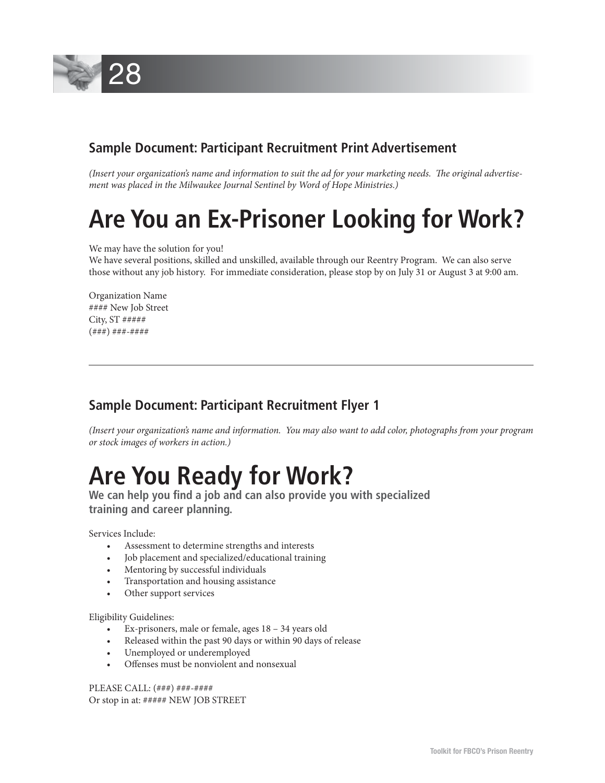

## **Sample Document: Participant Recruitment Print Advertisement**

(Insert your organization's name and information to suit the ad for your marketing needs. The original advertise*ment was placed in the Milwaukee Journal Sentinel by Word of Hope Ministries.)*

## **Are You an Ex-Prisoner Looking for Work?**

We may have the solution for you!

We have several positions, skilled and unskilled, available through our Reentry Program. We can also serve those without any job history. For immediate consideration, please stop by on July 31 or August 3 at 9:00 am.

Organization Name #### New Job Street City, ST ##### (###) ###-####

## **Sample Document: Participant Recruitment Flyer 1**

*(Insert your organization's name and information. You may also want to add color, photographs from your program or stock images of workers in action.)*

# **Are You Ready for Work?** We can help you find a job and can also provide you with specialized **Work**

 **training and career planning.** 

Services Include:

- Assessment to determine strengths and interests
- Job placement and specialized/educational training
- Mentoring by successful individuals
- Transportation and housing assistance
- Other support services

Eligibility Guidelines:

- Ex-prisoners, male or female, ages 18 34 years old
- Released within the past 90 days or within 90 days of release
- Unemployed or underemployed
- Offenses must be nonviolent and nonsexual

PLEASE CALL: (###) ###-#### Or stop in at: ##### NEW JOB STREET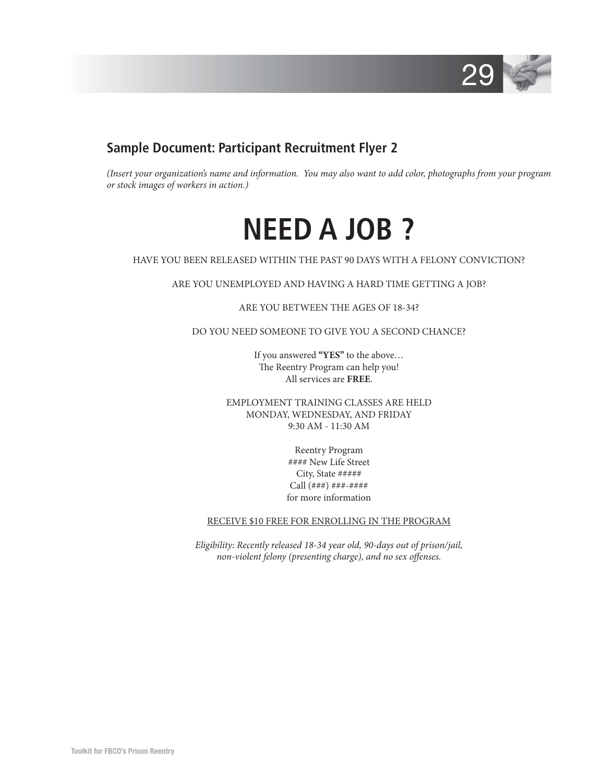

## **Sample Document: Participant Recruitment Flyer 2**

*(Insert your organization's name and information. You may also want to add color, photographs from your program or stock images of workers in action.)*

**NEED A JOB ?**

HAVE YOU BEEN RELEASED WITHIN THE PAST 90 DAYS WITH A FELONY CONVICTION?

ARE YOU UNEMPLOYED AND HAVING A HARD TIME GETTING A JOB?

ARE YOU BETWEEN THE AGES OF 18-34?

DO YOU NEED SOMEONE TO GIVE YOU A SECOND CHANCE?

If you answered **"YES"** to the above… The Reentry Program can help you! All services are **FREE**.

EMPLOYMENT TRAINING CLASSES ARE HELD MONDAY, WEDNESDAY, AND FRIDAY 9:30 AM - 11:30 AM

> Reentry Program #### New Life Street City, State ##### Call  $($ ### $)$  ### $-$ ##### for more information

#### RECEIVE \$10 FREE FOR ENROLLING IN THE PROGRAM

*Eligibility: Recently released 18-34 year old, 90-days out of prison/jail, non-violent felony (presenting charge), and no sex offenses.*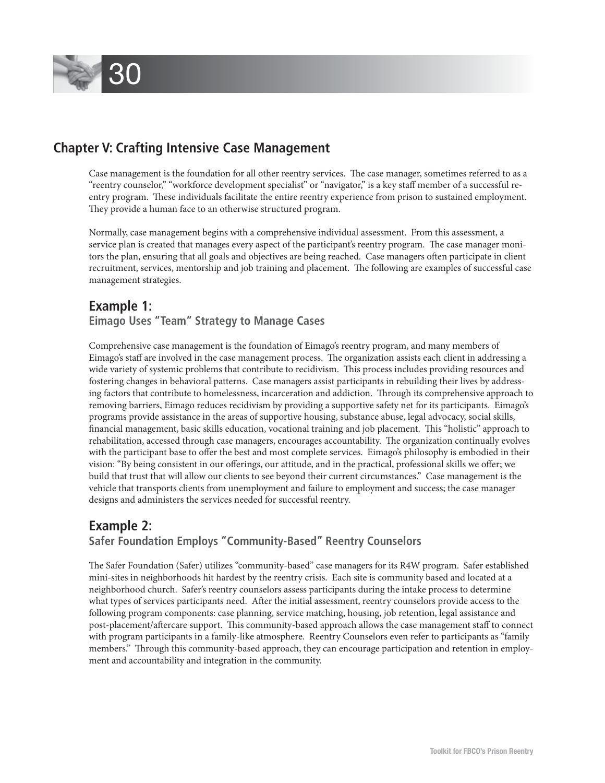

## **Chapter V: Crafting Intensive Case Management**

Case management is the foundation for all other reentry services. The case manager, sometimes referred to as a "reentry counselor," "workforce development specialist" or "navigator," is a key staff member of a successful reentry program. These individuals facilitate the entire reentry experience from prison to sustained employment. They provide a human face to an otherwise structured program.

Normally, case management begins with a comprehensive individual assessment. From this assessment, a service plan is created that manages every aspect of the participant's reentry program. The case manager monitors the plan, ensuring that all goals and objectives are being reached. Case managers often participate in client recruitment, services, mentorship and job training and placement. The following are examples of successful case management strategies.

## **Example 1: Eimago Uses "Team" Strategy to Manage Cases**

Comprehensive case management is the foundation of Eimago's reentry program, and many members of Eimago's staff are involved in the case management process. The organization assists each client in addressing a wide variety of systemic problems that contribute to recidivism. This process includes providing resources and fostering changes in behavioral patterns. Case managers assist participants in rebuilding their lives by addressing factors that contribute to homelessness, incarceration and addiction. Through its comprehensive approach to removing barriers, Eimago reduces recidivism by providing a supportive safety net for its participants. Eimago's programs provide assistance in the areas of supportive housing, substance abuse, legal advocacy, social skills, financial management, basic skills education, vocational training and job placement. This "holistic" approach to rehabilitation, accessed through case managers, encourages accountability. The organization continually evolves with the participant base to offer the best and most complete services. Eimago's philosophy is embodied in their vision: "By being consistent in our offerings, our attitude, and in the practical, professional skills we offer; we build that trust that will allow our clients to see beyond their current circumstances." Case management is the vehicle that transports clients from unemployment and failure to employment and success; the case manager designs and administers the services needed for successful reentry.

## **Example 2: Safer Foundation Employs "Community-Based" Reentry Counselors**

The Safer Foundation (Safer) utilizes "community-based" case managers for its R4W program. Safer established mini-sites in neighborhoods hit hardest by the reentry crisis. Each site is community based and located at a neighborhood church. Safer's reentry counselors assess participants during the intake process to determine what types of services participants need. After the initial assessment, reentry counselors provide access to the following program components: case planning, service matching, housing, job retention, legal assistance and post-placement/aftercare support. This community-based approach allows the case management staff to connect with program participants in a family-like atmosphere. Reentry Counselors even refer to participants as "family members." Through this community-based approach, they can encourage participation and retention in employment and accountability and integration in the community.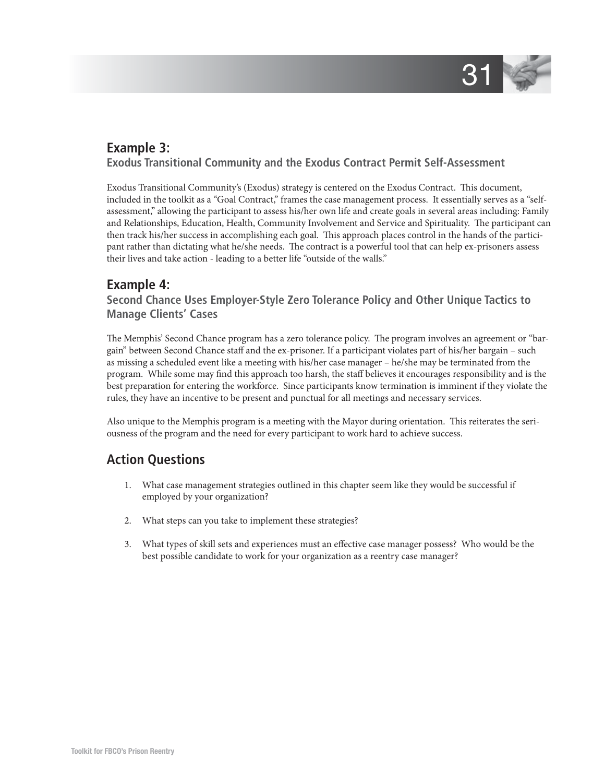

## **Example 3:**

 **Exodus Transitional Community and the Exodus Contract Permit Self-Assessment**

Exodus Transitional Community's (Exodus) strategy is centered on the Exodus Contract. This document, included in the toolkit as a "Goal Contract," frames the case management process. It essentially serves as a "selfassessment," allowing the participant to assess his/her own life and create goals in several areas including: Family and Relationships, Education, Health, Community Involvement and Service and Spirituality. The participant can then track his/her success in accomplishing each goal. This approach places control in the hands of the participant rather than dictating what he/she needs. The contract is a powerful tool that can help ex-prisoners assess their lives and take action - leading to a better life "outside of the walls."

## **Example 4:**

 **Second Chance Uses Employer-Style Zero Tolerance Policy and Other Unique Tactics to Manage Clients' Cases**

The Memphis' Second Chance program has a zero tolerance policy. The program involves an agreement or "bargain" between Second Chance staff and the ex-prisoner. If a participant violates part of his/her bargain – such as missing a scheduled event like a meeting with his/her case manager – he/she may be terminated from the program. While some may find this approach too harsh, the staff believes it encourages responsibility and is the best preparation for entering the workforce. Since participants know termination is imminent if they violate the rules, they have an incentive to be present and punctual for all meetings and necessary services.

Also unique to the Memphis program is a meeting with the Mayor during orientation. This reiterates the seriousness of the program and the need for every participant to work hard to achieve success.

## **Action Questions**

- 1. What case management strategies outlined in this chapter seem like they would be successful if employed by your organization?
- 2. What steps can you take to implement these strategies?
- 3. What types of skill sets and experiences must an effective case manager possess? Who would be the best possible candidate to work for your organization as a reentry case manager?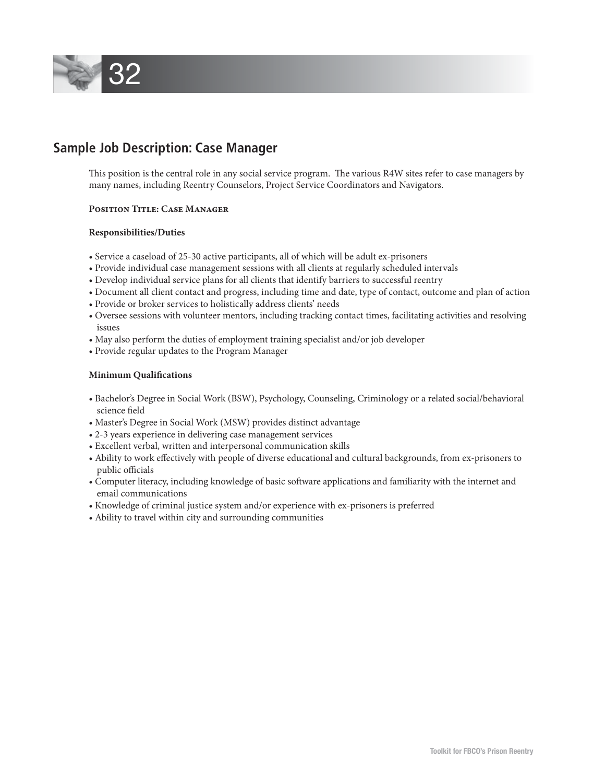

## **Sample Job Description: Case Manager**

This position is the central role in any social service program. The various R4W sites refer to case managers by many names, including Reentry Counselors, Project Service Coordinators and Navigators.

#### **Position Title: Case Manager**

#### **Responsibilities/Duties**

- Service a caseload of 25-30 active participants, all of which will be adult ex-prisoners
- Provide individual case management sessions with all clients at regularly scheduled intervals
- Develop individual service plans for all clients that identify barriers to successful reentry
- Document all client contact and progress, including time and date, type of contact, outcome and plan of action
- Provide or broker services to holistically address clients' needs
- Oversee sessions with volunteer mentors, including tracking contact times, facilitating activities and resolving issues
- May also perform the duties of employment training specialist and/or job developer
- Provide regular updates to the Program Manager

#### **Minimum Qualifications**

- Bachelor's Degree in Social Work (BSW), Psychology, Counseling, Criminology or a related social/behavioral science field
- Master's Degree in Social Work (MSW) provides distinct advantage
- 2-3 years experience in delivering case management services
- Excellent verbal, written and interpersonal communication skills
- Ability to work effectively with people of diverse educational and cultural backgrounds, from ex-prisoners to public officials
- Computer literacy, including knowledge of basic software applications and familiarity with the internet and email communications
- Knowledge of criminal justice system and/or experience with ex-prisoners is preferred
- Ability to travel within city and surrounding communities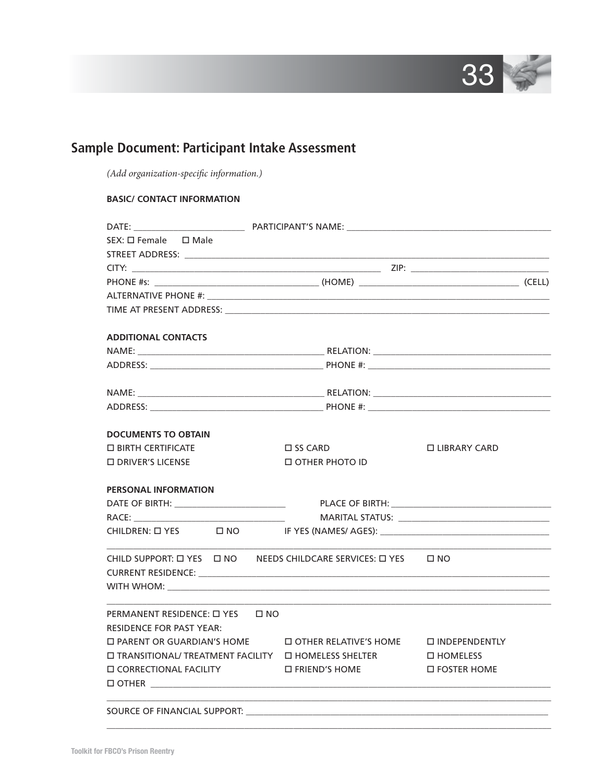

# **Sample Document: Participant Intake Assessment**

*(Add organization-specific information.)* 

## **BASIC/ CONTACT INFORMATION**

| $SEX: \Box$ Female $\Box$ Male                                                                                                                                                                                                |                                                                       |                         |                                                         |  |  |  |  |
|-------------------------------------------------------------------------------------------------------------------------------------------------------------------------------------------------------------------------------|-----------------------------------------------------------------------|-------------------------|---------------------------------------------------------|--|--|--|--|
|                                                                                                                                                                                                                               |                                                                       |                         |                                                         |  |  |  |  |
|                                                                                                                                                                                                                               |                                                                       |                         |                                                         |  |  |  |  |
|                                                                                                                                                                                                                               |                                                                       |                         |                                                         |  |  |  |  |
|                                                                                                                                                                                                                               |                                                                       |                         |                                                         |  |  |  |  |
|                                                                                                                                                                                                                               |                                                                       |                         |                                                         |  |  |  |  |
| <b>ADDITIONAL CONTACTS</b>                                                                                                                                                                                                    |                                                                       |                         |                                                         |  |  |  |  |
|                                                                                                                                                                                                                               |                                                                       |                         |                                                         |  |  |  |  |
|                                                                                                                                                                                                                               |                                                                       |                         |                                                         |  |  |  |  |
|                                                                                                                                                                                                                               |                                                                       |                         |                                                         |  |  |  |  |
|                                                                                                                                                                                                                               |                                                                       |                         |                                                         |  |  |  |  |
| <b>DOCUMENTS TO OBTAIN</b>                                                                                                                                                                                                    |                                                                       |                         |                                                         |  |  |  |  |
| $\Box$ BIRTH CERTIFICATE                                                                                                                                                                                                      |                                                                       | $\square$ SS CARD       | □ LIBRARY CARD                                          |  |  |  |  |
| □ DRIVER'S LICENSE                                                                                                                                                                                                            |                                                                       | <b>OTHER PHOTO ID</b>   |                                                         |  |  |  |  |
| <b>PERSONAL INFORMATION</b>                                                                                                                                                                                                   |                                                                       |                         |                                                         |  |  |  |  |
|                                                                                                                                                                                                                               |                                                                       |                         |                                                         |  |  |  |  |
| RACE: and the state of the state of the state of the state of the state of the state of the state of the state of the state of the state of the state of the state of the state of the state of the state of the state of the | <u> 1989 - Johann Barn, mars an t-Amerikaansk ferstjer op de oars</u> |                         |                                                         |  |  |  |  |
|                                                                                                                                                                                                                               |                                                                       |                         |                                                         |  |  |  |  |
| CHILD SUPPORT: $\Box$ YES $\Box$ NO NEEDS CHILDCARE SERVICES: $\Box$ YES $\Box$ NO                                                                                                                                            |                                                                       |                         | <u> 1989 - Johann Barn, mars ann an t-Amhain an t-A</u> |  |  |  |  |
| PERMANENT RESIDENCE: □ YES □ NO<br><b>RESIDENCE FOR PAST YEAR:</b>                                                                                                                                                            |                                                                       |                         |                                                         |  |  |  |  |
| □ PARENT OR GUARDIAN'S HOME □ OTHER RELATIVE'S HOME □ INDEPENDENTLY                                                                                                                                                           |                                                                       |                         |                                                         |  |  |  |  |
| $\square$ TRANSITIONAL/ TREATMENT FACILITY $\square$ HOMELESS SHELTER                                                                                                                                                         |                                                                       |                         | $\Box$ HOMELESS                                         |  |  |  |  |
| □ CORRECTIONAL FACILITY                                                                                                                                                                                                       |                                                                       | $\square$ FRIEND'S HOME | $\Box$ FOSTER HOME                                      |  |  |  |  |
| SOURCE OF FINANCIAL SUPPORT:                                                                                                                                                                                                  |                                                                       |                         |                                                         |  |  |  |  |

 $\Box$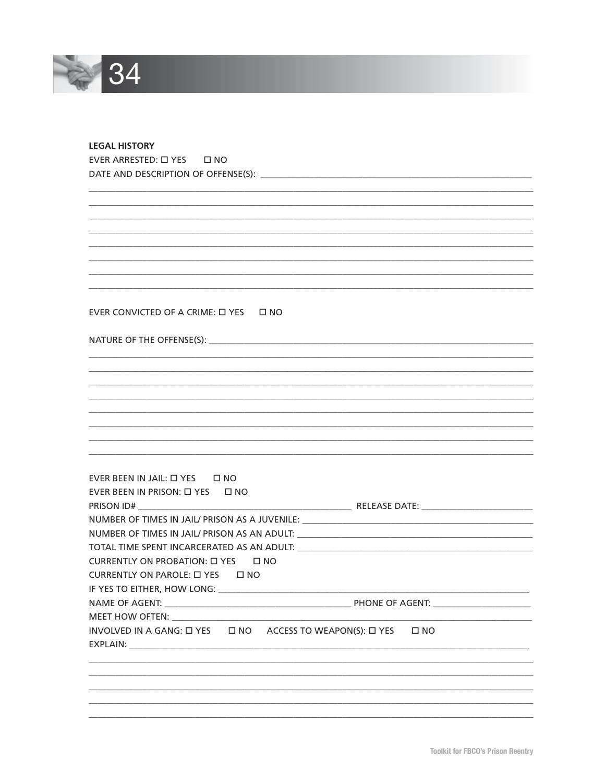

## **LEGAL HISTORY** EVER ARRESTED: 0 YES 0 NO

## EVER CONVICTED OF A CRIME:  $\Box$  YES  $\Box$  NO

## 

| EVER BEEN IN JAIL: [ YES [ ] NO                                                   |
|-----------------------------------------------------------------------------------|
| EVER BEEN IN PRISON: [ YES   I] NO                                                |
|                                                                                   |
| NUMBER OF TIMES IN JAIL/ PRISON AS A JUVENILE: __________________________________ |
|                                                                                   |
|                                                                                   |
| CURRENTLY ON PROBATION: $\Box$ YES $\Box$ NO                                      |
| CURRENTLY ON PAROLE: [ YES   I] NO                                                |
|                                                                                   |
|                                                                                   |
|                                                                                   |
| INVOLVED IN A GANG: LI YES LINO ACCESS TO WEAPON(S): LI YES LINO                  |
|                                                                                   |
|                                                                                   |
|                                                                                   |
|                                                                                   |
|                                                                                   |
|                                                                                   |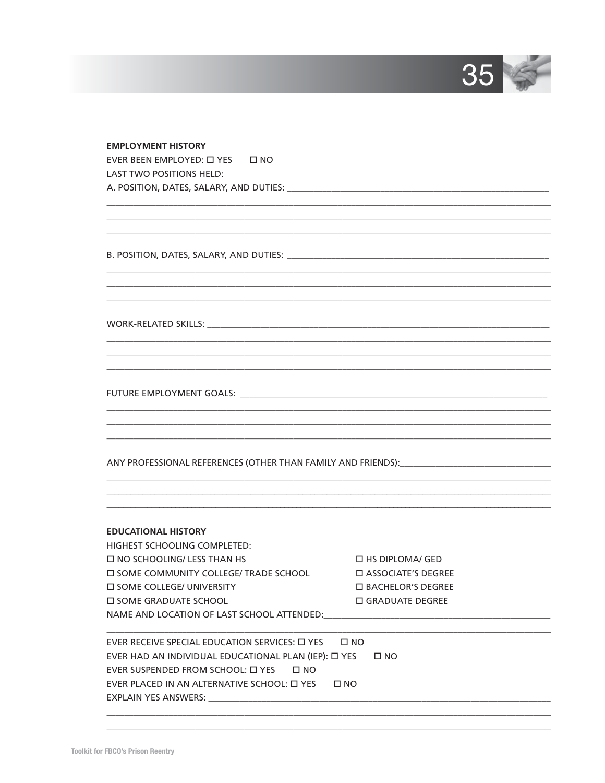

#### **EMPLOYMENT HISTORY**

EVER BEEN EMPLOYED: [ YES | I] NO LAST TWO POSITIONS HELD: 

WORK-RELATED SKILLS: \_\_\_\_\_

FUTURE EMPLOYMENT GOALS: \_\_\_\_\_\_\_\_\_\_\_\_

#### **EDUCATIONAL HISTORY**

HIGHEST SCHOOLING COMPLETED:  $\square$  NO SCHOOLING/ LESS THAN HS **IN SOME COMMUNITY COLLEGE/ TRADE SCHOOL ID SOME COLLEGE/ UNIVERSITY IN SOME GRADUATE SCHOOL** NAME AND LOCATION OF LAST SCHOOL ATTENDED:

□ HS DIPLOMA/ GED **D** ASSOCIATE'S DEGREE □ BACHELOR'S DEGREE **O GRADUATE DEGREE** 

EVER RECEIVE SPECIAL EDUCATION SERVICES:  $\Box$  YES  $\Box$  NO EVER HAD AN INDIVIDUAL EDUCATIONAL PLAN (IEP):  $\Box$  YES  $\Box$  NO EVER SUSPENDED FROM SCHOOL:  $\Box$  YES  $\Box$  NO EVER PLACED IN AN ALTERNATIVE SCHOOL:  $\Box$  YES  $\Box$  NO **EXPLAIN YES ANSWERS:**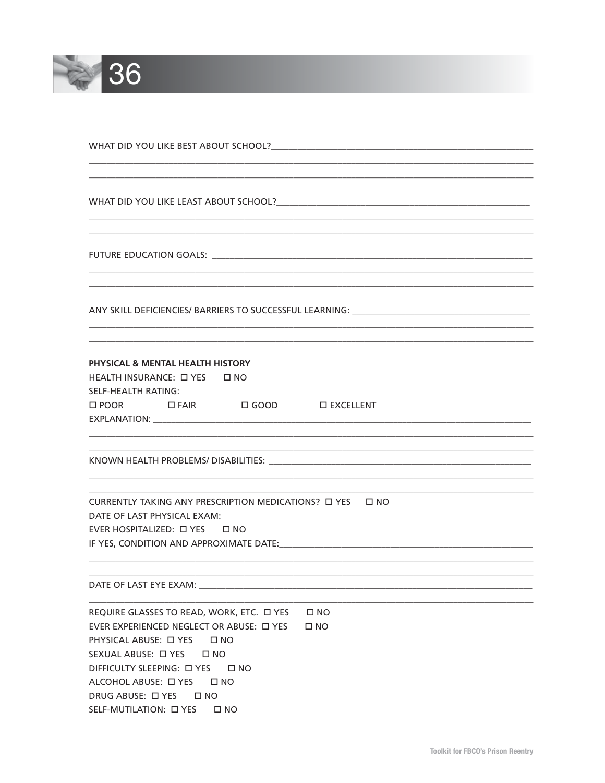

WHAT DID YOU LIKE BEST ABOUT SCHOOL?

ANY SKILL DEFICIENCIES/ BARRIERS TO SUCCESSFUL LEARNING: \_\_\_\_\_\_\_\_\_\_\_\_\_\_\_\_\_\_\_\_\_\_\_

## PHYSICAL & MENTAL HEALTH HISTORY

HEALTH INSURANCE: [ YES | I] NO SELF-HEALTH RATING: □ POOR □ FAIR □ GOOD □ EXCELLENT 

DATE OF LAST PHYSICAL EXAM: EVER HOSPITALIZED: [ YES | I] NO 

DATE OF LAST EYE EXAM: WE ARRIVE THE STATE OF THE STATE OF LAST EYE EXAM:

REQUIRE GLASSES TO READ, WORK, ETC. IN YES IN NO EVER EXPERIENCED NEGLECT OR ABUSE:  $\Box$  YES  $\Box$  NO PHYSICAL ABUSE: □ YES □ NO SEXUAL ABUSE:  $\Box$  YES  $\Box$  NO DIFFICULTY SLEEPING: □ YES □ NO ALCOHOL ABUSE: LI YES LI NO DRUG ABUSE: □ YES □ NO SELF-MUTILATION: 0 YES ONO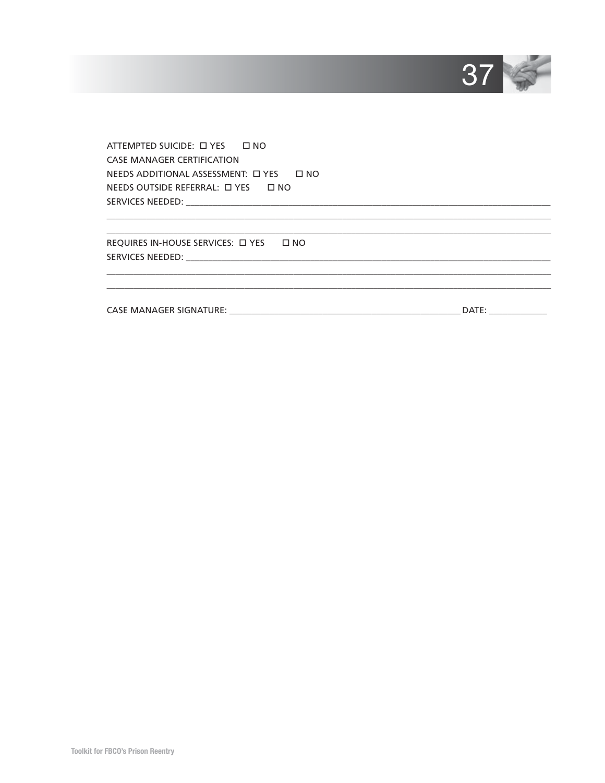

ATTEMPTED SUICIDE: [ YES | I NO **CASE MANAGER CERTIFICATION** NEEDS ADDITIONAL ASSESSMENT: □ YES □ NO NEEDS OUTSIDE REFERRAL: [ YES | I] NO 

REQUIRES IN-HOUSE SERVICES:  $\Box$  YES  $\Box$  NO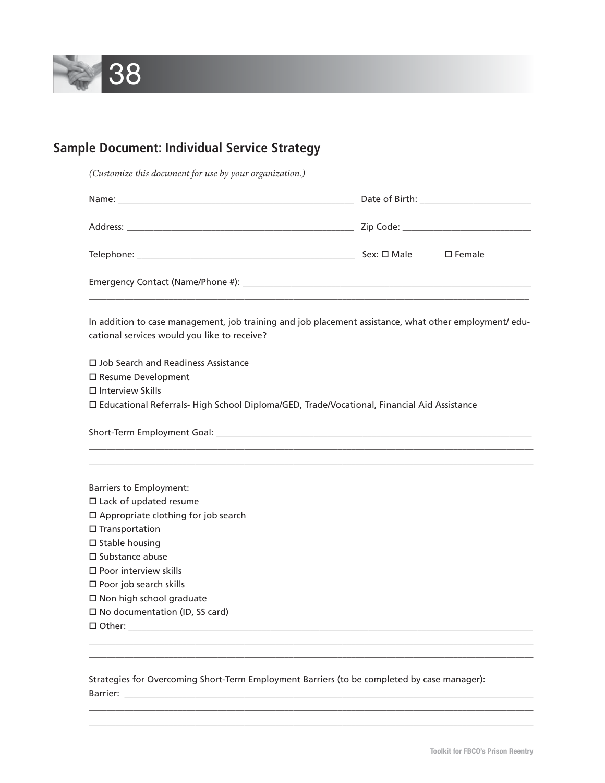

# **Sample Document: Individual Service Strategy**

*(Customize this document for use by your organization.)*

|                                                                                                                                                        | $\square$ Female |
|--------------------------------------------------------------------------------------------------------------------------------------------------------|------------------|
|                                                                                                                                                        |                  |
| In addition to case management, job training and job placement assistance, what other employment/ edu-<br>cational services would you like to receive? |                  |
| $\Box$ Job Search and Readiness Assistance                                                                                                             |                  |
| □ Resume Development                                                                                                                                   |                  |
| $\Box$ Interview Skills                                                                                                                                |                  |
| □ Educational Referrals- High School Diploma/GED, Trade/Vocational, Financial Aid Assistance                                                           |                  |
|                                                                                                                                                        |                  |
|                                                                                                                                                        |                  |
| <b>Barriers to Employment:</b>                                                                                                                         |                  |
| $\square$ Lack of updated resume                                                                                                                       |                  |
| □ Appropriate clothing for job search                                                                                                                  |                  |
| $\square$ Transportation<br>$\square$ Stable housing                                                                                                   |                  |
| $\square$ Substance abuse                                                                                                                              |                  |
| $\Box$ Poor interview skills                                                                                                                           |                  |
| □ Poor job search skills                                                                                                                               |                  |
| $\square$ Non high school graduate                                                                                                                     |                  |
| □ No documentation (ID, SS card)                                                                                                                       |                  |
|                                                                                                                                                        |                  |
|                                                                                                                                                        |                  |
|                                                                                                                                                        |                  |

## Strategies for Overcoming Short-Term Employment Barriers (to be completed by case manager): Barrier: \_\_\_\_\_\_\_\_\_\_\_\_\_\_\_\_\_\_\_\_\_\_\_\_\_\_\_\_\_\_\_\_\_\_\_\_\_\_\_\_\_\_\_\_\_\_\_\_\_\_\_\_\_\_\_\_\_\_\_\_\_\_\_\_\_\_\_\_\_\_\_\_\_\_\_\_\_\_\_\_\_\_\_\_\_\_\_\_\_\_\_\_

 $\Box$  $\Box$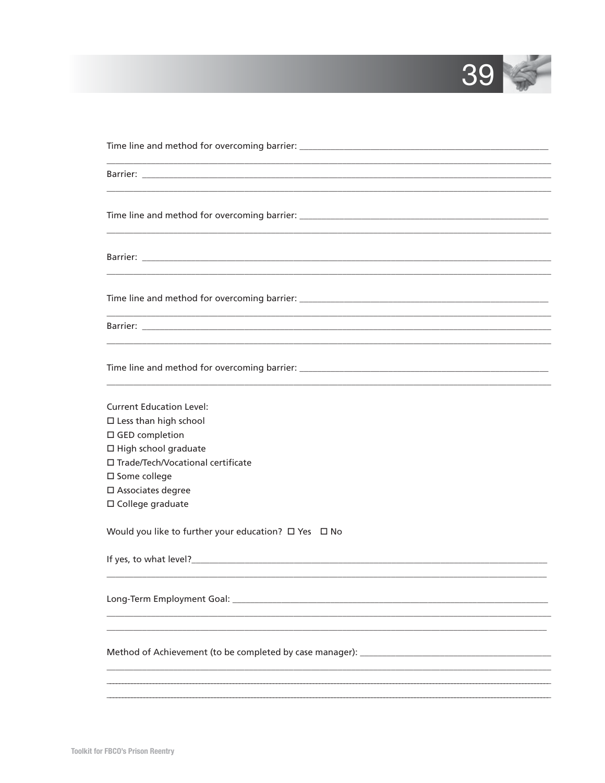

| <b>Current Education Level:</b>                      |
|------------------------------------------------------|
| $\square$ Less than high school                      |
| □ GED completion                                     |
| □ High school graduate                               |
| □ Trade/Tech/Vocational certificate                  |
| □ Some college                                       |
| □ Associates degree                                  |
| □ College graduate                                   |
| Would you like to further your education? □ Yes □ No |
|                                                      |
|                                                      |
|                                                      |
|                                                      |
|                                                      |
|                                                      |
|                                                      |
|                                                      |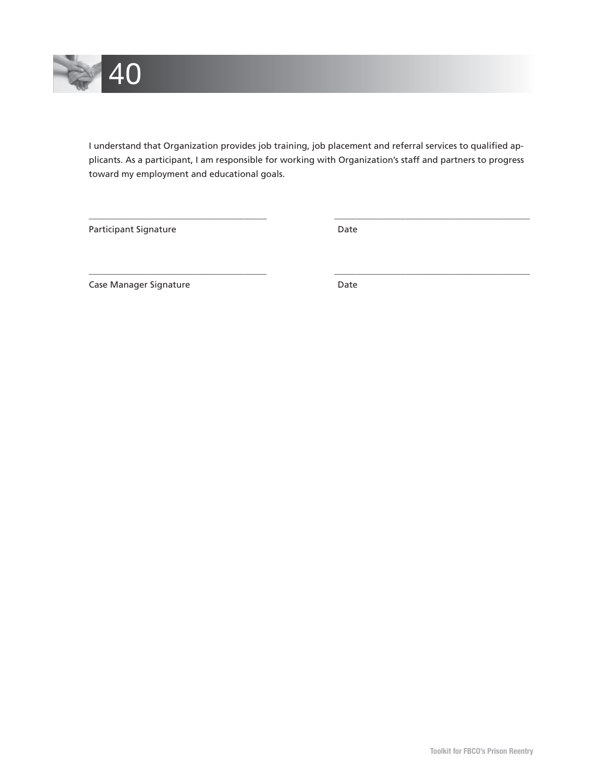

I understand that Organization provides job training, job placement and referral services to qualified applicants. As a participant, I am responsible for working with Organization's staff and partners to progress toward my employment and educational goals.

\_\_\_\_\_\_\_\_\_\_\_\_\_\_\_\_\_\_\_\_\_\_\_\_\_\_\_\_\_\_\_\_\_\_\_\_\_\_\_\_ \_\_\_\_\_\_\_\_\_\_\_\_\_\_\_\_\_\_\_\_\_\_\_\_\_\_\_\_\_\_\_\_\_\_\_\_\_\_\_\_\_\_\_\_

\_\_\_\_\_\_\_\_\_\_\_\_\_\_\_\_\_\_\_\_\_\_\_\_\_\_\_\_\_\_\_\_\_\_\_\_\_\_\_\_ \_\_\_\_\_\_\_\_\_\_\_\_\_\_\_\_\_\_\_\_\_\_\_\_\_\_\_\_\_\_\_\_\_\_\_\_\_\_\_\_\_\_\_\_

Participant Signature Date

Case Manager Signature **Date** Date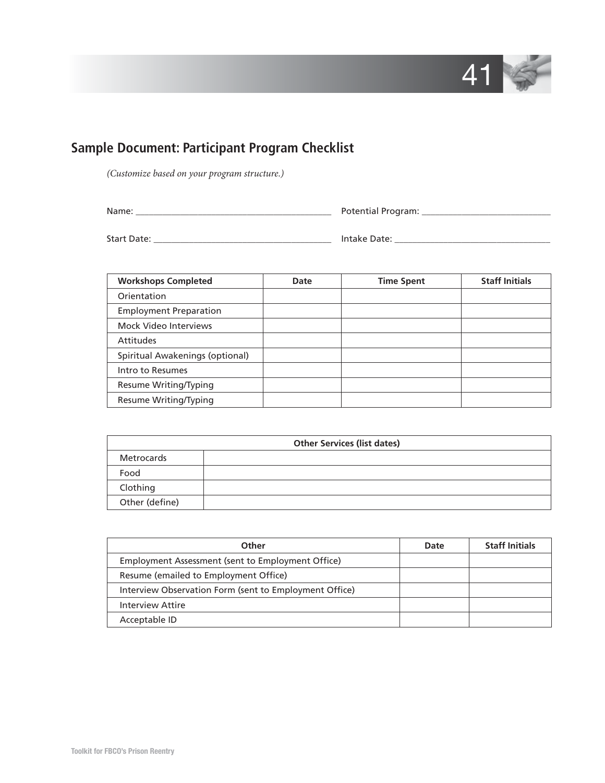

# **Sample Document: Participant Program Checklist**

*(Customize based on your program structure.)*

Name: \_\_\_\_\_\_\_\_\_\_\_\_\_\_\_\_\_\_\_\_\_\_\_\_\_\_\_\_\_\_\_\_\_\_\_\_\_\_\_\_\_\_\_\_ Potential Program: \_\_\_\_\_\_\_\_\_\_\_\_\_\_\_\_\_\_\_\_\_\_\_\_\_\_\_\_\_

Start Date: \_\_\_\_\_\_\_\_\_\_\_\_\_\_\_\_\_\_\_\_\_\_\_\_\_\_\_\_\_\_\_\_\_\_\_\_\_\_\_\_ Intake Date: \_\_\_\_\_\_\_\_\_\_\_\_\_\_\_\_\_\_\_\_\_\_\_\_\_\_\_\_\_\_\_\_\_\_\_

| <b>Workshops Completed</b>      | Date | <b>Time Spent</b> | <b>Staff Initials</b> |
|---------------------------------|------|-------------------|-----------------------|
| Orientation                     |      |                   |                       |
| <b>Employment Preparation</b>   |      |                   |                       |
| Mock Video Interviews           |      |                   |                       |
| <b>Attitudes</b>                |      |                   |                       |
| Spiritual Awakenings (optional) |      |                   |                       |
| Intro to Resumes                |      |                   |                       |
| <b>Resume Writing/Typing</b>    |      |                   |                       |
| <b>Resume Writing/Typing</b>    |      |                   |                       |

| <b>Other Services (list dates)</b> |  |  |  |  |  |
|------------------------------------|--|--|--|--|--|
| Metrocards                         |  |  |  |  |  |
| Food                               |  |  |  |  |  |
| Clothing                           |  |  |  |  |  |
| Other (define)                     |  |  |  |  |  |

| Other                                                  | Date | <b>Staff Initials</b> |
|--------------------------------------------------------|------|-----------------------|
| Employment Assessment (sent to Employment Office)      |      |                       |
| Resume (emailed to Employment Office)                  |      |                       |
| Interview Observation Form (sent to Employment Office) |      |                       |
| Interview Attire                                       |      |                       |
| Acceptable ID                                          |      |                       |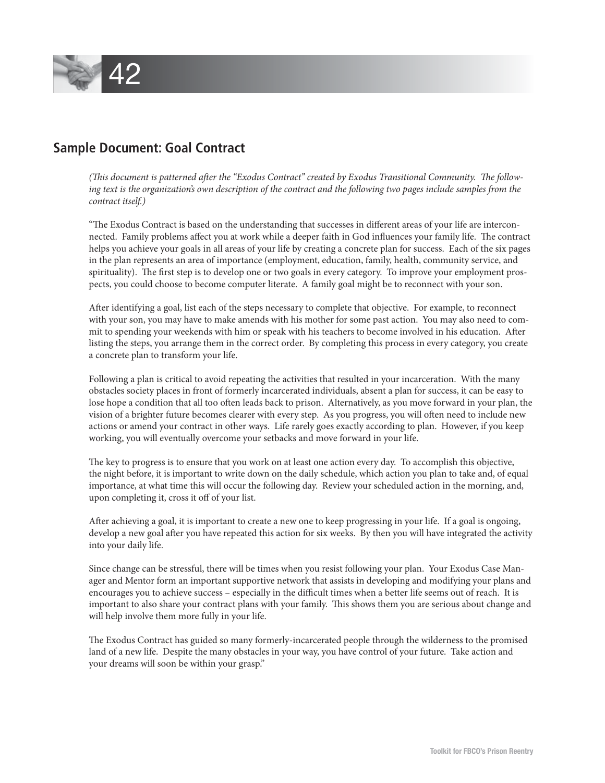

# **Sample Document: Goal Contract**

(This document is patterned after the "Exodus Contract" created by Exodus Transitional Community. The follow*ing text is the organization's own description of the contract and the following two pages include samples from the contract itself.)*

"The Exodus Contract is based on the understanding that successes in different areas of your life are interconnected. Family problems affect you at work while a deeper faith in God influences your family life. The contract helps you achieve your goals in all areas of your life by creating a concrete plan for success. Each of the six pages in the plan represents an area of importance (employment, education, family, health, community service, and spirituality). The first step is to develop one or two goals in every category. To improve your employment prospects, you could choose to become computer literate. A family goal might be to reconnect with your son.

After identifying a goal, list each of the steps necessary to complete that objective. For example, to reconnect with your son, you may have to make amends with his mother for some past action. You may also need to commit to spending your weekends with him or speak with his teachers to become involved in his education. After listing the steps, you arrange them in the correct order. By completing this process in every category, you create a concrete plan to transform your life.

Following a plan is critical to avoid repeating the activities that resulted in your incarceration. With the many obstacles society places in front of formerly incarcerated individuals, absent a plan for success, it can be easy to lose hope a condition that all too often leads back to prison. Alternatively, as you move forward in your plan, the vision of a brighter future becomes clearer with every step. As you progress, you will often need to include new actions or amend your contract in other ways. Life rarely goes exactly according to plan. However, if you keep working, you will eventually overcome your setbacks and move forward in your life.

The key to progress is to ensure that you work on at least one action every day. To accomplish this objective, the night before, it is important to write down on the daily schedule, which action you plan to take and, of equal importance, at what time this will occur the following day. Review your scheduled action in the morning, and, upon completing it, cross it off of your list.

After achieving a goal, it is important to create a new one to keep progressing in your life. If a goal is ongoing, develop a new goal after you have repeated this action for six weeks. By then you will have integrated the activity into your daily life.

Since change can be stressful, there will be times when you resist following your plan. Your Exodus Case Manager and Mentor form an important supportive network that assists in developing and modifying your plans and encourages you to achieve success – especially in the difficult times when a better life seems out of reach. It is important to also share your contract plans with your family. This shows them you are serious about change and will help involve them more fully in your life.

The Exodus Contract has guided so many formerly-incarcerated people through the wilderness to the promised land of a new life. Despite the many obstacles in your way, you have control of your future. Take action and your dreams will soon be within your grasp."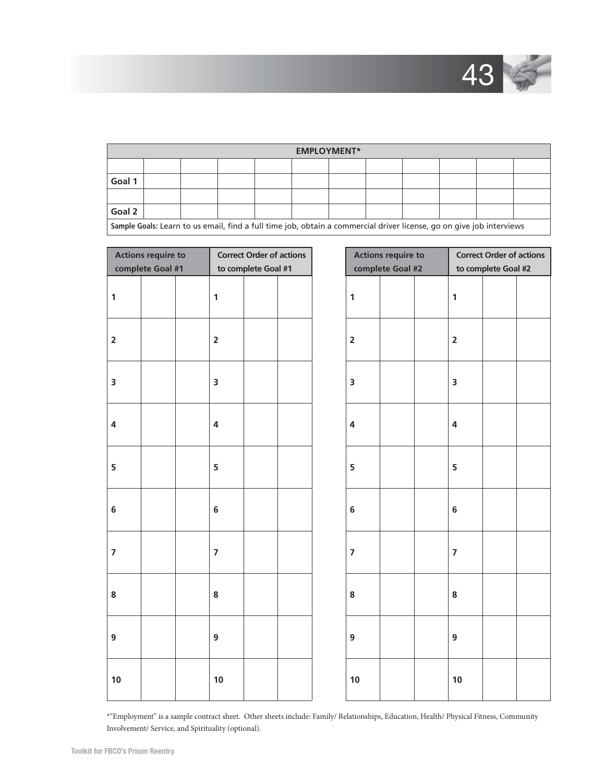

|                                                                                                                      | <b>EMPLOYMENT*</b> |  |  |  |  |  |  |  |
|----------------------------------------------------------------------------------------------------------------------|--------------------|--|--|--|--|--|--|--|
|                                                                                                                      |                    |  |  |  |  |  |  |  |
| Goal 1                                                                                                               |                    |  |  |  |  |  |  |  |
|                                                                                                                      |                    |  |  |  |  |  |  |  |
| Goal 2                                                                                                               |                    |  |  |  |  |  |  |  |
| Sample Goals: Learn to us email, find a full time job, obtain a commercial driver license, go on give job interviews |                    |  |  |  |  |  |  |  |

|                         | <b>Actions require to</b> |                         | <b>Correct Order of actions</b> |  |                         | <b>Actions require to</b> |                         | <b>Correct Order of actions</b> |  |
|-------------------------|---------------------------|-------------------------|---------------------------------|--|-------------------------|---------------------------|-------------------------|---------------------------------|--|
|                         | complete Goal #1          |                         | to complete Goal #1             |  |                         | complete Goal #2          |                         | to complete Goal #2             |  |
| $\mathbf{1}$            |                           | $\mathbf{1}$            |                                 |  | $\mathbf{1}$            |                           | $\mathbf{1}$            |                                 |  |
| $\overline{\mathbf{2}}$ |                           | $\overline{2}$          |                                 |  | $\overline{2}$          |                           | $\overline{2}$          |                                 |  |
| $\overline{\mathbf{3}}$ |                           | 3                       |                                 |  | $\overline{\mathbf{3}}$ |                           | $\overline{\mathbf{3}}$ |                                 |  |
| $\overline{\mathbf{4}}$ |                           | $\overline{\mathbf{4}}$ |                                 |  | $\overline{\mathbf{4}}$ |                           | $\overline{\mathbf{4}}$ |                                 |  |
| 5                       |                           | 5                       |                                 |  | 5                       |                           | 5                       |                                 |  |
| $\bf 6$                 |                           | 6                       |                                 |  | $\bf 6$                 |                           | $\bf 6$                 |                                 |  |
| $\overline{7}$          |                           | $\overline{\mathbf{z}}$ |                                 |  | $\overline{7}$          |                           | $\overline{7}$          |                                 |  |
| 8                       |                           | 8                       |                                 |  | 8                       |                           | $\bf 8$                 |                                 |  |
| 9                       |                           | 9                       |                                 |  | 9                       |                           | $\overline{9}$          |                                 |  |
| 10                      |                           | 10                      |                                 |  | 10                      |                           | 10                      |                                 |  |

\*"Employment" is a sample contract sheet. Other sheets include: Family/ Relationships, Education, Health/ Physical Fitness, Community Involvement/ Service, and Spirituality (optional).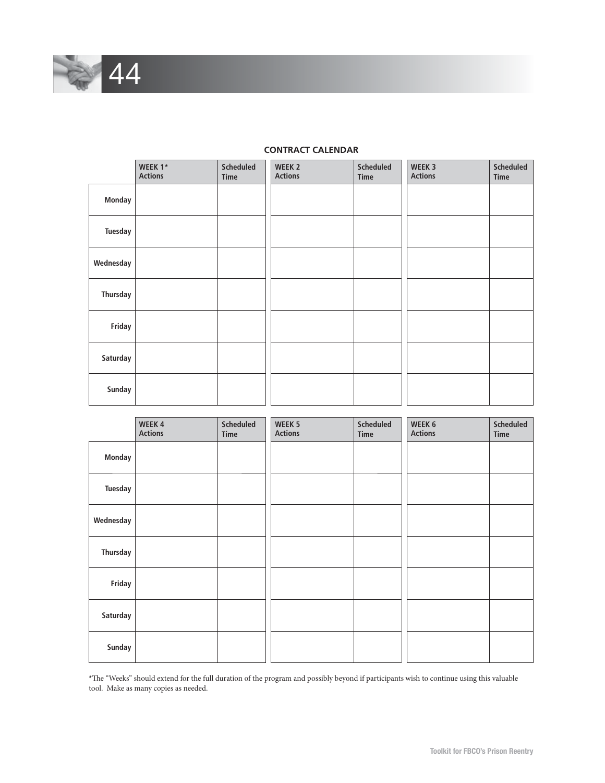

|                 | WEEK 1*<br><b>Actions</b> | <b>Scheduled</b><br>Time | WEEK 2<br><b>Actions</b> | <b>Scheduled</b><br><b>Time</b> | WEEK 3<br><b>Actions</b> | <b>Scheduled</b><br>Time |
|-----------------|---------------------------|--------------------------|--------------------------|---------------------------------|--------------------------|--------------------------|
| Monday          |                           |                          |                          |                                 |                          |                          |
| <b>Tuesday</b>  |                           |                          |                          |                                 |                          |                          |
| Wednesday       |                           |                          |                          |                                 |                          |                          |
| <b>Thursday</b> |                           |                          |                          |                                 |                          |                          |
| Friday          |                           |                          |                          |                                 |                          |                          |
| Saturday        |                           |                          |                          |                                 |                          |                          |
| Sunday          |                           |                          |                          |                                 |                          |                          |

## **CONTRACT CALENDAR**

TГ

n d

|                 | WEEK 4<br><b>Actions</b> | Scheduled<br>Time | WEEK 5<br><b>Actions</b> | Scheduled<br>Time | WEEK 6<br><b>Actions</b> | Scheduled<br>Time |
|-----------------|--------------------------|-------------------|--------------------------|-------------------|--------------------------|-------------------|
| Monday          |                          |                   |                          |                   |                          |                   |
| Tuesday         |                          |                   |                          |                   |                          |                   |
| Wednesday       |                          |                   |                          |                   |                          |                   |
| <b>Thursday</b> |                          |                   |                          |                   |                          |                   |
| Friday          |                          |                   |                          |                   |                          |                   |
| Saturday        |                          |                   |                          |                   |                          |                   |
| Sunday          |                          |                   |                          |                   |                          |                   |

\*Th e "Weeks" should extend for the full duration of the program and possibly beyond if participants wish to continue using this valuable tool. Make as many copies as needed.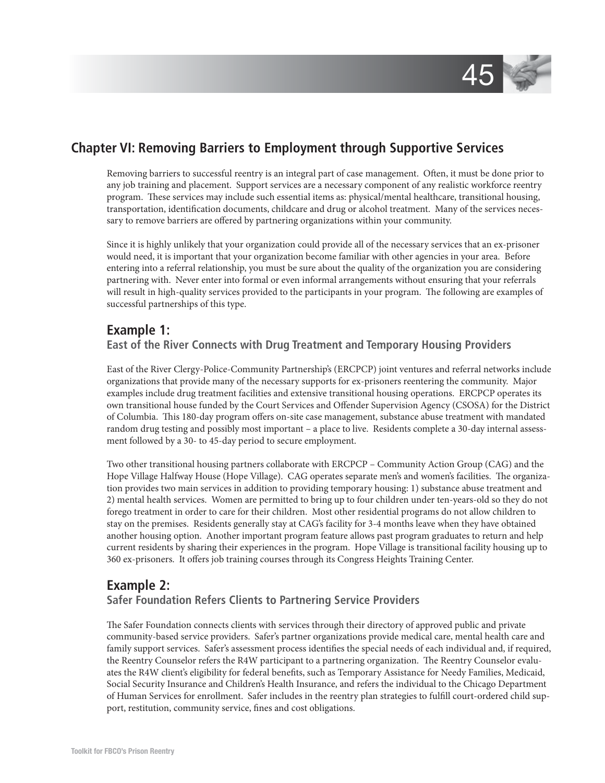

# **Chapter VI: Removing Barriers to Employment through Supportive Services**

Removing barriers to successful reentry is an integral part of case management. Often, it must be done prior to any job training and placement. Support services are a necessary component of any realistic workforce reentry program. These services may include such essential items as: physical/mental healthcare, transitional housing, transportation, identification documents, childcare and drug or alcohol treatment. Many of the services necessary to remove barriers are offered by partnering organizations within your community.

Since it is highly unlikely that your organization could provide all of the necessary services that an ex-prisoner would need, it is important that your organization become familiar with other agencies in your area. Before entering into a referral relationship, you must be sure about the quality of the organization you are considering partnering with. Never enter into formal or even informal arrangements without ensuring that your referrals will result in high-quality services provided to the participants in your program. The following are examples of successful partnerships of this type.

## **Example 1:**

## **East of the River Connects with Drug Treatment and Temporary Housing Providers**

East of the River Clergy-Police-Community Partnership's (ERCPCP) joint ventures and referral networks include organizations that provide many of the necessary supports for ex-prisoners reentering the community. Major examples include drug treatment facilities and extensive transitional housing operations. ERCPCP operates its own transitional house funded by the Court Services and Offender Supervision Agency (CSOSA) for the District of Columbia. This 180-day program offers on-site case management, substance abuse treatment with mandated random drug testing and possibly most important – a place to live. Residents complete a 30-day internal assessment followed by a 30- to 45-day period to secure employment.

Two other transitional housing partners collaborate with ERCPCP – Community Action Group (CAG) and the Hope Village Halfway House (Hope Village). CAG operates separate men's and women's facilities. The organization provides two main services in addition to providing temporary housing: 1) substance abuse treatment and 2) mental health services. Women are permitted to bring up to four children under ten-years-old so they do not forego treatment in order to care for their children. Most other residential programs do not allow children to stay on the premises. Residents generally stay at CAG's facility for 3-4 months leave when they have obtained another housing option. Another important program feature allows past program graduates to return and help current residents by sharing their experiences in the program. Hope Village is transitional facility housing up to 360 ex-prisoners. It offers job training courses through its Congress Heights Training Center.

# **Example 2:**

## **Safer Foundation Refers Clients to Partnering Service Providers**

The Safer Foundation connects clients with services through their directory of approved public and private community-based service providers. Safer's partner organizations provide medical care, mental health care and family support services. Safer's assessment process identifies the special needs of each individual and, if required, the Reentry Counselor refers the R4W participant to a partnering organization. The Reentry Counselor evaluates the R4W client's eligibility for federal benefits, such as Temporary Assistance for Needy Families, Medicaid, Social Security Insurance and Children's Health Insurance, and refers the individual to the Chicago Department of Human Services for enrollment. Safer includes in the reentry plan strategies to fulfill court-ordered child support, restitution, community service, fines and cost obligations.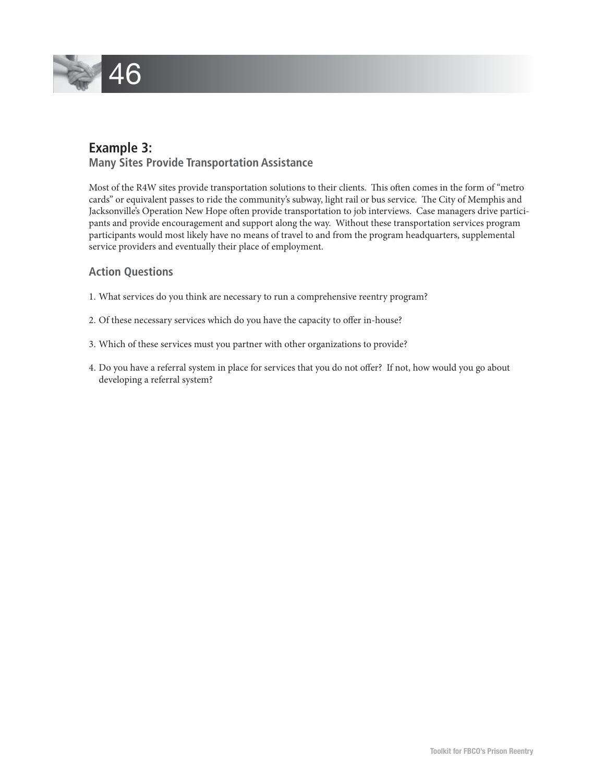

# **Example 3:**

## **Many Sites Provide Transportation Assistance**

Most of the R4W sites provide transportation solutions to their clients. This often comes in the form of "metro cards" or equivalent passes to ride the community's subway, light rail or bus service. The City of Memphis and Jacksonville's Operation New Hope often provide transportation to job interviews. Case managers drive participants and provide encouragement and support along the way. Without these transportation services program participants would most likely have no means of travel to and from the program headquarters, supplemental service providers and eventually their place of employment.

## **Action Questions**

- 1. What services do you think are necessary to run a comprehensive reentry program?
- 2. Of these necessary services which do you have the capacity to offer in-house?
- 3. Which of these services must you partner with other organizations to provide?
- 4. Do you have a referral system in place for services that you do not offer? If not, how would you go about developing a referral system?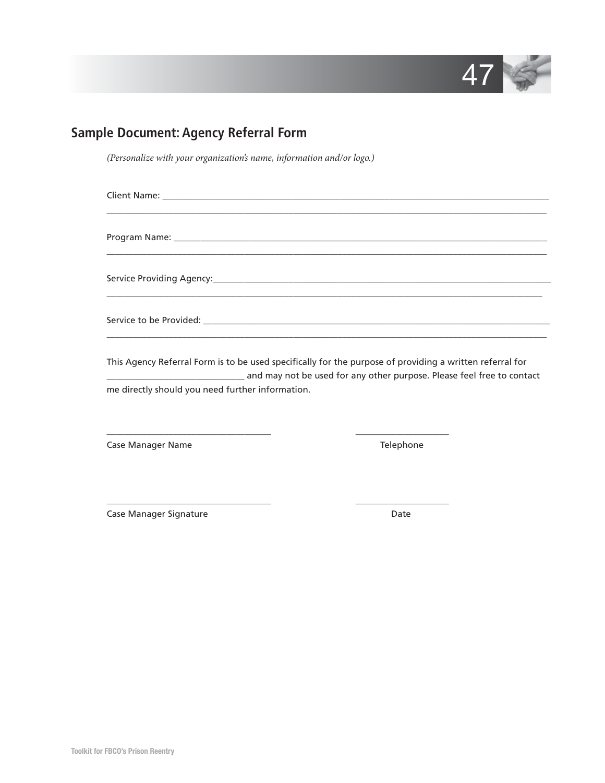

# **Sample Document: Agency Referral Form**

*(Personalize with your organization's name, information and/or logo.)*

| ,我们也不能会有什么。""我们的人,我们也不能会有什么?""我们的人,我们也不能会有什么?""我们的人,我们也不能会有什么?""我们的人,我们也不能会有什么?"" |
|-----------------------------------------------------------------------------------|
|                                                                                   |
|                                                                                   |

This Agency Referral Form is to be used specifically for the purpose of providing a written referral for and may not be used for any other purpose. Please feel free to contact me directly should you need further information.

\_\_\_\_\_\_\_\_\_\_\_\_\_\_\_\_\_\_\_\_\_\_\_\_\_\_\_\_\_\_\_\_\_\_\_\_\_ \_\_\_\_\_\_\_\_\_\_\_\_\_\_\_\_\_\_\_\_\_

\_\_\_\_\_\_\_\_\_\_\_\_\_\_\_\_\_\_\_\_\_\_\_\_\_\_\_\_\_\_\_\_\_\_\_\_\_ \_\_\_\_\_\_\_\_\_\_\_\_\_\_\_\_\_\_\_\_\_

Case Manager Name Telephone

Case Manager Signature **Date** Date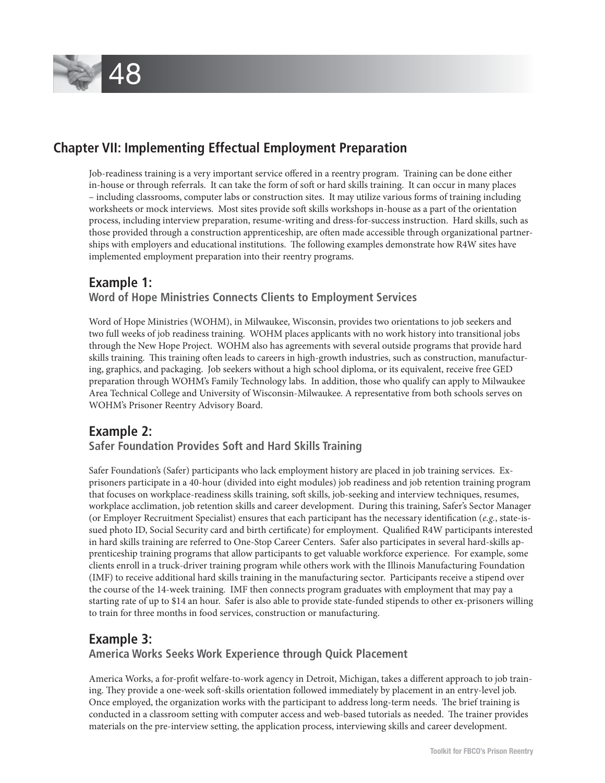

# **Chapter VII: Implementing Effectual Employment Preparation**

Job-readiness training is a very important service offered in a reentry program. Training can be done either in-house or through referrals. It can take the form of soft or hard skills training. It can occur in many places – including classrooms, computer labs or construction sites. It may utilize various forms of training including worksheets or mock interviews. Most sites provide soft skills workshops in-house as a part of the orientation process, including interview preparation, resume-writing and dress-for-success instruction. Hard skills, such as those provided through a construction apprenticeship, are often made accessible through organizational partnerships with employers and educational institutions. The following examples demonstrate how R4W sites have implemented employment preparation into their reentry programs.

## **Example 1: Word of Hope Ministries Connects Clients to Employment Services**

Word of Hope Ministries (WOHM), in Milwaukee, Wisconsin, provides two orientations to job seekers and two full weeks of job readiness training. WOHM places applicants with no work history into transitional jobs through the New Hope Project. WOHM also has agreements with several outside programs that provide hard skills training. This training often leads to careers in high-growth industries, such as construction, manufacturing, graphics, and packaging. Job seekers without a high school diploma, or its equivalent, receive free GED preparation through WOHM's Family Technology labs. In addition, those who qualify can apply to Milwaukee Area Technical College and University of Wisconsin-Milwaukee. A representative from both schools serves on WOHM's Prisoner Reentry Advisory Board.

## **Example 2: Safer Foundation Provides Soft and Hard Skills Training**

Safer Foundation's (Safer) participants who lack employment history are placed in job training services. Exprisoners participate in a 40-hour (divided into eight modules) job readiness and job retention training program that focuses on workplace-readiness skills training, soft skills, job-seeking and interview techniques, resumes, workplace acclimation, job retention skills and career development. During this training, Safer's Sector Manager (or Employer Recruitment Specialist) ensures that each participant has the necessary identification ( $e.g.,$  state-issued photo ID, Social Security card and birth certificate) for employment. Qualified R4W participants interested in hard skills training are referred to One-Stop Career Centers. Safer also participates in several hard-skills apprenticeship training programs that allow participants to get valuable workforce experience. For example, some clients enroll in a truck-driver training program while others work with the Illinois Manufacturing Foundation (IMF) to receive additional hard skills training in the manufacturing sector. Participants receive a stipend over the course of the 14-week training. IMF then connects program graduates with employment that may pay a starting rate of up to \$14 an hour. Safer is also able to provide state-funded stipends to other ex-prisoners willing to train for three months in food services, construction or manufacturing.

## **Example 3:**

## **America Works Seeks Work Experience through Quick Placement**

America Works, a for-profit welfare-to-work agency in Detroit, Michigan, takes a different approach to job training. They provide a one-week soft-skills orientation followed immediately by placement in an entry-level job. Once employed, the organization works with the participant to address long-term needs. The brief training is conducted in a classroom setting with computer access and web-based tutorials as needed. The trainer provides materials on the pre-interview setting, the application process, interviewing skills and career development.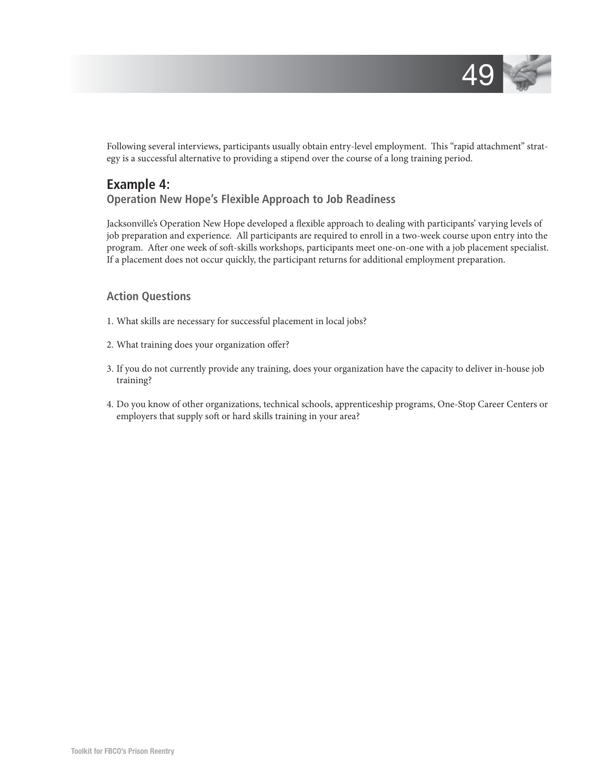

Following several interviews, participants usually obtain entry-level employment. This "rapid attachment" strategy is a successful alternative to providing a stipend over the course of a long training period.

## **Example 4: Operation New Hope's Flexible Approach to Job Readiness**

Jacksonville's Operation New Hope developed a flexible approach to dealing with participants' varying levels of job preparation and experience. All participants are required to enroll in a two-week course upon entry into the program. After one week of soft-skills workshops, participants meet one-on-one with a job placement specialist. If a placement does not occur quickly, the participant returns for additional employment preparation.

## **Action Questions**

- 1. What skills are necessary for successful placement in local jobs?
- 2. What training does your organization offer?
- 3. If you do not currently provide any training, does your organization have the capacity to deliver in-house job training?
- 4. Do you know of other organizations, technical schools, apprenticeship programs, One-Stop Career Centers or employers that supply soft or hard skills training in your area?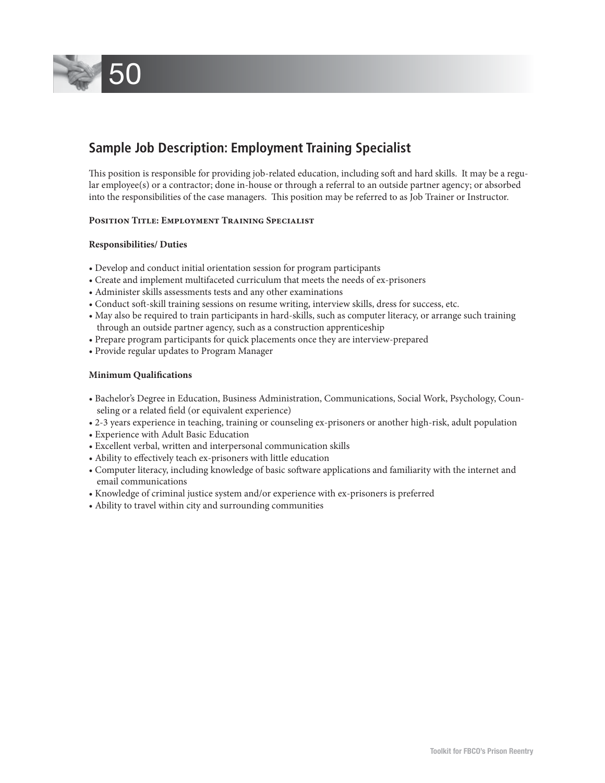

# **Sample Job Description: Employment Training Specialist**

This position is responsible for providing job-related education, including soft and hard skills. It may be a regular employee(s) or a contractor; done in-house or through a referral to an outside partner agency; or absorbed into the responsibilities of the case managers. This position may be referred to as Job Trainer or Instructor.

#### **Position Title: Employment Training Specialist**

#### **Responsibilities/ Duties**

- Develop and conduct initial orientation session for program participants
- Create and implement multifaceted curriculum that meets the needs of ex-prisoners
- Administer skills assessments tests and any other examinations
- Conduct soft -skill training sessions on resume writing, interview skills, dress for success, etc.
- May also be required to train participants in hard-skills, such as computer literacy, or arrange such training through an outside partner agency, such as a construction apprenticeship
- Prepare program participants for quick placements once they are interview-prepared
- Provide regular updates to Program Manager

#### **Minimum Qualifications**

- Bachelor's Degree in Education, Business Administration, Communications, Social Work, Psychology, Counseling or a related field (or equivalent experience)
- 2-3 years experience in teaching, training or counseling ex-prisoners or another high-risk, adult population
- Experience with Adult Basic Education
- Excellent verbal, written and interpersonal communication skills
- Ability to effectively teach ex-prisoners with little education
- Computer literacy, including knowledge of basic software applications and familiarity with the internet and email communications
- Knowledge of criminal justice system and/or experience with ex-prisoners is preferred
- Ability to travel within city and surrounding communities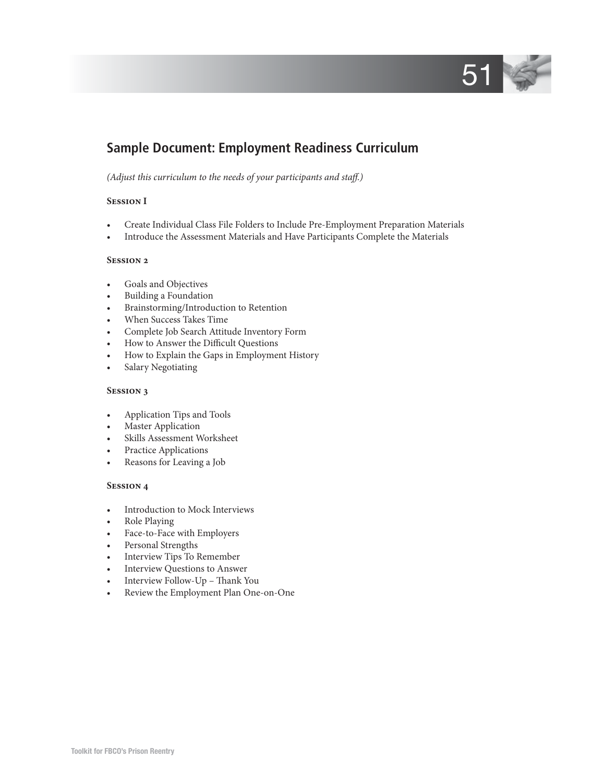

# **Sample Document: Employment Readiness Curriculum**

#### *(Adjust this curriculum to the needs of your participants and staff.)*

#### **Session I**

- Create Individual Class File Folders to Include Pre-Employment Preparation Materials
- Introduce the Assessment Materials and Have Participants Complete the Materials

#### **Session 2**

- Goals and Objectives
- Building a Foundation
- Brainstorming/Introduction to Retention
- When Success Takes Time
- Complete Job Search Attitude Inventory Form
- How to Answer the Difficult Questions
- How to Explain the Gaps in Employment History
- Salary Negotiating

#### **Session 3**

- Application Tips and Tools
- **Master Application**
- Skills Assessment Worksheet
- Practice Applications
- Reasons for Leaving a Job

#### **Session 4**

- Introduction to Mock Interviews
- Role Playing
- Face-to-Face with Employers
- Personal Strengths
- Interview Tips To Remember
- Interview Questions to Answer
- Interview Follow-Up Thank You
- Review the Employment Plan One-on-One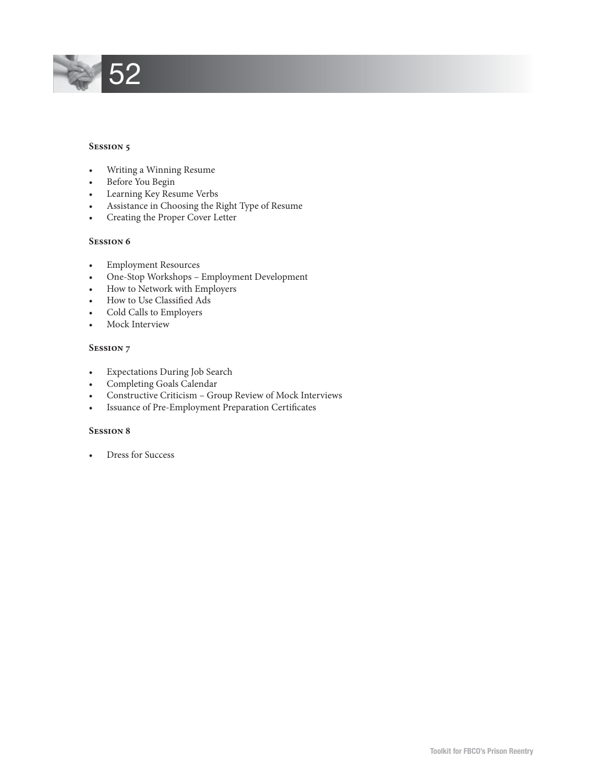

#### **Session 5**

- Writing a Winning Resume
- Before You Begin
- Learning Key Resume Verbs
- Assistance in Choosing the Right Type of Resume
- Creating the Proper Cover Letter

#### **Session 6**

- Employment Resources
- One-Stop Workshops Employment Development
- How to Network with Employers
- How to Use Classified Ads
- Cold Calls to Employers
- Mock Interview

#### **Session 7**

- Expectations During Job Search
- Completing Goals Calendar
- Constructive Criticism Group Review of Mock Interviews
- Issuance of Pre-Employment Preparation Certificates

#### **Session 8**

• Dress for Success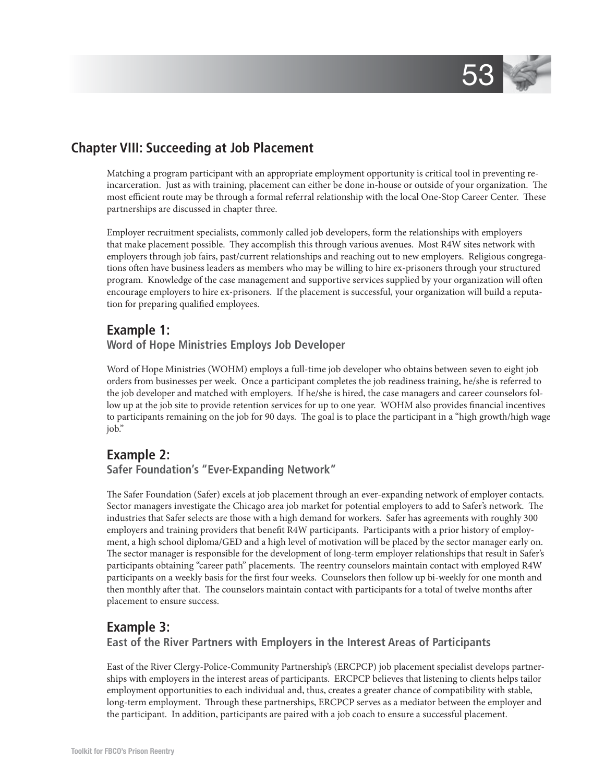

# **Chapter VIII: Succeeding at Job Placement**

Matching a program participant with an appropriate employment opportunity is critical tool in preventing reincarceration. Just as with training, placement can either be done in-house or outside of your organization. The most efficient route may be through a formal referral relationship with the local One-Stop Career Center. These partnerships are discussed in chapter three.

Employer recruitment specialists, commonly called job developers, form the relationships with employers that make placement possible. They accomplish this through various avenues. Most R4W sites network with employers through job fairs, past/current relationships and reaching out to new employers. Religious congregations often have business leaders as members who may be willing to hire ex-prisoners through your structured program. Knowledge of the case management and supportive services supplied by your organization will often encourage employers to hire ex-prisoners. If the placement is successful, your organization will build a reputation for preparing qualified employees.

## **Example 1:**

## **Word of Hope Ministries Employs Job Developer**

Word of Hope Ministries (WOHM) employs a full-time job developer who obtains between seven to eight job orders from businesses per week. Once a participant completes the job readiness training, he/she is referred to the job developer and matched with employers. If he/she is hired, the case managers and career counselors follow up at the job site to provide retention services for up to one year. WOHM also provides financial incentives to participants remaining on the job for 90 days. The goal is to place the participant in a "high growth/high wage job."

## **Example 2:**

## **Safer Foundation's "Ever-Expanding Network"**

The Safer Foundation (Safer) excels at job placement through an ever-expanding network of employer contacts. Sector managers investigate the Chicago area job market for potential employers to add to Safer's network. The industries that Safer selects are those with a high demand for workers. Safer has agreements with roughly 300 employers and training providers that benefi t R4W participants. Participants with a prior history of employment, a high school diploma/GED and a high level of motivation will be placed by the sector manager early on. The sector manager is responsible for the development of long-term employer relationships that result in Safer's participants obtaining "career path" placements. The reentry counselors maintain contact with employed R4W participants on a weekly basis for the first four weeks. Counselors then follow up bi-weekly for one month and then monthly after that. The counselors maintain contact with participants for a total of twelve months after placement to ensure success.

## **Example 3:**

 **East of the River Partners with Employers in the Interest Areas of Participants**

East of the River Clergy-Police-Community Partnership's (ERCPCP) job placement specialist develops partnerships with employers in the interest areas of participants. ERCPCP believes that listening to clients helps tailor employment opportunities to each individual and, thus, creates a greater chance of compatibility with stable, long-term employment. Through these partnerships, ERCPCP serves as a mediator between the employer and the participant. In addition, participants are paired with a job coach to ensure a successful placement.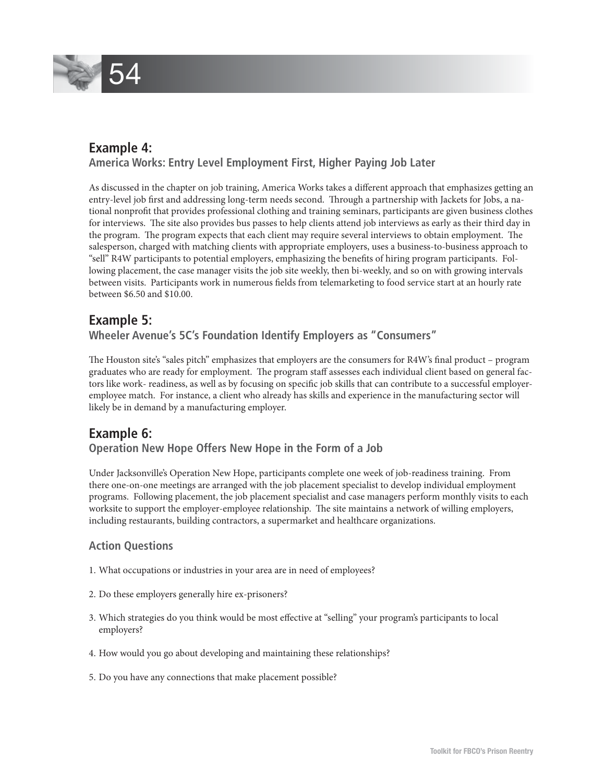

# **Example 4:**

## **America Works: Entry Level Employment First, Higher Paying Job Later**

As discussed in the chapter on job training, America Works takes a different approach that emphasizes getting an entry-level job first and addressing long-term needs second. Through a partnership with Jackets for Jobs, a national nonprofi t that provides professional clothing and training seminars, participants are given business clothes for interviews. The site also provides bus passes to help clients attend job interviews as early as their third day in the program. The program expects that each client may require several interviews to obtain employment. The salesperson, charged with matching clients with appropriate employers, uses a business-to-business approach to "sell" R4W participants to potential employers, emphasizing the benefits of hiring program participants. Following placement, the case manager visits the job site weekly, then bi-weekly, and so on with growing intervals between visits. Participants work in numerous fields from telemarketing to food service start at an hourly rate between \$6.50 and \$10.00.

## **Example 5: Wheeler Avenue's 5C's Foundation Identify Employers as "Consumers"**

The Houston site's "sales pitch" emphasizes that employers are the consumers for R4W's final product – program graduates who are ready for employment. The program staff assesses each individual client based on general factors like work- readiness, as well as by focusing on specific job skills that can contribute to a successful employeremployee match. For instance, a client who already has skills and experience in the manufacturing sector will likely be in demand by a manufacturing employer.

## **Example 6: Operation New Hope Offers New Hope in the Form of a Job**

Under Jacksonville's Operation New Hope, participants complete one week of job-readiness training. From there one-on-one meetings are arranged with the job placement specialist to develop individual employment programs. Following placement, the job placement specialist and case managers perform monthly visits to each worksite to support the employer-employee relationship. The site maintains a network of willing employers, including restaurants, building contractors, a supermarket and healthcare organizations.

## **Action Questions**

- 1. What occupations or industries in your area are in need of employees?
- 2. Do these employers generally hire ex-prisoners?
- 3. Which strategies do you think would be most effective at "selling" your program's participants to local employers?
- 4. How would you go about developing and maintaining these relationships?
- 5. Do you have any connections that make placement possible?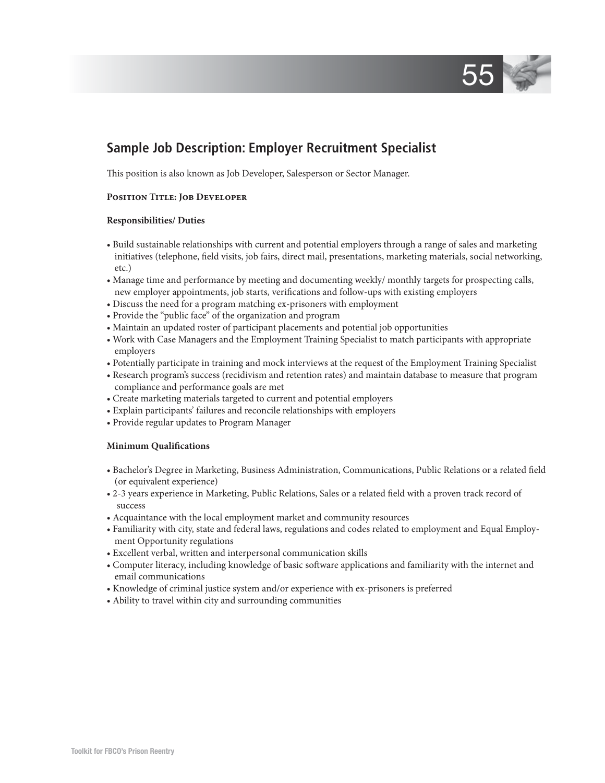

# **Sample Job Description: Employer Recruitment Specialist**

This position is also known as Job Developer, Salesperson or Sector Manager.

#### **Position Title: Job Developer**

#### **Responsibilities/ Duties**

- Build sustainable relationships with current and potential employers through a range of sales and marketing initiatives (telephone, field visits, job fairs, direct mail, presentations, marketing materials, social networking, etc.)
- Manage time and performance by meeting and documenting weekly/ monthly targets for prospecting calls, new employer appointments, job starts, verifications and follow-ups with existing employers
- Discuss the need for a program matching ex-prisoners with employment
- Provide the "public face" of the organization and program
- Maintain an updated roster of participant placements and potential job opportunities
- Work with Case Managers and the Employment Training Specialist to match participants with appropriate employers
- Potentially participate in training and mock interviews at the request of the Employment Training Specialist
- Research program's success (recidivism and retention rates) and maintain database to measure that program compliance and performance goals are met
- Create marketing materials targeted to current and potential employers
- Explain participants' failures and reconcile relationships with employers
- Provide regular updates to Program Manager

## **Minimum Qualifications**

- Bachelor's Degree in Marketing, Business Administration, Communications, Public Relations or a related field (or equivalent experience)
- 2-3 years experience in Marketing, Public Relations, Sales or a related field with a proven track record of success
- Acquaintance with the local employment market and community resources
- Familiarity with city, state and federal laws, regulations and codes related to employment and Equal Employment Opportunity regulations
- Excellent verbal, written and interpersonal communication skills
- Computer literacy, including knowledge of basic software applications and familiarity with the internet and email communications
- Knowledge of criminal justice system and/or experience with ex-prisoners is preferred
- Ability to travel within city and surrounding communities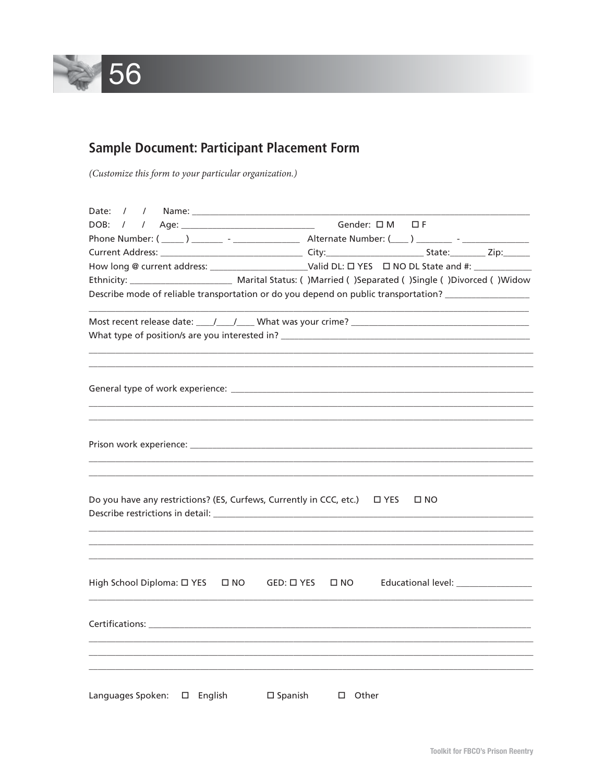

# **Sample Document: Participant Placement Form**

(Customize this form to your particular organization.)

| Date:                                                                                                                                                                                                                                                                                                 |                                      |              |  |  |  |
|-------------------------------------------------------------------------------------------------------------------------------------------------------------------------------------------------------------------------------------------------------------------------------------------------------|--------------------------------------|--------------|--|--|--|
| DOB:<br>$\prime$                                                                                                                                                                                                                                                                                      | Gender: OM OF                        |              |  |  |  |
|                                                                                                                                                                                                                                                                                                       |                                      |              |  |  |  |
|                                                                                                                                                                                                                                                                                                       |                                      |              |  |  |  |
| How long @ current address: Valid DL: □ YES □ NO DL State and #:                                                                                                                                                                                                                                      |                                      |              |  |  |  |
|                                                                                                                                                                                                                                                                                                       |                                      |              |  |  |  |
| Describe mode of reliable transportation or do you depend on public transportation? _______________                                                                                                                                                                                                   |                                      |              |  |  |  |
|                                                                                                                                                                                                                                                                                                       |                                      |              |  |  |  |
|                                                                                                                                                                                                                                                                                                       |                                      |              |  |  |  |
|                                                                                                                                                                                                                                                                                                       |                                      |              |  |  |  |
|                                                                                                                                                                                                                                                                                                       |                                      |              |  |  |  |
|                                                                                                                                                                                                                                                                                                       |                                      |              |  |  |  |
|                                                                                                                                                                                                                                                                                                       |                                      |              |  |  |  |
|                                                                                                                                                                                                                                                                                                       |                                      |              |  |  |  |
| Do you have any restrictions? (ES, Curfews, Currently in CCC, etc.)<br>Describe restrictions in detail: Note that the set of the set of the set of the set of the set of the set of the set of the set of the set of the set of the set of the set of the set of the set of the set of the set of the | $\square$ YES                        | $\square$ NO |  |  |  |
|                                                                                                                                                                                                                                                                                                       |                                      |              |  |  |  |
|                                                                                                                                                                                                                                                                                                       |                                      |              |  |  |  |
| High School Diploma: □ YES<br>$\square$ NO                                                                                                                                                                                                                                                            | GED: □ YES<br>$\square$ NO           |              |  |  |  |
|                                                                                                                                                                                                                                                                                                       |                                      |              |  |  |  |
| <b>Certifications: Exercise 2018</b>                                                                                                                                                                                                                                                                  |                                      |              |  |  |  |
|                                                                                                                                                                                                                                                                                                       |                                      |              |  |  |  |
|                                                                                                                                                                                                                                                                                                       |                                      |              |  |  |  |
|                                                                                                                                                                                                                                                                                                       |                                      |              |  |  |  |
| Languages Spoken:<br>$\square$ English                                                                                                                                                                                                                                                                | $\square$ Spanish<br>Other<br>$\Box$ |              |  |  |  |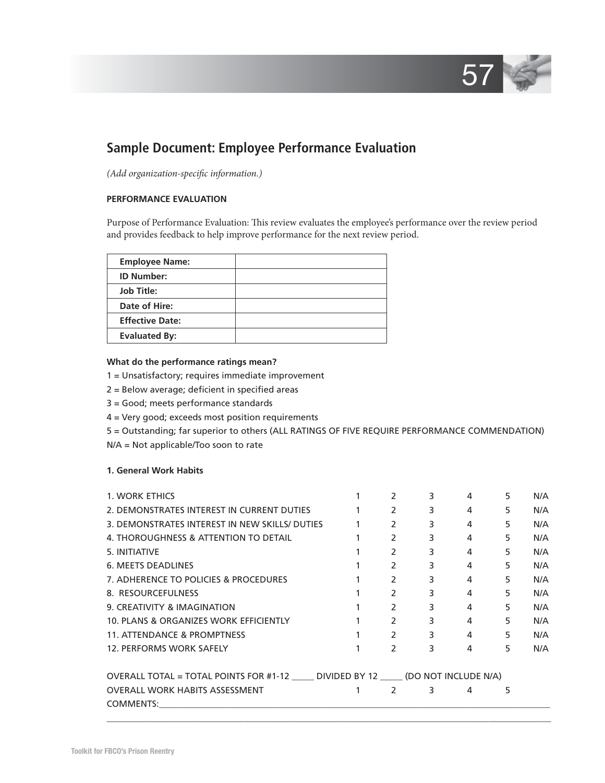

# **Sample Document: Employee Performance Evaluation**

*(Add organization-specific information.)* 

## **PERFORMANCE EVALUATION**

Purpose of Performance Evaluation: This review evaluates the employee's performance over the review period and provides feedback to help improve performance for the next review period.

| <b>Employee Name:</b>  |  |
|------------------------|--|
| <b>ID Number:</b>      |  |
| <b>Job Title:</b>      |  |
| Date of Hire:          |  |
| <b>Effective Date:</b> |  |
| <b>Evaluated By:</b>   |  |

#### **What do the performance ratings mean?**

- 1 = Unsatisfactory; requires immediate improvement
- $2 =$  Below average; deficient in specified areas
- 3 = Good; meets performance standards
- 4 = Very good; exceeds most position requirements
- 5 = Outstanding; far superior to others (ALL RATINGS OF FIVE REQUIRE PERFORMANCE COMMENDATION)
- N/A = Not applicable/Too soon to rate

#### **1. General Work Habits**

| 1. WORK ETHICS                                                            |               | 3 | 4              | 5. | N/A |
|---------------------------------------------------------------------------|---------------|---|----------------|----|-----|
| 2. DEMONSTRATES INTEREST IN CURRENT DUTIES                                | $\mathcal{P}$ | 3 | 4              | 5  | N/A |
| 3. DEMONSTRATES INTEREST IN NEW SKILLS/ DUTIES                            | 2             | 3 | 4              | 5  | N/A |
| 4. THOROUGHNESS & ATTENTION TO DETAIL                                     | $\mathcal{P}$ | 3 | 4              | 5  | N/A |
| 5. INITIATIVE                                                             | $\mathcal{P}$ | 3 | 4              | 5  | N/A |
| <b>6. MEETS DEADLINES</b>                                                 | 2             | 3 | 4              | 5  | N/A |
| 7. ADHERENCE TO POLICIES & PROCEDURES                                     | $\mathcal{P}$ | 3 | 4              | 5  | N/A |
| 8. RESOURCEFULNESS                                                        | 2             | 3 | 4              | 5  | N/A |
| 9. CREATIVITY & IMAGINATION                                               | $\mathcal{P}$ | 3 | 4              | 5  | N/A |
| 10. PLANS & ORGANIZES WORK EFFICIENTLY                                    | $\mathcal{P}$ | 3 | 4              | 5  | N/A |
| <b>11. ATTENDANCE &amp; PROMPTNESS</b>                                    | $\mathcal{P}$ | 3 | $\overline{4}$ | 5  | N/A |
| 12. PERFORMS WORK SAFELY                                                  | $\mathcal{P}$ | 3 | 4              | 5  | N/A |
| OVERALL TOTAL = TOTAL POINTS FOR #1-12 DIVIDED BY 12 (DO NOT INCLUDE N/A) |               |   |                |    |     |
| <b>OVERALL WORK HABITS ASSESSMENT</b>                                     | 2             | 3 | 4              | 5  |     |
| COMMENTS:                                                                 |               |   |                |    |     |

 $\Box$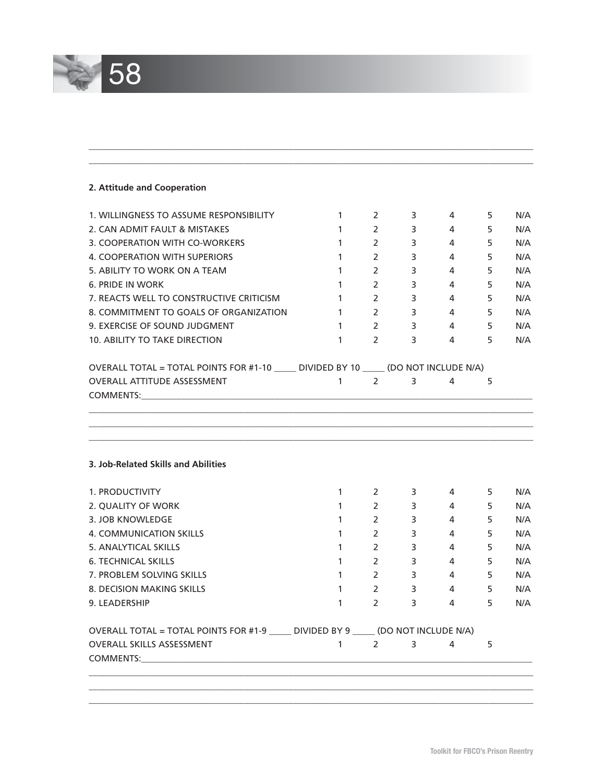

## **2. Attitude and Cooperation**

| 1. WILLINGNESS TO ASSUME RESPONSIBILITY                                                                                                                                                                                                                              | $\mathbf{1}$           | 2                              | 3           | 4                                                                                                                                                                                                                                                                                                                                  | 5  | N/A |
|----------------------------------------------------------------------------------------------------------------------------------------------------------------------------------------------------------------------------------------------------------------------|------------------------|--------------------------------|-------------|------------------------------------------------------------------------------------------------------------------------------------------------------------------------------------------------------------------------------------------------------------------------------------------------------------------------------------|----|-----|
| 2. CAN ADMIT FAULT & MISTAKES                                                                                                                                                                                                                                        | $\mathbf{1}$           | $\overline{2}$                 | $3^{\circ}$ | 4                                                                                                                                                                                                                                                                                                                                  | 5  | N/A |
| 3. COOPERATION WITH CO-WORKERS                                                                                                                                                                                                                                       | $\mathbf{1}$           | $\overline{2}$                 | $3^{\circ}$ | $\overline{4}$                                                                                                                                                                                                                                                                                                                     | 5  | N/A |
| 4. COOPERATION WITH SUPERIORS                                                                                                                                                                                                                                        | $\mathbf{1}$           | 2                              | $3^{\circ}$ | 4                                                                                                                                                                                                                                                                                                                                  | 5  | N/A |
| 5. ABILITY TO WORK ON A TEAM                                                                                                                                                                                                                                         | $\mathbf{1}$           | 2                              | $3^{\circ}$ | $\overline{4}$                                                                                                                                                                                                                                                                                                                     | 5  | N/A |
| <b>6. PRIDE IN WORK</b>                                                                                                                                                                                                                                              | $\mathbf{1}$           | $\mathbf{2}$                   | $3 \sim$    | 4                                                                                                                                                                                                                                                                                                                                  | 5  | N/A |
| 7. REACTS WELL TO CONSTRUCTIVE CRITICISM                                                                                                                                                                                                                             | $\mathbf{1}$           | 2                              | $3^{\circ}$ | 4                                                                                                                                                                                                                                                                                                                                  | 5  | N/A |
| 8. COMMITMENT TO GOALS OF ORGANIZATION                                                                                                                                                                                                                               | $1 \qquad \qquad$      | $2 \left( \frac{1}{2} \right)$ | $3^{\circ}$ | $4\overline{ }$                                                                                                                                                                                                                                                                                                                    | 5  | N/A |
| 9. EXERCISE OF SOUND JUDGMENT                                                                                                                                                                                                                                        | $1 \quad \blacksquare$ | $2 \left( \frac{1}{2} \right)$ | $3^{\circ}$ | $\overline{4}$                                                                                                                                                                                                                                                                                                                     | 5  | N/A |
| <b>10. ABILITY TO TAKE DIRECTION</b>                                                                                                                                                                                                                                 | $\mathbf{1}$           | $\mathcal{P}$                  | $3^{\circ}$ | $\overline{4}$ and $\overline{4}$ and $\overline{4}$ and $\overline{4}$ and $\overline{4}$ and $\overline{4}$ and $\overline{4}$ and $\overline{4}$ and $\overline{4}$ and $\overline{4}$ and $\overline{4}$ and $\overline{4}$ and $\overline{4}$ and $\overline{4}$ and $\overline{4}$ and $\overline{4}$ and $\overline{4}$ and | 5  | N/A |
| OVERALL TOTAL = TOTAL POINTS FOR #1-10 _____ DIVIDED BY 10 _____ (DO NOT INCLUDE N/A)                                                                                                                                                                                |                        |                                |             |                                                                                                                                                                                                                                                                                                                                    |    |     |
| <b>OVERALL ATTITUDE ASSESSMENT</b><br>COMMENTS: the community of the community of the community of the community of the community of the community of the community of the community of the community of the community of the community of the community of the comm | $\mathbf{1}$           | 2                              | 3           | 4                                                                                                                                                                                                                                                                                                                                  | 5  |     |
| 3. Job-Related Skills and Abilities                                                                                                                                                                                                                                  |                        |                                |             |                                                                                                                                                                                                                                                                                                                                    |    |     |
| 1. PRODUCTIVITY                                                                                                                                                                                                                                                      | $\mathbf{1}$           | $\mathbf{2}$                   | 3           | 4                                                                                                                                                                                                                                                                                                                                  | 5  | N/A |
| 2. QUALITY OF WORK                                                                                                                                                                                                                                                   | $\mathbf{1}$           | $\overline{2}$                 | 3           | 4                                                                                                                                                                                                                                                                                                                                  | 5  | N/A |
| 3. JOB KNOWLEDGE                                                                                                                                                                                                                                                     | $\mathbf{1}$           | $\overline{2}$                 | $3^{\circ}$ | $\overline{4}$                                                                                                                                                                                                                                                                                                                     | 5  | N/A |
| 4. COMMUNICATION SKILLS                                                                                                                                                                                                                                              | $\mathbf{1}$           | 2                              | $3^{\circ}$ | $\overline{4}$                                                                                                                                                                                                                                                                                                                     | 5  | N/A |
| 5. ANALYTICAL SKILLS                                                                                                                                                                                                                                                 | $\mathbf{1}$           | $2 \left( \frac{1}{2} \right)$ | $3^{\circ}$ | $\overline{4}$                                                                                                                                                                                                                                                                                                                     | 5  | N/A |
| <b>6. TECHNICAL SKILLS</b>                                                                                                                                                                                                                                           | $\mathbf{1}$           | $\overline{2}$                 | $3^{\circ}$ | $\overline{4}$                                                                                                                                                                                                                                                                                                                     | 5  | N/A |
| 7. PROBLEM SOLVING SKILLS                                                                                                                                                                                                                                            | $\mathbf{1}$           | $\overline{2}$                 | $3^{\circ}$ | $4 \quad$                                                                                                                                                                                                                                                                                                                          | 5  | N/A |
| 8. DECISION MAKING SKILLS                                                                                                                                                                                                                                            | $\mathbf{1}$           | $\mathbf{2}$                   | $3^{\circ}$ | $\overline{4}$                                                                                                                                                                                                                                                                                                                     | 5  | N/A |
| 9. LEADERSHIP                                                                                                                                                                                                                                                        | $\mathbf{1}$           | 2                              | 3           | 4                                                                                                                                                                                                                                                                                                                                  | 5. | N/A |
| OVERALL TOTAL = TOTAL POINTS FOR #1-9 _____ DIVIDED BY 9 _____ (DO NOT INCLUDE N/A)                                                                                                                                                                                  |                        |                                |             |                                                                                                                                                                                                                                                                                                                                    |    |     |
| <b>OVERALL SKILLS ASSESSMENT</b><br>COMMENTS:                                                                                                                                                                                                                        | $\mathbf{1}$           | 2                              | 3           | 4                                                                                                                                                                                                                                                                                                                                  | 5  |     |

 $\Box$  $\_$  ,  $\_$  ,  $\_$  ,  $\_$  ,  $\_$  ,  $\_$  ,  $\_$  ,  $\_$  ,  $\_$  ,  $\_$  ,  $\_$  ,  $\_$  ,  $\_$  ,  $\_$  ,  $\_$  ,  $\_$  ,  $\_$  ,  $\_$  ,  $\_$  ,  $\_$  ,  $\_$  ,  $\_$  ,  $\_$  ,  $\_$  ,  $\_$  ,  $\_$  ,  $\_$  ,  $\_$  ,  $\_$  ,  $\_$  ,  $\_$  ,  $\_$  ,  $\_$  ,  $\_$  ,  $\_$  ,  $\_$  ,  $\_$  ,  $\Box$ 

 $\_$  ,  $\_$  ,  $\_$  ,  $\_$  ,  $\_$  ,  $\_$  ,  $\_$  ,  $\_$  ,  $\_$  ,  $\_$  ,  $\_$  ,  $\_$  ,  $\_$  ,  $\_$  ,  $\_$  ,  $\_$  ,  $\_$  ,  $\_$  ,  $\_$  ,  $\_$  ,  $\_$  ,  $\_$  ,  $\_$  ,  $\_$  ,  $\_$  ,  $\_$  ,  $\_$  ,  $\_$  ,  $\_$  ,  $\_$  ,  $\_$  ,  $\_$  ,  $\_$  ,  $\_$  ,  $\_$  ,  $\_$  ,  $\_$  ,  $\Box$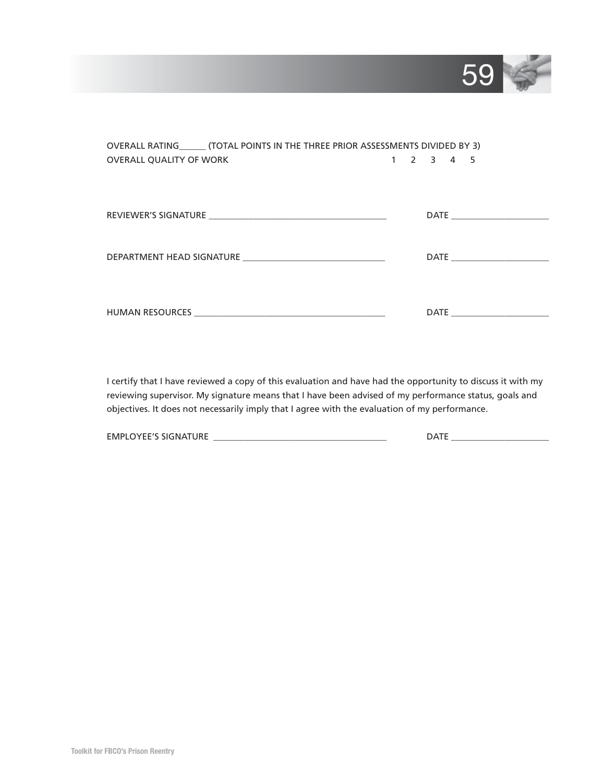

| OVERALL RATING_______ (TOTAL POINTS IN THE THREE PRIOR ASSESSMENTS DIVIDED BY 3) |  |  |                                     |  |                  |  |  |
|----------------------------------------------------------------------------------|--|--|-------------------------------------|--|------------------|--|--|
| <b>OVERALL QUALITY OF WORK</b>                                                   |  |  | $1 \quad 2 \quad 3 \quad 4 \quad 5$ |  |                  |  |  |
|                                                                                  |  |  |                                     |  |                  |  |  |
|                                                                                  |  |  |                                     |  |                  |  |  |
|                                                                                  |  |  |                                     |  |                  |  |  |
|                                                                                  |  |  |                                     |  |                  |  |  |
|                                                                                  |  |  |                                     |  |                  |  |  |
|                                                                                  |  |  |                                     |  |                  |  |  |
|                                                                                  |  |  |                                     |  |                  |  |  |
|                                                                                  |  |  |                                     |  |                  |  |  |
|                                                                                  |  |  |                                     |  |                  |  |  |
|                                                                                  |  |  |                                     |  |                  |  |  |
|                                                                                  |  |  |                                     |  | DATE <b>DATE</b> |  |  |

I certify that I have reviewed a copy of this evaluation and have had the opportunity to discuss it with my reviewing supervisor. My signature means that I have been advised of my performance status, goals and objectives. It does not necessarily imply that I agree with the evaluation of my performance.

| <b>EMPLO</b><br><b>ATLIDE</b><br>$\cdot$<br>11/F<br><b>NIA</b><br>שווש ור<br>.<br>-<br>-- |  |
|-------------------------------------------------------------------------------------------|--|
|-------------------------------------------------------------------------------------------|--|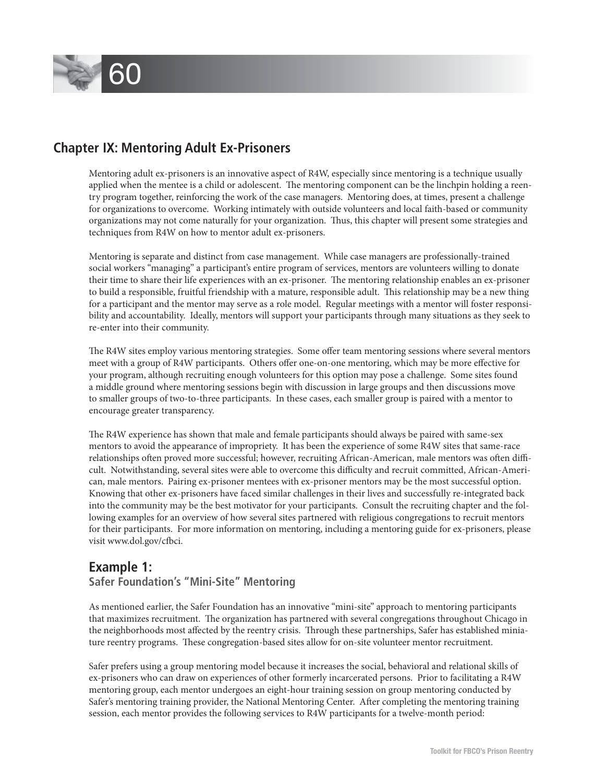

# **Chapter IX: Mentoring Adult Ex-Prisoners**

Mentoring adult ex-prisoners is an innovative aspect of R4W, especially since mentoring is a technique usually applied when the mentee is a child or adolescent. The mentoring component can be the linchpin holding a reentry program together, reinforcing the work of the case managers. Mentoring does, at times, present a challenge for organizations to overcome. Working intimately with outside volunteers and local faith-based or community organizations may not come naturally for your organization. Thus, this chapter will present some strategies and techniques from R4W on how to mentor adult ex-prisoners.

Mentoring is separate and distinct from case management. While case managers are professionally-trained social workers "managing" a participant's entire program of services, mentors are volunteers willing to donate their time to share their life experiences with an ex-prisoner. The mentoring relationship enables an ex-prisoner to build a responsible, fruitful friendship with a mature, responsible adult. This relationship may be a new thing for a participant and the mentor may serve as a role model. Regular meetings with a mentor will foster responsibility and accountability. Ideally, mentors will support your participants through many situations as they seek to re-enter into their community.

The R4W sites employ various mentoring strategies. Some offer team mentoring sessions where several mentors meet with a group of R4W participants. Others offer one-on-one mentoring, which may be more effective for your program, although recruiting enough volunteers for this option may pose a challenge. Some sites found a middle ground where mentoring sessions begin with discussion in large groups and then discussions move to smaller groups of two-to-three participants. In these cases, each smaller group is paired with a mentor to encourage greater transparency.

The R4W experience has shown that male and female participants should always be paired with same-sex mentors to avoid the appearance of impropriety. It has been the experience of some R4W sites that same-race relationships often proved more successful; however, recruiting African-American, male mentors was often difficult. Notwithstanding, several sites were able to overcome this difficulty and recruit committed, African-American, male mentors. Pairing ex-prisoner mentees with ex-prisoner mentors may be the most successful option. Knowing that other ex-prisoners have faced similar challenges in their lives and successfully re-integrated back into the community may be the best motivator for your participants. Consult the recruiting chapter and the following examples for an overview of how several sites partnered with religious congregations to recruit mentors for their participants. For more information on mentoring, including a mentoring guide for ex-prisoners, please visit www.dol.gov/cfbci.

## **Example 1:**

## **Safer Foundation's "Mini-Site" Mentoring**

As mentioned earlier, the Safer Foundation has an innovative "mini-site" approach to mentoring participants that maximizes recruitment. The organization has partnered with several congregations throughout Chicago in the neighborhoods most affected by the reentry crisis. Through these partnerships, Safer has established miniature reentry programs. These congregation-based sites allow for on-site volunteer mentor recruitment.

Safer prefers using a group mentoring model because it increases the social, behavioral and relational skills of ex-prisoners who can draw on experiences of other formerly incarcerated persons. Prior to facilitating a R4W mentoring group, each mentor undergoes an eight-hour training session on group mentoring conducted by Safer's mentoring training provider, the National Mentoring Center. After completing the mentoring training session, each mentor provides the following services to R4W participants for a twelve-month period: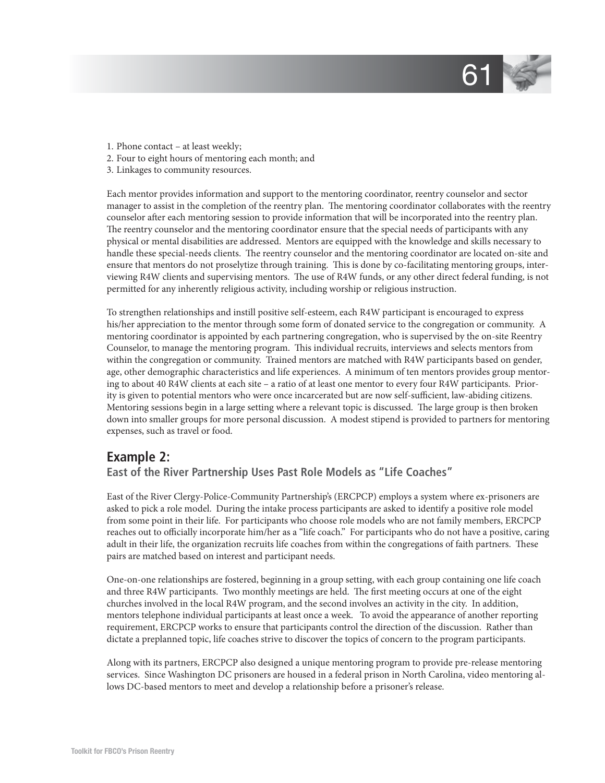

- 1. Phone contact at least weekly;
- 2. Four to eight hours of mentoring each month; and
- 3. Linkages to community resources.

Each mentor provides information and support to the mentoring coordinator, reentry counselor and sector manager to assist in the completion of the reentry plan. The mentoring coordinator collaborates with the reentry counselor after each mentoring session to provide information that will be incorporated into the reentry plan. The reentry counselor and the mentoring coordinator ensure that the special needs of participants with any physical or mental disabilities are addressed. Mentors are equipped with the knowledge and skills necessary to handle these special-needs clients. The reentry counselor and the mentoring coordinator are located on-site and ensure that mentors do not proselytize through training. This is done by co-facilitating mentoring groups, interviewing R4W clients and supervising mentors. The use of R4W funds, or any other direct federal funding, is not permitted for any inherently religious activity, including worship or religious instruction.

To strengthen relationships and instill positive self-esteem, each R4W participant is encouraged to express his/her appreciation to the mentor through some form of donated service to the congregation or community. A mentoring coordinator is appointed by each partnering congregation, who is supervised by the on-site Reentry Counselor, to manage the mentoring program. This individual recruits, interviews and selects mentors from within the congregation or community. Trained mentors are matched with R4W participants based on gender, age, other demographic characteristics and life experiences. A minimum of ten mentors provides group mentoring to about 40 R4W clients at each site – a ratio of at least one mentor to every four R4W participants. Priority is given to potential mentors who were once incarcerated but are now self-sufficient, law-abiding citizens. Mentoring sessions begin in a large setting where a relevant topic is discussed. The large group is then broken down into smaller groups for more personal discussion. A modest stipend is provided to partners for mentoring expenses, such as travel or food.

## **Example 2:**

## **East of the River Partnership Uses Past Role Models as "Life Coaches"**

East of the River Clergy-Police-Community Partnership's (ERCPCP) employs a system where ex-prisoners are asked to pick a role model. During the intake process participants are asked to identify a positive role model from some point in their life. For participants who choose role models who are not family members, ERCPCP reaches out to officially incorporate him/her as a "life coach." For participants who do not have a positive, caring adult in their life, the organization recruits life coaches from within the congregations of faith partners. These pairs are matched based on interest and participant needs.

One-on-one relationships are fostered, beginning in a group setting, with each group containing one life coach and three R4W participants. Two monthly meetings are held. The first meeting occurs at one of the eight churches involved in the local R4W program, and the second involves an activity in the city. In addition, mentors telephone individual participants at least once a week. To avoid the appearance of another reporting requirement, ERCPCP works to ensure that participants control the direction of the discussion. Rather than dictate a preplanned topic, life coaches strive to discover the topics of concern to the program participants.

Along with its partners, ERCPCP also designed a unique mentoring program to provide pre-release mentoring services. Since Washington DC prisoners are housed in a federal prison in North Carolina, video mentoring allows DC-based mentors to meet and develop a relationship before a prisoner's release.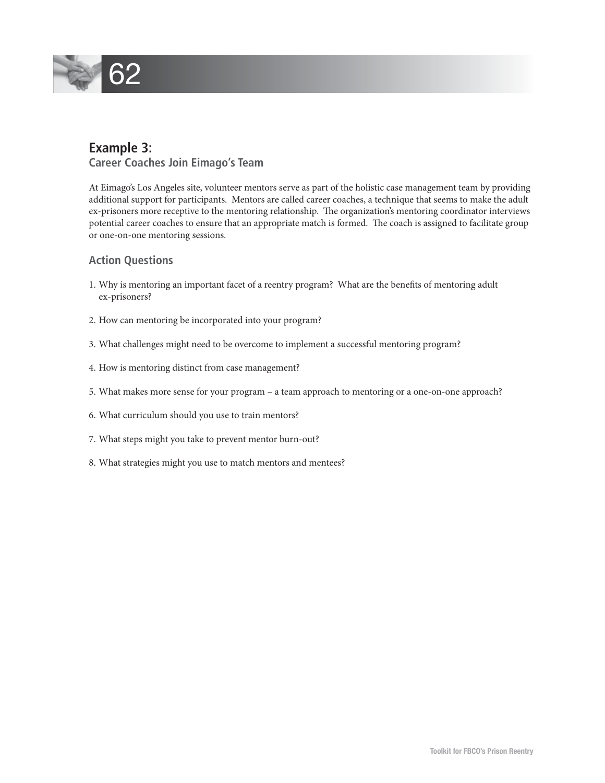# 62

# **Example 3:**

 **Career Coaches Join Eimago's Team**

At Eimago's Los Angeles site, volunteer mentors serve as part of the holistic case management team by providing additional support for participants. Mentors are called career coaches, a technique that seems to make the adult ex-prisoners more receptive to the mentoring relationship. The organization's mentoring coordinator interviews potential career coaches to ensure that an appropriate match is formed. The coach is assigned to facilitate group or one-on-one mentoring sessions.

## **Action Questions**

- 1. Why is mentoring an important facet of a reentry program? What are the benefits of mentoring adult ex-prisoners?
- 2. How can mentoring be incorporated into your program?
- 3. What challenges might need to be overcome to implement a successful mentoring program?
- 4. How is mentoring distinct from case management?
- 5. What makes more sense for your program a team approach to mentoring or a one-on-one approach?
- 6. What curriculum should you use to train mentors?
- 7. What steps might you take to prevent mentor burn-out?
- 8. What strategies might you use to match mentors and mentees?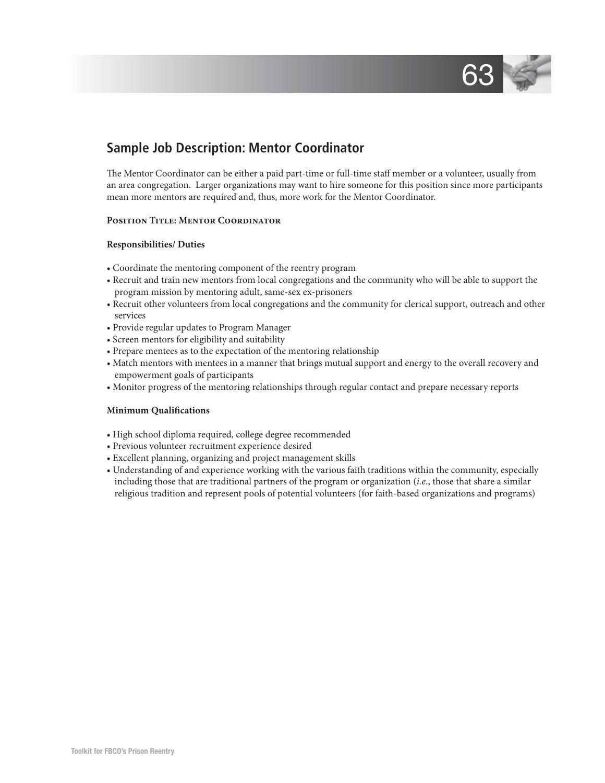

# **Sample Job Description: Mentor Coordinator**

The Mentor Coordinator can be either a paid part-time or full-time staff member or a volunteer, usually from an area congregation. Larger organizations may want to hire someone for this position since more participants mean more mentors are required and, thus, more work for the Mentor Coordinator.

#### **Position Title: Mentor Coordinator**

#### **Responsibilities/ Duties**

- Coordinate the mentoring component of the reentry program
- Recruit and train new mentors from local congregations and the community who will be able to support the program mission by mentoring adult, same-sex ex-prisoners
- Recruit other volunteers from local congregations and the community for clerical support, outreach and other services
- Provide regular updates to Program Manager
- Screen mentors for eligibility and suitability
- Prepare mentees as to the expectation of the mentoring relationship
- Match mentors with mentees in a manner that brings mutual support and energy to the overall recovery and empowerment goals of participants
- Monitor progress of the mentoring relationships through regular contact and prepare necessary reports

#### **Minimum Qualifications**

- High school diploma required, college degree recommended
- Previous volunteer recruitment experience desired
- Excellent planning, organizing and project management skills
- Understanding of and experience working with the various faith traditions within the community, especially including those that are traditional partners of the program or organization (*i.e.*, those that share a similar religious tradition and represent pools of potential volunteers (for faith-based organizations and programs)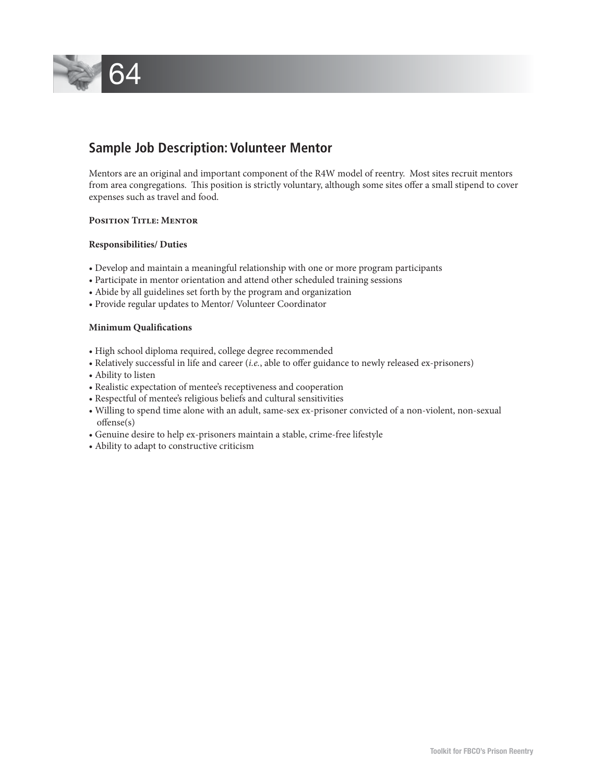

# **Sample Job Description: Volunteer Mentor**

Mentors are an original and important component of the R4W model of reentry. Most sites recruit mentors from area congregations. This position is strictly voluntary, although some sites offer a small stipend to cover expenses such as travel and food.

## **Position Title: Mentor**

#### **Responsibilities/ Duties**

- Develop and maintain a meaningful relationship with one or more program participants
- Participate in mentor orientation and attend other scheduled training sessions
- Abide by all guidelines set forth by the program and organization
- Provide regular updates to Mentor/ Volunteer Coordinator

#### **Minimum Qualifications**

- High school diploma required, college degree recommended
- Relatively successful in life and career (*i.e.*, able to offer guidance to newly released ex-prisoners)
- Ability to listen
- Realistic expectation of mentee's receptiveness and cooperation
- Respectful of mentee's religious beliefs and cultural sensitivities
- Willing to spend time alone with an adult, same-sex ex-prisoner convicted of a non-violent, non-sexual  $offense(s)$
- Genuine desire to help ex-prisoners maintain a stable, crime-free lifestyle
- Ability to adapt to constructive criticism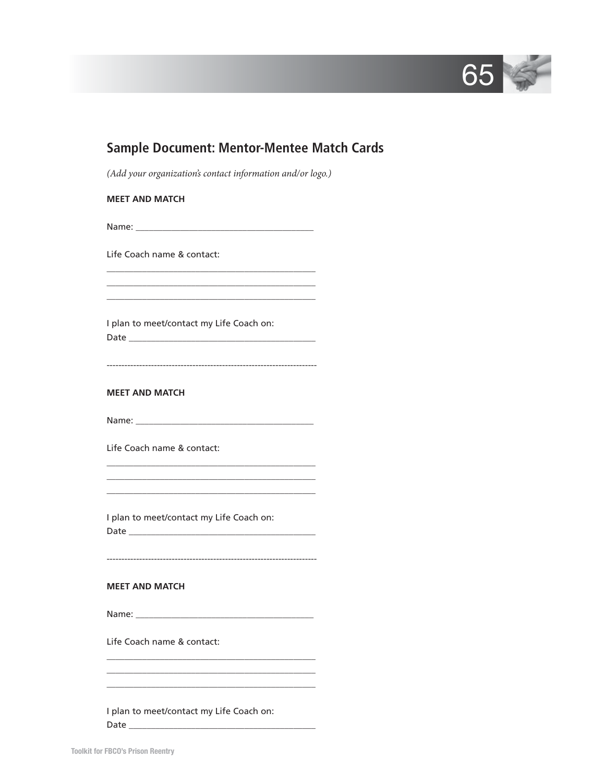

| <b>Sample Document: Mentor-Mentee Match Cards</b>                                                                                     |
|---------------------------------------------------------------------------------------------------------------------------------------|
| (Add your organization's contact information and/or logo.)                                                                            |
| <b>MEET AND MATCH</b>                                                                                                                 |
|                                                                                                                                       |
| Life Coach name & contact:                                                                                                            |
|                                                                                                                                       |
| I plan to meet/contact my Life Coach on:                                                                                              |
| <b>MEET AND MATCH</b>                                                                                                                 |
|                                                                                                                                       |
| Life Coach name & contact:                                                                                                            |
| the control of the control of the control of the control of the control of the control of<br>I plan to meet/contact my Life Coach on: |
| <b>MEET AND MATCH</b>                                                                                                                 |
|                                                                                                                                       |
| Life Coach name & contact:                                                                                                            |
| I plan to meet/contact my Life Coach on:                                                                                              |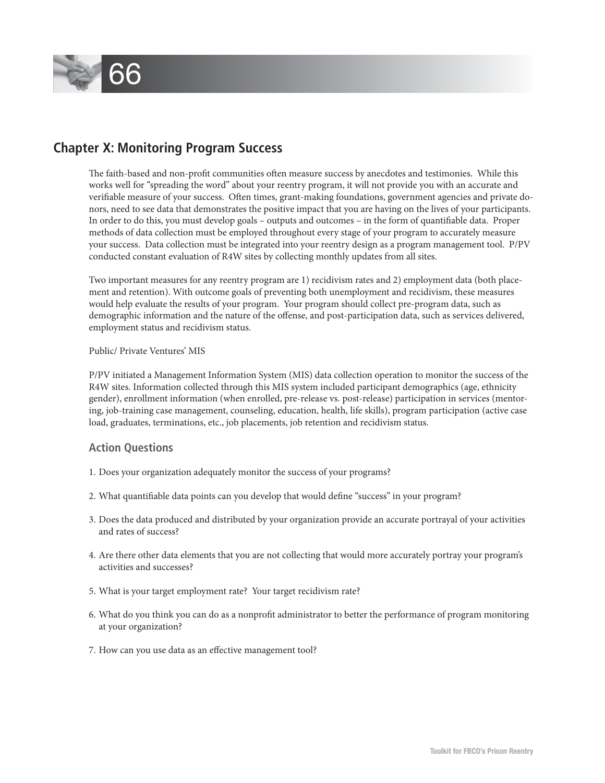

# **Chapter X: Monitoring Program Success**

The faith-based and non-profit communities often measure success by anecdotes and testimonies. While this works well for "spreading the word" about your reentry program, it will not provide you with an accurate and verifiable measure of your success. Often times, grant-making foundations, government agencies and private donors, need to see data that demonstrates the positive impact that you are having on the lives of your participants. In order to do this, you must develop goals – outputs and outcomes – in the form of quantifiable data. Proper methods of data collection must be employed throughout every stage of your program to accurately measure your success. Data collection must be integrated into your reentry design as a program management tool. P/PV conducted constant evaluation of R4W sites by collecting monthly updates from all sites.

Two important measures for any reentry program are 1) recidivism rates and 2) employment data (both placement and retention). With outcome goals of preventing both unemployment and recidivism, these measures would help evaluate the results of your program. Your program should collect pre-program data, such as demographic information and the nature of the offense, and post-participation data, such as services delivered, employment status and recidivism status.

## Public/ Private Ventures' MIS

P/PV initiated a Management Information System (MIS) data collection operation to monitor the success of the R4W sites. Information collected through this MIS system included participant demographics (age, ethnicity gender), enrollment information (when enrolled, pre-release vs. post-release) participation in services (mentoring, job-training case management, counseling, education, health, life skills), program participation (active case load, graduates, terminations, etc., job placements, job retention and recidivism status.

## **Action Questions**

- 1. Does your organization adequately monitor the success of your programs?
- 2. What quantifiable data points can you develop that would define "success" in your program?
- 3. Does the data produced and distributed by your organization provide an accurate portrayal of your activities and rates of success?
- 4. Are there other data elements that you are not collecting that would more accurately portray your program's activities and successes?
- 5. What is your target employment rate? Your target recidivism rate?
- 6. What do you think you can do as a nonprofi t administrator to better the performance of program monitoring at your organization?
- 7. How can you use data as an effective management tool?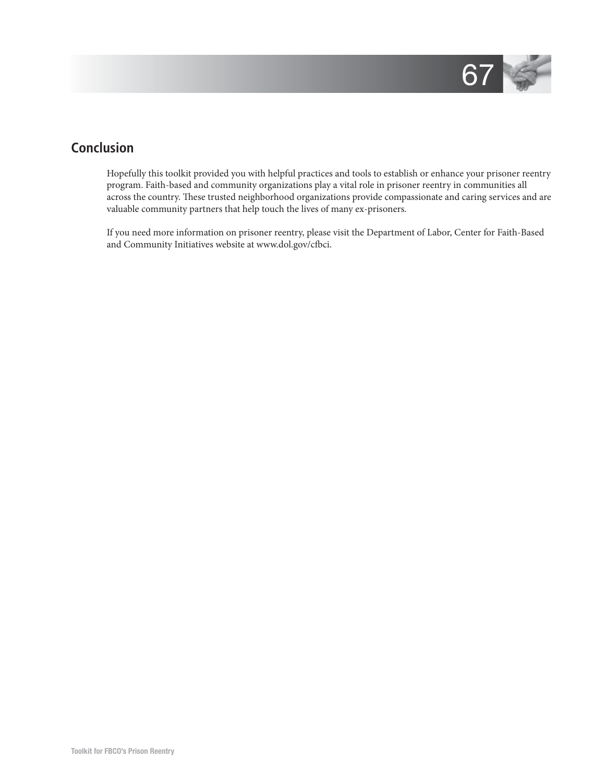

# **Conclusion**

Hopefully this toolkit provided you with helpful practices and tools to establish or enhance your prisoner reentry program. Faith-based and community organizations play a vital role in prisoner reentry in communities all across the country. These trusted neighborhood organizations provide compassionate and caring services and are valuable community partners that help touch the lives of many ex-prisoners.

If you need more information on prisoner reentry, please visit the Department of Labor, Center for Faith-Based and Community Initiatives website at www.dol.gov/cfbci.